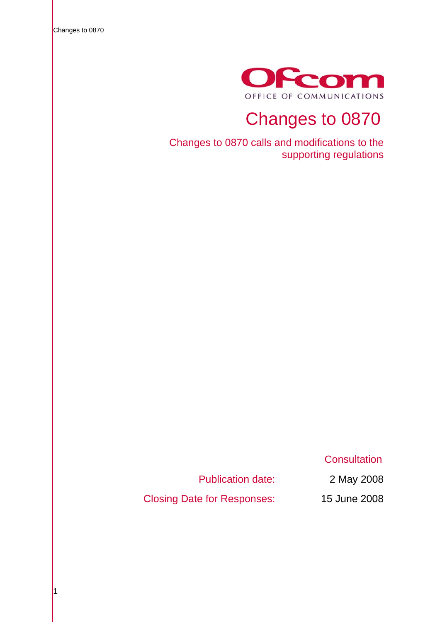Changes to 0870



# Changes to 0870

Changes to 0870 calls and modifications to the supporting regulations

**Consultation** 

Publication date: 2 May 2008

Closing Date for Responses: 15 June 2008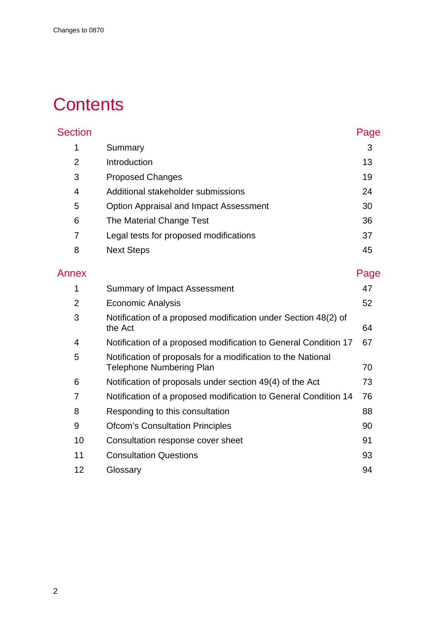# **Contents**

| <b>Section</b> |                                               | Page |
|----------------|-----------------------------------------------|------|
| 1              | Summary                                       | 3    |
| 2              | Introduction                                  | 13   |
| 3              | <b>Proposed Changes</b>                       | 19   |
| 4              | Additional stakeholder submissions            | 24   |
| 5              | <b>Option Appraisal and Impact Assessment</b> | 30   |
| 6              | The Material Change Test                      | 36   |
| 7              | Legal tests for proposed modifications        | 37   |
| 8              | <b>Next Steps</b>                             | 45   |
|                |                                               |      |

| Annex          |                                                                                                 | Page |
|----------------|-------------------------------------------------------------------------------------------------|------|
| 1              | Summary of Impact Assessment                                                                    | 47   |
| $\overline{2}$ | <b>Economic Analysis</b>                                                                        | 52   |
| 3              | Notification of a proposed modification under Section 48(2) of<br>the Act                       | 64   |
| 4              | Notification of a proposed modification to General Condition 17                                 | 67   |
| 5              | Notification of proposals for a modification to the National<br><b>Telephone Numbering Plan</b> | 70   |
| 6              | Notification of proposals under section 49(4) of the Act                                        | 73   |
| 7              | Notification of a proposed modification to General Condition 14                                 | 76   |
| 8              | Responding to this consultation                                                                 | 88   |
| 9              | <b>Ofcom's Consultation Principles</b>                                                          | 90   |
| 10             | Consultation response cover sheet                                                               | 91   |
| 11             | <b>Consultation Questions</b>                                                                   | 93   |
| 12             | Glossary                                                                                        | 94   |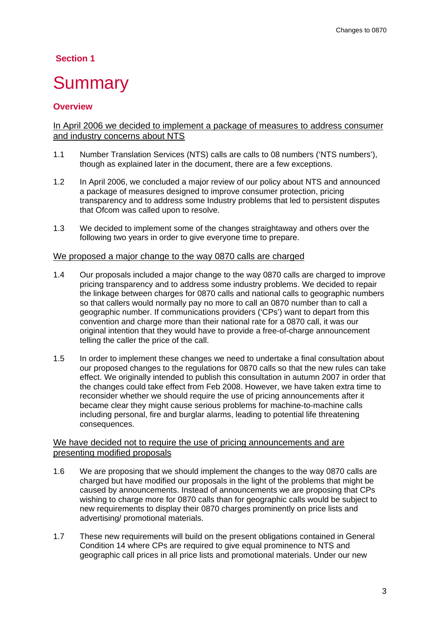# <span id="page-2-0"></span> **Section 1**

# **Summary**

# **Overview**

### In April 2006 we decided to implement a package of measures to address consumer and industry concerns about NTS

- 1.1 Number Translation Services (NTS) calls are calls to 08 numbers ('NTS numbers'), though as explained later in the document, there are a few exceptions.
- 1.2 In April 2006, we concluded a major review of our policy about NTS and announced a package of measures designed to improve consumer protection, pricing transparency and to address some Industry problems that led to persistent disputes that Ofcom was called upon to resolve.
- 1.3 We decided to implement some of the changes straightaway and others over the following two years in order to give everyone time to prepare.

#### We proposed a major change to the way 0870 calls are charged

- 1.4 Our proposals included a major change to the way 0870 calls are charged to improve pricing transparency and to address some industry problems. We decided to repair the linkage between charges for 0870 calls and national calls to geographic numbers so that callers would normally pay no more to call an 0870 number than to call a geographic number. If communications providers ('CPs') want to depart from this convention and charge more than their national rate for a 0870 call, it was our original intention that they would have to provide a free-of-charge announcement telling the caller the price of the call.
- 1.5 In order to implement these changes we need to undertake a final consultation about our proposed changes to the regulations for 0870 calls so that the new rules can take effect. We originally intended to publish this consultation in autumn 2007 in order that the changes could take effect from Feb 2008. However, we have taken extra time to reconsider whether we should require the use of pricing announcements after it became clear they might cause serious problems for machine-to-machine calls including personal, fire and burglar alarms, leading to potential life threatening consequences.

#### We have decided not to require the use of pricing announcements and are presenting modified proposals

- 1.6 We are proposing that we should implement the changes to the way 0870 calls are charged but have modified our proposals in the light of the problems that might be caused by announcements. Instead of announcements we are proposing that CPs wishing to charge more for 0870 calls than for geographic calls would be subject to new requirements to display their 0870 charges prominently on price lists and advertising/ promotional materials.
- 1.7 These new requirements will build on the present obligations contained in General Condition 14 where CPs are required to give equal prominence to NTS and geographic call prices in all price lists and promotional materials. Under our new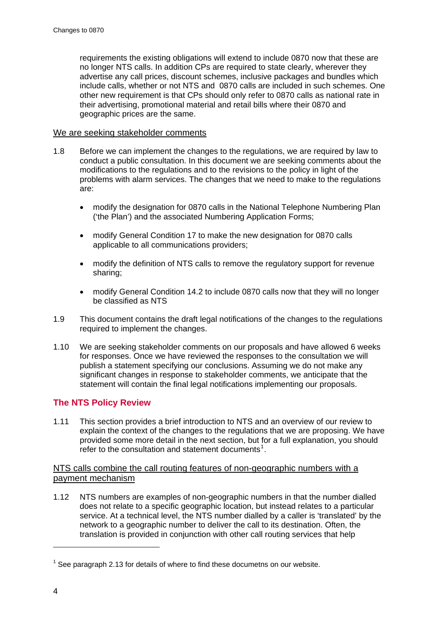requirements the existing obligations will extend to include 0870 now that these are no longer NTS calls. In addition CPs are required to state clearly, wherever they advertise any call prices, discount schemes, inclusive packages and bundles which include calls, whether or not NTS and 0870 calls are included in such schemes. One other new requirement is that CPs should only refer to 0870 calls as national rate in their advertising, promotional material and retail bills where their 0870 and geographic prices are the same.

#### We are seeking stakeholder comments

- 1.8 Before we can implement the changes to the regulations, we are required by law to conduct a public consultation. In this document we are seeking comments about the modifications to the regulations and to the revisions to the policy in light of the problems with alarm services. The changes that we need to make to the regulations are:
	- modify the designation for 0870 calls in the National Telephone Numbering Plan ('the Plan') and the associated Numbering Application Forms;
	- modify General Condition 17 to make the new designation for 0870 calls applicable to all communications providers;
	- modify the definition of NTS calls to remove the regulatory support for revenue sharing;
	- modify General Condition 14.2 to include 0870 calls now that they will no longer be classified as NTS
- 1.9 This document contains the draft legal notifications of the changes to the regulations required to implement the changes.
- 1.10 We are seeking stakeholder comments on our proposals and have allowed 6 weeks for responses. Once we have reviewed the responses to the consultation we will publish a statement specifying our conclusions. Assuming we do not make any significant changes in response to stakeholder comments, we anticipate that the statement will contain the final legal notifications implementing our proposals.

### **The NTS Policy Review**

1.11 This section provides a brief introduction to NTS and an overview of our review to explain the context of the changes to the regulations that we are proposing. We have provided some more detail in the next section, but for a full explanation, you should refer to the consultation and statement documents<sup>[1](#page-3-0)</sup>.

#### NTS calls combine the call routing features of non-geographic numbers with a payment mechanism

1.12 NTS numbers are examples of non-geographic numbers in that the number dialled does not relate to a specific geographic location, but instead relates to a particular service. At a technical level, the NTS number dialled by a caller is 'translated' by the network to a geographic number to deliver the call to its destination. Often, the translation is provided in conjunction with other call routing services that help

-

<span id="page-3-0"></span> $1$  See paragraph 2.13 for details of where to find these documetns on our website.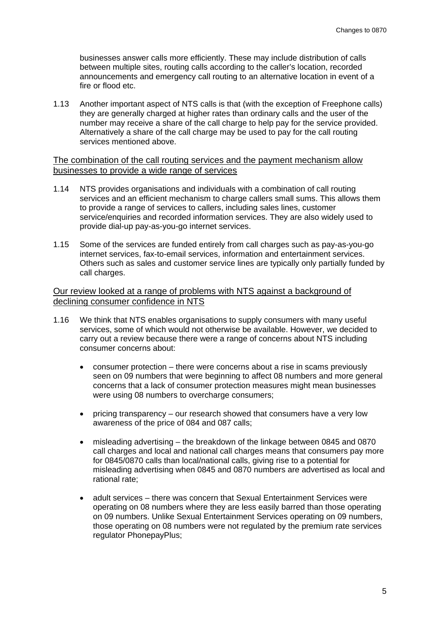businesses answer calls more efficiently. These may include distribution of calls between multiple sites, routing calls according to the caller's location, recorded announcements and emergency call routing to an alternative location in event of a fire or flood etc.

1.13 Another important aspect of NTS calls is that (with the exception of Freephone calls) they are generally charged at higher rates than ordinary calls and the user of the number may receive a share of the call charge to help pay for the service provided. Alternatively a share of the call charge may be used to pay for the call routing services mentioned above.

#### The combination of the call routing services and the payment mechanism allow businesses to provide a wide range of services

- 1.14 NTS provides organisations and individuals with a combination of call routing services and an efficient mechanism to charge callers small sums. This allows them to provide a range of services to callers, including sales lines, customer service/enquiries and recorded information services. They are also widely used to provide dial-up pay-as-you-go internet services.
- 1.15 Some of the services are funded entirely from call charges such as pay-as-you-go internet services, fax-to-email services, information and entertainment services. Others such as sales and customer service lines are typically only partially funded by call charges.

### Our review looked at a range of problems with NTS against a background of declining consumer confidence in NTS

- 1.16 We think that NTS enables organisations to supply consumers with many useful services, some of which would not otherwise be available. However, we decided to carry out a review because there were a range of concerns about NTS including consumer concerns about:
	- consumer protection there were concerns about a rise in scams previously seen on 09 numbers that were beginning to affect 08 numbers and more general concerns that a lack of consumer protection measures might mean businesses were using 08 numbers to overcharge consumers;
	- pricing transparency our research showed that consumers have a very low awareness of the price of 084 and 087 calls;
	- misleading advertising the breakdown of the linkage between 0845 and 0870 call charges and local and national call charges means that consumers pay more for 0845/0870 calls than local/national calls, giving rise to a potential for misleading advertising when 0845 and 0870 numbers are advertised as local and rational rate;
	- adult services there was concern that Sexual Entertainment Services were operating on 08 numbers where they are less easily barred than those operating on 09 numbers. Unlike Sexual Entertainment Services operating on 09 numbers, those operating on 08 numbers were not regulated by the premium rate services regulator PhonepayPlus;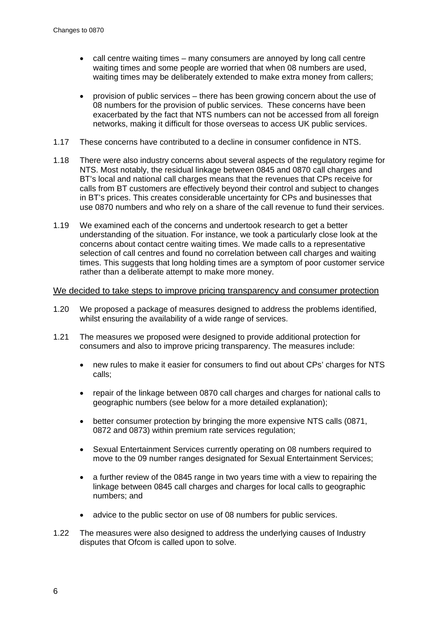- call centre waiting times many consumers are annoyed by long call centre waiting times and some people are worried that when 08 numbers are used, waiting times may be deliberately extended to make extra money from callers;
- provision of public services there has been growing concern about the use of 08 numbers for the provision of public services. These concerns have been exacerbated by the fact that NTS numbers can not be accessed from all foreign networks, making it difficult for those overseas to access UK public services.
- 1.17 These concerns have contributed to a decline in consumer confidence in NTS.
- 1.18 There were also industry concerns about several aspects of the regulatory regime for NTS. Most notably, the residual linkage between 0845 and 0870 call charges and BT's local and national call charges means that the revenues that CPs receive for calls from BT customers are effectively beyond their control and subject to changes in BT's prices. This creates considerable uncertainty for CPs and businesses that use 0870 numbers and who rely on a share of the call revenue to fund their services.
- 1.19 We examined each of the concerns and undertook research to get a better understanding of the situation. For instance, we took a particularly close look at the concerns about contact centre waiting times. We made calls to a representative selection of call centres and found no correlation between call charges and waiting times. This suggests that long holding times are a symptom of poor customer service rather than a deliberate attempt to make more money.

#### We decided to take steps to improve pricing transparency and consumer protection

- 1.20 We proposed a package of measures designed to address the problems identified, whilst ensuring the availability of a wide range of services.
- 1.21 The measures we proposed were designed to provide additional protection for consumers and also to improve pricing transparency. The measures include:
	- new rules to make it easier for consumers to find out about CPs' charges for NTS calls;
	- repair of the linkage between 0870 call charges and charges for national calls to geographic numbers (see below for a more detailed explanation);
	- better consumer protection by bringing the more expensive NTS calls (0871, 0872 and 0873) within premium rate services regulation;
	- Sexual Entertainment Services currently operating on 08 numbers required to move to the 09 number ranges designated for Sexual Entertainment Services;
	- a further review of the 0845 range in two years time with a view to repairing the linkage between 0845 call charges and charges for local calls to geographic numbers; and
	- advice to the public sector on use of 08 numbers for public services.
- 1.22 The measures were also designed to address the underlying causes of Industry disputes that Ofcom is called upon to solve.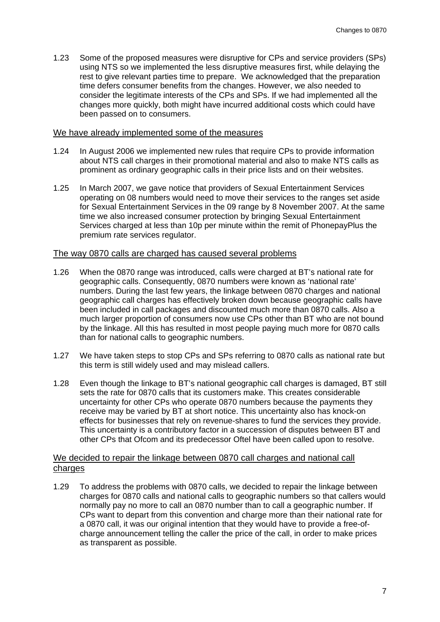1.23 Some of the proposed measures were disruptive for CPs and service providers (SPs) using NTS so we implemented the less disruptive measures first, while delaying the rest to give relevant parties time to prepare. We acknowledged that the preparation time defers consumer benefits from the changes. However, we also needed to consider the legitimate interests of the CPs and SPs. If we had implemented all the changes more quickly, both might have incurred additional costs which could have been passed on to consumers.

#### We have already implemented some of the measures

- 1.24 In August 2006 we implemented new rules that require CPs to provide information about NTS call charges in their promotional material and also to make NTS calls as prominent as ordinary geographic calls in their price lists and on their websites.
- 1.25 In March 2007, we gave notice that providers of Sexual Entertainment Services operating on 08 numbers would need to move their services to the ranges set aside for Sexual Entertainment Services in the 09 range by 8 November 2007. At the same time we also increased consumer protection by bringing Sexual Entertainment Services charged at less than 10p per minute within the remit of PhonepayPlus the premium rate services regulator.

#### The way 0870 calls are charged has caused several problems

- 1.26 When the 0870 range was introduced, calls were charged at BT's national rate for geographic calls. Consequently, 0870 numbers were known as 'national rate' numbers. During the last few years, the linkage between 0870 charges and national geographic call charges has effectively broken down because geographic calls have been included in call packages and discounted much more than 0870 calls. Also a much larger proportion of consumers now use CPs other than BT who are not bound by the linkage. All this has resulted in most people paying much more for 0870 calls than for national calls to geographic numbers.
- 1.27 We have taken steps to stop CPs and SPs referring to 0870 calls as national rate but this term is still widely used and may mislead callers.
- 1.28 Even though the linkage to BT's national geographic call charges is damaged, BT still sets the rate for 0870 calls that its customers make. This creates considerable uncertainty for other CPs who operate 0870 numbers because the payments they receive may be varied by BT at short notice. This uncertainty also has knock-on effects for businesses that rely on revenue-shares to fund the services they provide. This uncertainty is a contributory factor in a succession of disputes between BT and other CPs that Ofcom and its predecessor Oftel have been called upon to resolve.

#### We decided to repair the linkage between 0870 call charges and national call charges

1.29 To address the problems with 0870 calls, we decided to repair the linkage between charges for 0870 calls and national calls to geographic numbers so that callers would normally pay no more to call an 0870 number than to call a geographic number. If CPs want to depart from this convention and charge more than their national rate for a 0870 call, it was our original intention that they would have to provide a free-ofcharge announcement telling the caller the price of the call, in order to make prices as transparent as possible.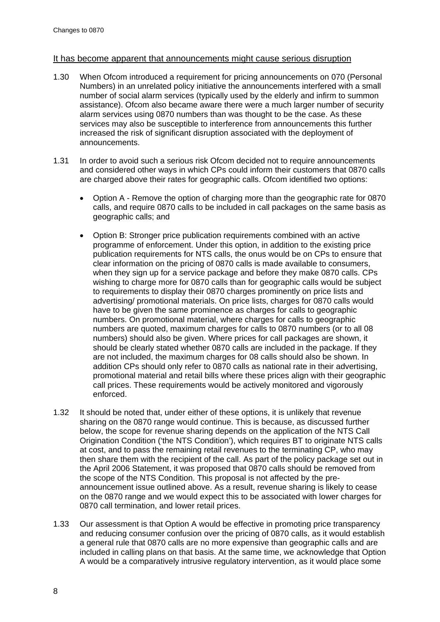#### It has become apparent that announcements might cause serious disruption

- 1.30 When Ofcom introduced a requirement for pricing announcements on 070 (Personal Numbers) in an unrelated policy initiative the announcements interfered with a small number of social alarm services (typically used by the elderly and infirm to summon assistance). Ofcom also became aware there were a much larger number of security alarm services using 0870 numbers than was thought to be the case. As these services may also be susceptible to interference from announcements this further increased the risk of significant disruption associated with the deployment of announcements.
- 1.31 In order to avoid such a serious risk Ofcom decided not to require announcements and considered other ways in which CPs could inform their customers that 0870 calls are charged above their rates for geographic calls. Ofcom identified two options:
	- Option A Remove the option of charging more than the geographic rate for 0870 calls, and require 0870 calls to be included in call packages on the same basis as geographic calls; and
	- Option B: Stronger price publication requirements combined with an active programme of enforcement. Under this option, in addition to the existing price publication requirements for NTS calls, the onus would be on CPs to ensure that clear information on the pricing of 0870 calls is made available to consumers, when they sign up for a service package and before they make 0870 calls. CPs wishing to charge more for 0870 calls than for geographic calls would be subject to requirements to display their 0870 charges prominently on price lists and advertising/ promotional materials. On price lists, charges for 0870 calls would have to be given the same prominence as charges for calls to geographic numbers. On promotional material, where charges for calls to geographic numbers are quoted, maximum charges for calls to 0870 numbers (or to all 08 numbers) should also be given. Where prices for call packages are shown, it should be clearly stated whether 0870 calls are included in the package. If they are not included, the maximum charges for 08 calls should also be shown. In addition CPs should only refer to 0870 calls as national rate in their advertising, promotional material and retail bills where these prices align with their geographic call prices. These requirements would be actively monitored and vigorously enforced.
- 1.32 It should be noted that, under either of these options, it is unlikely that revenue sharing on the 0870 range would continue. This is because, as discussed further below, the scope for revenue sharing depends on the application of the NTS Call Origination Condition ('the NTS Condition'), which requires BT to originate NTS calls at cost, and to pass the remaining retail revenues to the terminating CP, who may then share them with the recipient of the call. As part of the policy package set out in the April 2006 Statement, it was proposed that 0870 calls should be removed from the scope of the NTS Condition. This proposal is not affected by the preannouncement issue outlined above. As a result, revenue sharing is likely to cease on the 0870 range and we would expect this to be associated with lower charges for 0870 call termination, and lower retail prices.
- 1.33 Our assessment is that Option A would be effective in promoting price transparency and reducing consumer confusion over the pricing of 0870 calls, as it would establish a general rule that 0870 calls are no more expensive than geographic calls and are included in calling plans on that basis. At the same time, we acknowledge that Option A would be a comparatively intrusive regulatory intervention, as it would place some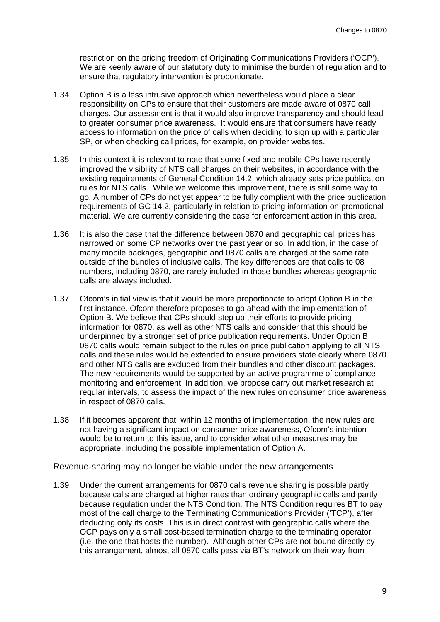restriction on the pricing freedom of Originating Communications Providers ('OCP'). We are keenly aware of our statutory duty to minimise the burden of regulation and to ensure that regulatory intervention is proportionate.

- 1.34 Option B is a less intrusive approach which nevertheless would place a clear responsibility on CPs to ensure that their customers are made aware of 0870 call charges. Our assessment is that it would also improve transparency and should lead to greater consumer price awareness. It would ensure that consumers have ready access to information on the price of calls when deciding to sign up with a particular SP, or when checking call prices, for example, on provider websites.
- 1.35 In this context it is relevant to note that some fixed and mobile CPs have recently improved the visibility of NTS call charges on their websites, in accordance with the existing requirements of General Condition 14.2, which already sets price publication rules for NTS calls. While we welcome this improvement, there is still some way to go. A number of CPs do not yet appear to be fully compliant with the price publication requirements of GC 14.2, particularly in relation to pricing information on promotional material. We are currently considering the case for enforcement action in this area.
- 1.36 It is also the case that the difference between 0870 and geographic call prices has narrowed on some CP networks over the past year or so. In addition, in the case of many mobile packages, geographic and 0870 calls are charged at the same rate outside of the bundles of inclusive calls. The key differences are that calls to 08 numbers, including 0870, are rarely included in those bundles whereas geographic calls are always included.
- 1.37 Ofcom's initial view is that it would be more proportionate to adopt Option B in the first instance. Ofcom therefore proposes to go ahead with the implementation of Option B. We believe that CPs should step up their efforts to provide pricing information for 0870, as well as other NTS calls and consider that this should be underpinned by a stronger set of price publication requirements. Under Option B 0870 calls would remain subject to the rules on price publication applying to all NTS calls and these rules would be extended to ensure providers state clearly where 0870 and other NTS calls are excluded from their bundles and other discount packages. The new requirements would be supported by an active programme of compliance monitoring and enforcement. In addition, we propose carry out market research at regular intervals, to assess the impact of the new rules on consumer price awareness in respect of 0870 calls.
- 1.38 If it becomes apparent that, within 12 months of implementation, the new rules are not having a significant impact on consumer price awareness, Ofcom's intention would be to return to this issue, and to consider what other measures may be appropriate, including the possible implementation of Option A.

#### Revenue-sharing may no longer be viable under the new arrangements

1.39 Under the current arrangements for 0870 calls revenue sharing is possible partly because calls are charged at higher rates than ordinary geographic calls and partly because regulation under the NTS Condition. The NTS Condition requires BT to pay most of the call charge to the Terminating Communications Provider ('TCP'), after deducting only its costs. This is in direct contrast with geographic calls where the OCP pays only a small cost-based termination charge to the terminating operator (i.e. the one that hosts the number). Although other CPs are not bound directly by this arrangement, almost all 0870 calls pass via BT's network on their way from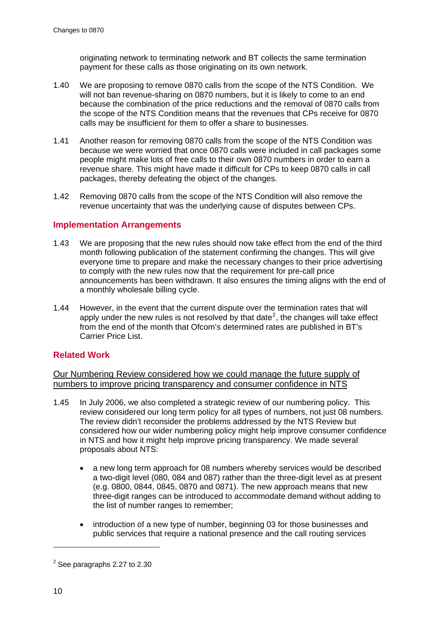originating network to terminating network and BT collects the same termination payment for these calls as those originating on its own network.

- 1.40 We are proposing to remove 0870 calls from the scope of the NTS Condition. We will not ban revenue-sharing on 0870 numbers, but it is likely to come to an end because the combination of the price reductions and the removal of 0870 calls from the scope of the NTS Condition means that the revenues that CPs receive for 0870 calls may be insufficient for them to offer a share to businesses.
- 1.41 Another reason for removing 0870 calls from the scope of the NTS Condition was because we were worried that once 0870 calls were included in call packages some people might make lots of free calls to their own 0870 numbers in order to earn a revenue share. This might have made it difficult for CPs to keep 0870 calls in call packages, thereby defeating the object of the changes.
- 1.42 Removing 0870 calls from the scope of the NTS Condition will also remove the revenue uncertainty that was the underlying cause of disputes between CPs.

#### **Implementation Arrangements**

- 1.43 We are proposing that the new rules should now take effect from the end of the third month following publication of the statement confirming the changes. This will give everyone time to prepare and make the necessary changes to their price advertising to comply with the new rules now that the requirement for pre-call price announcements has been withdrawn. It also ensures the timing aligns with the end of a monthly wholesale billing cycle.
- 1.44 However, in the event that the current dispute over the termination rates that will apply under the new rules is not resolved by that date<sup>[2](#page-9-0)</sup>, the changes will take effect from the end of the month that Ofcom's determined rates are published in BT's Carrier Price List.

#### **Related Work**

Our Numbering Review considered how we could manage the future supply of numbers to improve pricing transparency and consumer confidence in NTS

- 1.45 In July 2006, we also completed a strategic review of our numbering policy. This review considered our long term policy for all types of numbers, not just 08 numbers. The review didn't reconsider the problems addressed by the NTS Review but considered how our wider numbering policy might help improve consumer confidence in NTS and how it might help improve pricing transparency. We made several proposals about NTS:
	- a new long term approach for 08 numbers whereby services would be described a two-digit level (080, 084 and 087) rather than the three-digit level as at present (e.g. 0800, 0844, 0845, 0870 and 0871). The new approach means that new three-digit ranges can be introduced to accommodate demand without adding to the list of number ranges to remember;
	- introduction of a new type of number, beginning 03 for those businesses and public services that require a national presence and the call routing services

-

<span id="page-9-0"></span> $<sup>2</sup>$  See paragraphs 2.27 to 2.30</sup>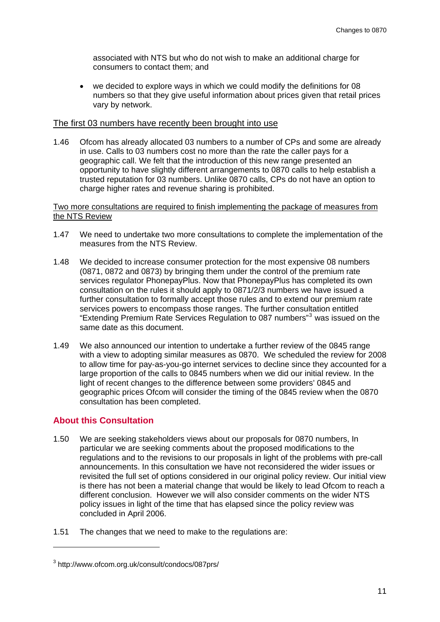associated with NTS but who do not wish to make an additional charge for consumers to contact them; and

• we decided to explore ways in which we could modify the definitions for 08 numbers so that they give useful information about prices given that retail prices vary by network.

#### The first 03 numbers have recently been brought into use

1.46 Ofcom has already allocated 03 numbers to a number of CPs and some are already in use. Calls to 03 numbers cost no more than the rate the caller pays for a geographic call. We felt that the introduction of this new range presented an opportunity to have slightly different arrangements to 0870 calls to help establish a trusted reputation for 03 numbers. Unlike 0870 calls, CPs do not have an option to charge higher rates and revenue sharing is prohibited.

#### Two more consultations are required to finish implementing the package of measures from the NTS Review

- 1.47 We need to undertake two more consultations to complete the implementation of the measures from the NTS Review.
- 1.48 We decided to increase consumer protection for the most expensive 08 numbers (0871, 0872 and 0873) by bringing them under the control of the premium rate services regulator PhonepayPlus. Now that PhonepayPlus has completed its own consultation on the rules it should apply to 0871/2/3 numbers we have issued a further consultation to formally accept those rules and to extend our premium rate services powers to encompass those ranges. The further consultation entitled "Extending Premium Rate Services Regulation to 087 numbers"<sup>[3](#page-10-0)</sup> was issued on the same date as this document.
- 1.49 We also announced our intention to undertake a further review of the 0845 range with a view to adopting similar measures as 0870. We scheduled the review for 2008 to allow time for pay-as-you-go internet services to decline since they accounted for a large proportion of the calls to 0845 numbers when we did our initial review. In the light of recent changes to the difference between some providers' 0845 and geographic prices Ofcom will consider the timing of the 0845 review when the 0870 consultation has been completed.

#### **About this Consultation**

-

- 1.50 We are seeking stakeholders views about our proposals for 0870 numbers, In particular we are seeking comments about the proposed modifications to the regulations and to the revisions to our proposals in light of the problems with pre-call announcements. In this consultation we have not reconsidered the wider issues or revisited the full set of options considered in our original policy review. Our initial view is there has not been a material change that would be likely to lead Ofcom to reach a different conclusion. However we will also consider comments on the wider NTS policy issues in light of the time that has elapsed since the policy review was concluded in April 2006.
- 1.51 The changes that we need to make to the regulations are:

<span id="page-10-0"></span><sup>3</sup> http://www.ofcom.org.uk/consult/condocs/087prs/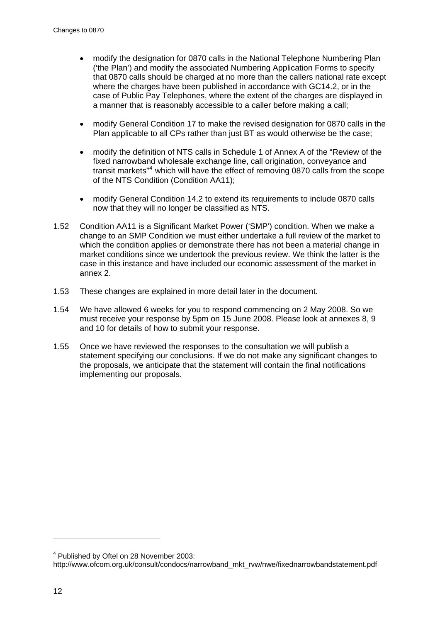- modify the designation for 0870 calls in the National Telephone Numbering Plan ('the Plan') and modify the associated Numbering Application Forms to specify that 0870 calls should be charged at no more than the callers national rate except where the charges have been published in accordance with GC14.2, or in the case of Public Pay Telephones, where the extent of the charges are displayed in a manner that is reasonably accessible to a caller before making a call;
- modify General Condition 17 to make the revised designation for 0870 calls in the Plan applicable to all CPs rather than just BT as would otherwise be the case;
- modify the definition of NTS calls in Schedule 1 of Annex A of the "Review of the fixed narrowband wholesale exchange line, call origination, conveyance and transit markets<sup>"[4](#page-11-0)</sup> which will have the effect of removing 0870 calls from the scope of the NTS Condition (Condition AA11);
- modify General Condition 14.2 to extend its requirements to include 0870 calls now that they will no longer be classified as NTS.
- 1.52 Condition AA11 is a Significant Market Power ('SMP') condition. When we make a change to an SMP Condition we must either undertake a full review of the market to which the condition applies or demonstrate there has not been a material change in market conditions since we undertook the previous review. We think the latter is the case in this instance and have included our economic assessment of the market in annex 2.
- 1.53 These changes are explained in more detail later in the document.
- 1.54 We have allowed 6 weeks for you to respond commencing on 2 May 2008. So we must receive your response by 5pm on 15 June 2008. Please look at annexes 8, 9 and 10 for details of how to submit your response.
- 1.55 Once we have reviewed the responses to the consultation we will publish a statement specifying our conclusions. If we do not make any significant changes to the proposals, we anticipate that the statement will contain the final notifications implementing our proposals.

1

<span id="page-11-0"></span><sup>&</sup>lt;sup>4</sup> Published by Oftel on 28 November 2003:

http://www.ofcom.org.uk/consult/condocs/narrowband\_mkt\_rvw/nwe/fixednarrowbandstatement.pdf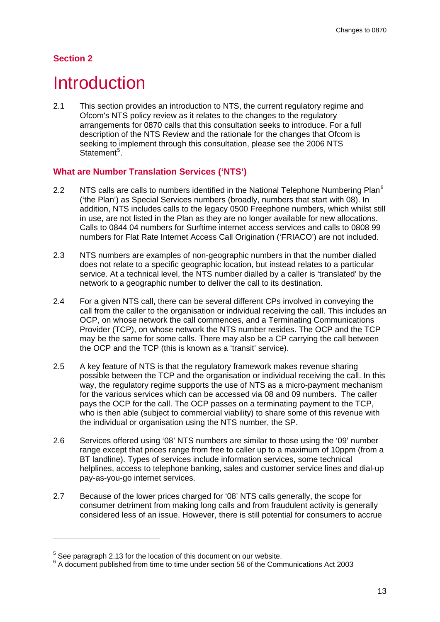# <span id="page-12-0"></span>**Section 2**

1

# **Introduction**

2.1 This section provides an introduction to NTS, the current regulatory regime and Ofcom's NTS policy review as it relates to the changes to the regulatory arrangements for 0870 calls that this consultation seeks to introduce. For a full description of the NTS Review and the rationale for the changes that Ofcom is seeking to implement through this consultation, please see the 2006 NTS Statement<sup>[5](#page-12-1)</sup>.

# **What are Number Translation Services ('NTS')**

- 2.2 NTS calls are calls to numbers identified in the National Telephone Numbering Plan $6$ ('the Plan') as Special Services numbers (broadly, numbers that start with 08). In addition, NTS includes calls to the legacy 0500 Freephone numbers, which whilst still in use, are not listed in the Plan as they are no longer available for new allocations. Calls to 0844 04 numbers for Surftime internet access services and calls to 0808 99 numbers for Flat Rate Internet Access Call Origination ('FRIACO') are not included.
- 2.3 NTS numbers are examples of non-geographic numbers in that the number dialled does not relate to a specific geographic location, but instead relates to a particular service. At a technical level, the NTS number dialled by a caller is 'translated' by the network to a geographic number to deliver the call to its destination.
- 2.4 For a given NTS call, there can be several different CPs involved in conveying the call from the caller to the organisation or individual receiving the call. This includes an OCP, on whose network the call commences, and a Terminating Communications Provider (TCP), on whose network the NTS number resides. The OCP and the TCP may be the same for some calls. There may also be a CP carrying the call between the OCP and the TCP (this is known as a 'transit' service).
- 2.5 A key feature of NTS is that the regulatory framework makes revenue sharing possible between the TCP and the organisation or individual receiving the call. In this way, the regulatory regime supports the use of NTS as a micro-payment mechanism for the various services which can be accessed via 08 and 09 numbers. The caller pays the OCP for the call. The OCP passes on a terminating payment to the TCP, who is then able (subject to commercial viability) to share some of this revenue with the individual or organisation using the NTS number, the SP.
- 2.6 Services offered using '08' NTS numbers are similar to those using the '09' number range except that prices range from free to caller up to a maximum of 10ppm (from a BT landline). Types of services include information services, some technical helplines, access to telephone banking, sales and customer service lines and dial-up pay-as-you-go internet services.
- 2.7 Because of the lower prices charged for '08' NTS calls generally, the scope for consumer detriment from making long calls and from fraudulent activity is generally considered less of an issue. However, there is still potential for consumers to accrue

<span id="page-12-1"></span> $5$  See paragraph 2.13 for the location of this document on our website.

<span id="page-12-2"></span><sup>&</sup>lt;sup>6</sup> A document published from time to time under section 56 of the Communications Act 2003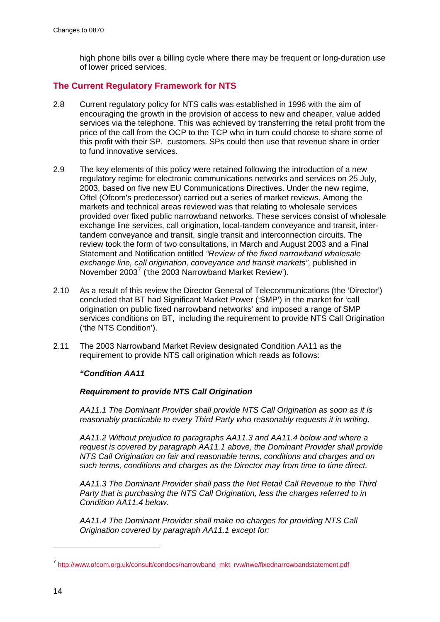high phone bills over a billing cycle where there may be frequent or long-duration use of lower priced services.

### **The Current Regulatory Framework for NTS**

- 2.8 Current regulatory policy for NTS calls was established in 1996 with the aim of encouraging the growth in the provision of access to new and cheaper, value added services via the telephone. This was achieved by transferring the retail profit from the price of the call from the OCP to the TCP who in turn could choose to share some of this profit with their SP. customers. SPs could then use that revenue share in order to fund innovative services.
- 2.9 The key elements of this policy were retained following the introduction of a new regulatory regime for electronic communications networks and services on 25 July, 2003, based on five new EU Communications Directives. Under the new regime, Oftel (Ofcom's predecessor) carried out a series of market reviews. Among the markets and technical areas reviewed was that relating to wholesale services provided over fixed public narrowband networks. These services consist of wholesale exchange line services, call origination, local-tandem conveyance and transit, intertandem conveyance and transit, single transit and interconnection circuits. The review took the form of two consultations, in March and August 2003 and a Final Statement and Notification entitled *"Review of the fixed narrowband wholesale exchange line, call origination, conveyance and transit markets",* published in November 2003<sup>[7](#page-13-0)</sup> ('the 2003 Narrowband Market Review').
- 2.10 As a result of this review the Director General of Telecommunications (the 'Director') concluded that BT had Significant Market Power ('SMP') in the market for 'call origination on public fixed narrowband networks' and imposed a range of SMP services conditions on BT, including the requirement to provide NTS Call Origination ('the NTS Condition').
- 2.11 The 2003 Narrowband Market Review designated Condition AA11 as the requirement to provide NTS call origination which reads as follows:

#### *"Condition AA11*

#### *Requirement to provide NTS Call Origination*

*AA11.1 The Dominant Provider shall provide NTS Call Origination as soon as it is reasonably practicable to every Third Party who reasonably requests it in writing.* 

*AA11.2 Without prejudice to paragraphs AA11.3 and AA11.4 below and where a request is covered by paragraph AA11.1 above, the Dominant Provider shall provide NTS Call Origination on fair and reasonable terms, conditions and charges and on such terms, conditions and charges as the Director may from time to time direct.* 

*AA11.3 The Dominant Provider shall pass the Net Retail Call Revenue to the Third Party that is purchasing the NTS Call Origination, less the charges referred to in Condition AA11.4 below.* 

*AA11.4 The Dominant Provider shall make no charges for providing NTS Call Origination covered by paragraph AA11.1 except for:* 

-

<span id="page-13-0"></span><sup>7</sup> [http://www.ofcom.org.uk/consult/condocs/narrowband\\_mkt\\_rvw/nwe/fixednarrowbandstatement.pdf](http://www.ofcom.org.uk/consult/condocs/narrowband_mkt_rvw/nwe/fixednarrowbandstatement.pdf)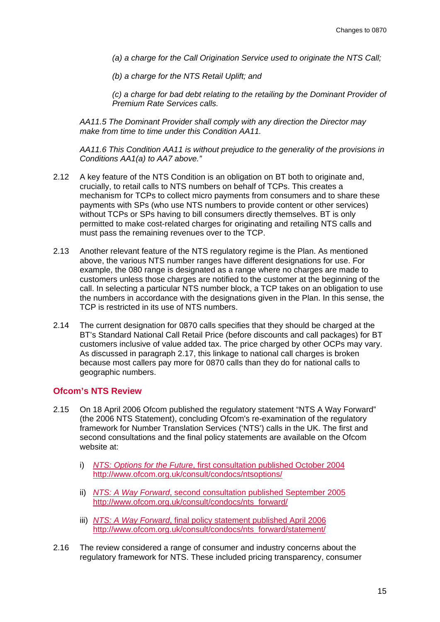*(a) a charge for the Call Origination Service used to originate the NTS Call;* 

*(b) a charge for the NTS Retail Uplift; and* 

*(c) a charge for bad debt relating to the retailing by the Dominant Provider of Premium Rate Services calls.* 

*AA11.5 The Dominant Provider shall comply with any direction the Director may make from time to time under this Condition AA11.* 

*AA11.6 This Condition AA11 is without prejudice to the generality of the provisions in Conditions AA1(a) to AA7 above."* 

- 2.12 A key feature of the NTS Condition is an obligation on BT both to originate and, crucially, to retail calls to NTS numbers on behalf of TCPs. This creates a mechanism for TCPs to collect micro payments from consumers and to share these payments with SPs (who use NTS numbers to provide content or other services) without TCPs or SPs having to bill consumers directly themselves. BT is only permitted to make cost-related charges for originating and retailing NTS calls and must pass the remaining revenues over to the TCP.
- 2.13 Another relevant feature of the NTS regulatory regime is the Plan. As mentioned above, the various NTS number ranges have different designations for use. For example, the 080 range is designated as a range where no charges are made to customers unless those charges are notified to the customer at the beginning of the call. In selecting a particular NTS number block, a TCP takes on an obligation to use the numbers in accordance with the designations given in the Plan. In this sense, the TCP is restricted in its use of NTS numbers.
- 2.14 The current designation for 0870 calls specifies that they should be charged at the BT's Standard National Call Retail Price (before discounts and call packages) for BT customers inclusive of value added tax. The price charged by other OCPs may vary. As discussed in paragraph 2.17, this linkage to national call charges is broken because most callers pay more for 0870 calls than they do for national calls to geographic numbers.

#### **Ofcom's NTS Review**

- 2.15 On 18 April 2006 Ofcom published the regulatory statement "NTS A Way Forward" (the 2006 NTS Statement), concluding Ofcom's re-examination of the regulatory framework for Number Translation Services ('NTS') calls in the UK. The first and second consultations and the final policy statements are available on the Ofcom website at:
	- i) *NTS: Options for the Future*, first consultation published October 2004 http://www.ofcom.org.uk/consult/condocs/ntsoptions/
	- ii) *NTS: A Way Forward*, second consultation published September 2005 http://www.ofcom.org.uk/consult/condocs/nts\_forward/
	- iii) *NTS: A Way Forward*, final policy statement published April 2006 http://www.ofcom.org.uk/consult/condocs/nts\_forward/statement/
- 2.16 The review considered a range of consumer and industry concerns about the regulatory framework for NTS. These included pricing transparency, consumer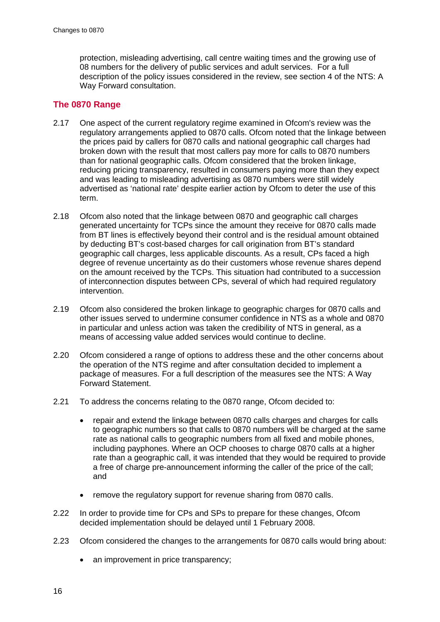protection, misleading advertising, call centre waiting times and the growing use of 08 numbers for the delivery of public services and adult services. For a full description of the policy issues considered in the review, see section 4 of the NTS: A Way Forward consultation.

# **The 0870 Range**

- 2.17 One aspect of the current regulatory regime examined in Ofcom's review was the regulatory arrangements applied to 0870 calls. Ofcom noted that the linkage between the prices paid by callers for 0870 calls and national geographic call charges had broken down with the result that most callers pay more for calls to 0870 numbers than for national geographic calls. Ofcom considered that the broken linkage, reducing pricing transparency, resulted in consumers paying more than they expect and was leading to misleading advertising as 0870 numbers were still widely advertised as 'national rate' despite earlier action by Ofcom to deter the use of this term.
- 2.18 Ofcom also noted that the linkage between 0870 and geographic call charges generated uncertainty for TCPs since the amount they receive for 0870 calls made from BT lines is effectively beyond their control and is the residual amount obtained by deducting BT's cost-based charges for call origination from BT's standard geographic call charges, less applicable discounts. As a result, CPs faced a high degree of revenue uncertainty as do their customers whose revenue shares depend on the amount received by the TCPs. This situation had contributed to a succession of interconnection disputes between CPs, several of which had required regulatory intervention.
- 2.19 Ofcom also considered the broken linkage to geographic charges for 0870 calls and other issues served to undermine consumer confidence in NTS as a whole and 0870 in particular and unless action was taken the credibility of NTS in general, as a means of accessing value added services would continue to decline.
- 2.20 Ofcom considered a range of options to address these and the other concerns about the operation of the NTS regime and after consultation decided to implement a package of measures. For a full description of the measures see the NTS: A Way Forward Statement.
- 2.21 To address the concerns relating to the 0870 range, Ofcom decided to:
	- repair and extend the linkage between 0870 calls charges and charges for calls to geographic numbers so that calls to 0870 numbers will be charged at the same rate as national calls to geographic numbers from all fixed and mobile phones, including payphones. Where an OCP chooses to charge 0870 calls at a higher rate than a geographic call, it was intended that they would be required to provide a free of charge pre-announcement informing the caller of the price of the call; and
	- remove the regulatory support for revenue sharing from 0870 calls.
- 2.22 In order to provide time for CPs and SPs to prepare for these changes, Ofcom decided implementation should be delayed until 1 February 2008.
- 2.23 Ofcom considered the changes to the arrangements for 0870 calls would bring about:
	- an improvement in price transparency;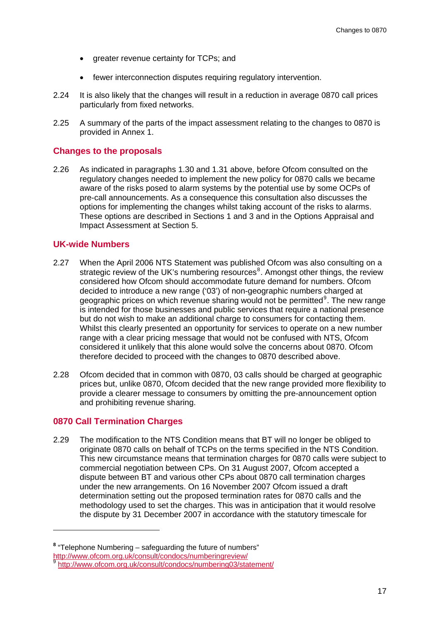- greater revenue certainty for TCPs; and
- fewer interconnection disputes requiring regulatory intervention.
- 2.24 It is also likely that the changes will result in a reduction in average 0870 call prices particularly from fixed networks.
- 2.25 A summary of the parts of the impact assessment relating to the changes to 0870 is provided in Annex 1.

#### **Changes to the proposals**

2.26 As indicated in paragraphs 1.30 and 1.31 above, before Ofcom consulted on the regulatory changes needed to implement the new policy for 0870 calls we became aware of the risks posed to alarm systems by the potential use by some OCPs of pre-call announcements. As a consequence this consultation also discusses the options for implementing the changes whilst taking account of the risks to alarms. These options are described in Sections 1 and 3 and in the Options Appraisal and Impact Assessment at Section 5.

#### **UK-wide Numbers**

- 2.27 When the April 2006 NTS Statement was published Ofcom was also consulting on a strategic review of the UK's numbering resources<sup>[8](#page-16-0)</sup>. Amongst other things, the review considered how Ofcom should accommodate future demand for numbers. Ofcom decided to introduce a new range ('03') of non-geographic numbers charged at geographic prices on which revenue sharing would not be permitted<sup>[9](#page-16-1)</sup>. The new range is intended for those businesses and public services that require a national presence but do not wish to make an additional charge to consumers for contacting them. Whilst this clearly presented an opportunity for services to operate on a new number range with a clear pricing message that would not be confused with NTS, Ofcom considered it unlikely that this alone would solve the concerns about 0870. Ofcom therefore decided to proceed with the changes to 0870 described above.
- 2.28 Ofcom decided that in common with 0870, 03 calls should be charged at geographic prices but, unlike 0870, Ofcom decided that the new range provided more flexibility to provide a clearer message to consumers by omitting the pre-announcement option and prohibiting revenue sharing.

#### **0870 Call Termination Charges**

 $\overline{a}$ 

2.29 The modification to the NTS Condition means that BT will no longer be obliged to originate 0870 calls on behalf of TCPs on the terms specified in the NTS Condition. This new circumstance means that termination charges for 0870 calls were subject to commercial negotiation between CPs. On 31 August 2007, Ofcom accepted a dispute between BT and various other CPs about 0870 call termination charges under the new arrangements. On 16 November 2007 Ofcom issued a draft determination setting out the proposed termination rates for 0870 calls and the methodology used to set the charges. This was in anticipation that it would resolve the dispute by 31 December 2007 in accordance with the statutory timescale for

**<sup>8</sup>** "Telephone Numbering – safeguarding the future of numbers"

<span id="page-16-1"></span><span id="page-16-0"></span><http://www.ofcom.org.uk/consult/condocs/numberingreview/> [9](http://www.ofcom.org.uk/consult/condocs/numberingreview/) <http://www.ofcom.org.uk/consult/condocs/numbering03/statement/>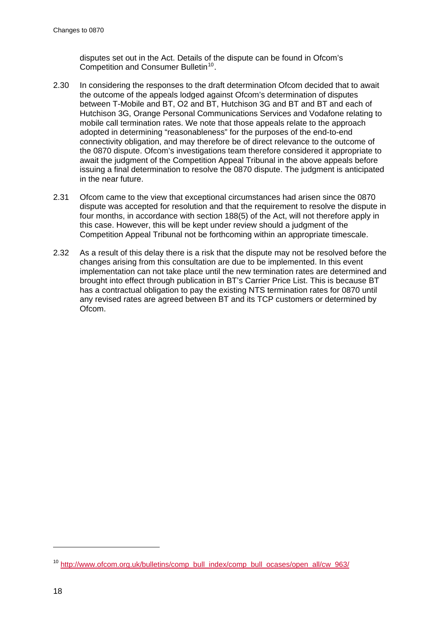disputes set out in the Act. Details of the dispute can be found in Ofcom's Competition and Consumer Bulletin<sup>[10](#page-17-0)</sup>.

- 2.30 In considering the responses to the draft determination Ofcom decided that to await the outcome of the appeals lodged against Ofcom's determination of disputes between T-Mobile and BT, O2 and BT, Hutchison 3G and BT and BT and each of Hutchison 3G, Orange Personal Communications Services and Vodafone relating to mobile call termination rates. We note that those appeals relate to the approach adopted in determining "reasonableness" for the purposes of the end-to-end connectivity obligation, and may therefore be of direct relevance to the outcome of the 0870 dispute. Ofcom's investigations team therefore considered it appropriate to await the judgment of the Competition Appeal Tribunal in the above appeals before issuing a final determination to resolve the 0870 dispute. The judgment is anticipated in the near future.
- 2.31 Ofcom came to the view that exceptional circumstances had arisen since the 0870 dispute was accepted for resolution and that the requirement to resolve the dispute in four months, in accordance with section 188(5) of the Act, will not therefore apply in this case. However, this will be kept under review should a judgment of the Competition Appeal Tribunal not be forthcoming within an appropriate timescale.
- 2.32 As a result of this delay there is a risk that the dispute may not be resolved before the changes arising from this consultation are due to be implemented. In this event implementation can not take place until the new termination rates are determined and brought into effect through publication in BT's Carrier Price List. This is because BT has a contractual obligation to pay the existing NTS termination rates for 0870 until any revised rates are agreed between BT and its TCP customers or determined by Ofcom.

-

<span id="page-17-0"></span><sup>&</sup>lt;sup>10</sup> [http://www.ofcom.org.uk/bulletins/comp\\_bull\\_index/comp\\_bull\\_ocases/open\\_all/cw\\_963/](http://www.ofcom.org.uk/bulletins/comp_bull_index/comp_bull_ocases/open_all/cw_963/)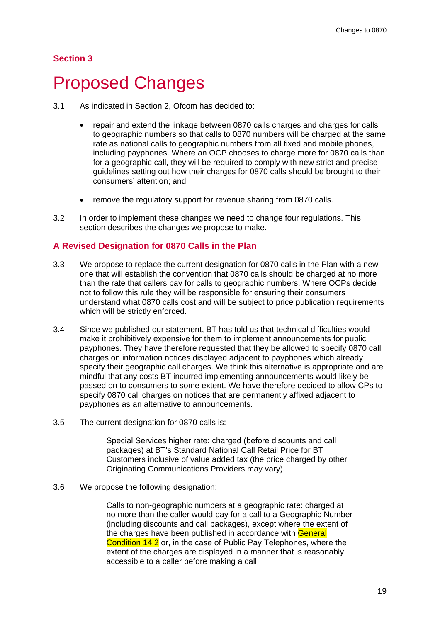#### <span id="page-18-0"></span>**Section 3**

# 3 Proposed Changes

- 3.1 As indicated in Section 2, Ofcom has decided to:
	- repair and extend the linkage between 0870 calls charges and charges for calls to geographic numbers so that calls to 0870 numbers will be charged at the same rate as national calls to geographic numbers from all fixed and mobile phones, including payphones. Where an OCP chooses to charge more for 0870 calls than for a geographic call, they will be required to comply with new strict and precise guidelines setting out how their charges for 0870 calls should be brought to their consumers' attention; and
	- remove the regulatory support for revenue sharing from 0870 calls.
- 3.2 In order to implement these changes we need to change four regulations. This section describes the changes we propose to make.

#### **A Revised Designation for 0870 Calls in the Plan**

- 3.3 We propose to replace the current designation for 0870 calls in the Plan with a new one that will establish the convention that 0870 calls should be charged at no more than the rate that callers pay for calls to geographic numbers. Where OCPs decide not to follow this rule they will be responsible for ensuring their consumers understand what 0870 calls cost and will be subject to price publication requirements which will be strictly enforced.
- 3.4 Since we published our statement, BT has told us that technical difficulties would make it prohibitively expensive for them to implement announcements for public payphones. They have therefore requested that they be allowed to specify 0870 call charges on information notices displayed adjacent to payphones which already specify their geographic call charges. We think this alternative is appropriate and are mindful that any costs BT incurred implementing announcements would likely be passed on to consumers to some extent. We have therefore decided to allow CPs to specify 0870 call charges on notices that are permanently affixed adjacent to payphones as an alternative to announcements.
- 3.5 The current designation for 0870 calls is:

Special Services higher rate: charged (before discounts and call packages) at BT's Standard National Call Retail Price for BT Customers inclusive of value added tax (the price charged by other Originating Communications Providers may vary).

3.6 We propose the following designation:

Calls to non-geographic numbers at a geographic rate: charged at no more than the caller would pay for a call to a Geographic Number (including discounts and call packages), except where the extent of the charges have been published in accordance with General Condition 14.2 or, in the case of Public Pay Telephones, where the extent of the charges are displayed in a manner that is reasonably accessible to a caller before making a call.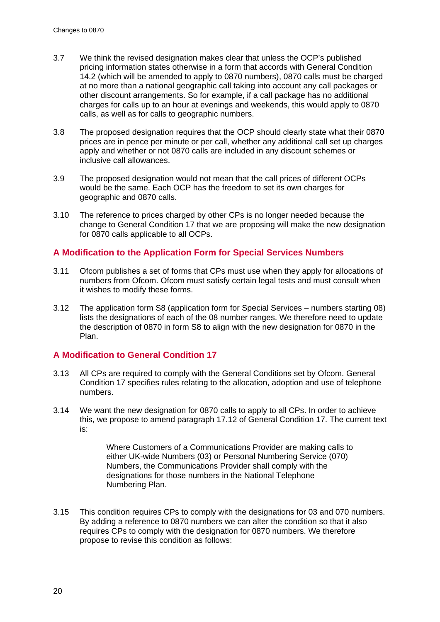- 3.7 We think the revised designation makes clear that unless the OCP's published pricing information states otherwise in a form that accords with General Condition 14.2 (which will be amended to apply to 0870 numbers), 0870 calls must be charged at no more than a national geographic call taking into account any call packages or other discount arrangements. So for example, if a call package has no additional charges for calls up to an hour at evenings and weekends, this would apply to 0870 calls, as well as for calls to geographic numbers.
- 3.8 The proposed designation requires that the OCP should clearly state what their 0870 prices are in pence per minute or per call, whether any additional call set up charges apply and whether or not 0870 calls are included in any discount schemes or inclusive call allowances.
- 3.9 The proposed designation would not mean that the call prices of different OCPs would be the same. Each OCP has the freedom to set its own charges for geographic and 0870 calls.
- 3.10 The reference to prices charged by other CPs is no longer needed because the change to General Condition 17 that we are proposing will make the new designation for 0870 calls applicable to all OCPs.

#### **A Modification to the Application Form for Special Services Numbers**

- 3.11 Ofcom publishes a set of forms that CPs must use when they apply for allocations of numbers from Ofcom. Ofcom must satisfy certain legal tests and must consult when it wishes to modify these forms.
- 3.12 The application form S8 (application form for Special Services numbers starting 08) lists the designations of each of the 08 number ranges. We therefore need to update the description of 0870 in form S8 to align with the new designation for 0870 in the Plan.

#### **A Modification to General Condition 17**

- 3.13 All CPs are required to comply with the General Conditions set by Ofcom. General Condition 17 specifies rules relating to the allocation, adoption and use of telephone numbers.
- 3.14 We want the new designation for 0870 calls to apply to all CPs. In order to achieve this, we propose to amend paragraph 17.12 of General Condition 17. The current text is:

Where Customers of a Communications Provider are making calls to either UK-wide Numbers (03) or Personal Numbering Service (070) Numbers, the Communications Provider shall comply with the designations for those numbers in the National Telephone Numbering Plan.

3.15 This condition requires CPs to comply with the designations for 03 and 070 numbers. By adding a reference to 0870 numbers we can alter the condition so that it also requires CPs to comply with the designation for 0870 numbers. We therefore propose to revise this condition as follows: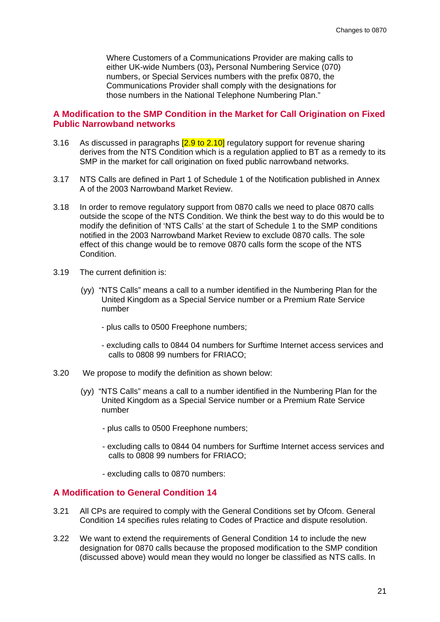Where Customers of a Communications Provider are making calls to either UK-wide Numbers (03), Personal Numbering Service (070) numbers, or Special Services numbers with the prefix 0870, the Communications Provider shall comply with the designations for those numbers in the National Telephone Numbering Plan."

#### **A Modification to the SMP Condition in the Market for Call Origination on Fixed Public Narrowband networks**

- 3.16 As discussed in paragraphs  $[2.9 \text{ to } 2.10]$  regulatory support for revenue sharing derives from the NTS Condition which is a regulation applied to BT as a remedy to its SMP in the market for call origination on fixed public narrowband networks.
- 3.17 NTS Calls are defined in Part 1 of Schedule 1 of the Notification published in Annex A of the 2003 Narrowband Market Review.
- 3.18 In order to remove regulatory support from 0870 calls we need to place 0870 calls outside the scope of the NTS Condition. We think the best way to do this would be to modify the definition of 'NTS Calls' at the start of Schedule 1 to the SMP conditions notified in the 2003 Narrowband Market Review to exclude 0870 calls. The sole effect of this change would be to remove 0870 calls form the scope of the NTS **Condition**
- 3.19 The current definition is:
	- (yy) "NTS Calls" means a call to a number identified in the Numbering Plan for the United Kingdom as a Special Service number or a Premium Rate Service number
		- plus calls to 0500 Freephone numbers;
		- excluding calls to 0844 04 numbers for Surftime Internet access services and calls to 0808 99 numbers for FRIACO;
- 3.20 We propose to modify the definition as shown below:
	- (yy) "NTS Calls" means a call to a number identified in the Numbering Plan for the United Kingdom as a Special Service number or a Premium Rate Service number
		- plus calls to 0500 Freephone numbers;
		- excluding calls to 0844 04 numbers for Surftime Internet access services and calls to 0808 99 numbers for FRIACO;
		- excluding calls to 0870 numbers:

#### **A Modification to General Condition 14**

- 3.21 All CPs are required to comply with the General Conditions set by Ofcom. General Condition 14 specifies rules relating to Codes of Practice and dispute resolution.
- 3.22 We want to extend the requirements of General Condition 14 to include the new designation for 0870 calls because the proposed modification to the SMP condition (discussed above) would mean they would no longer be classified as NTS calls. In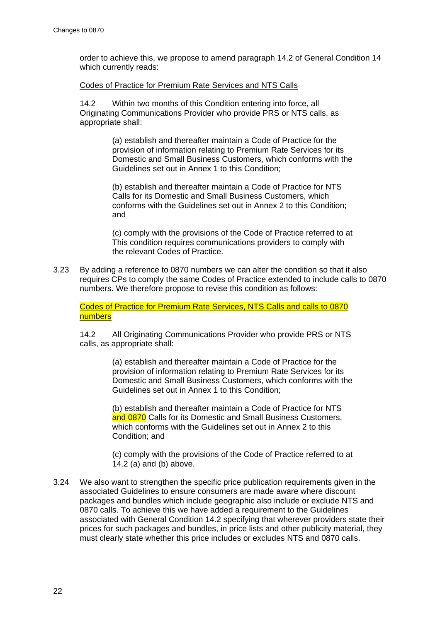order to achieve this, we propose to amend paragraph 14.2 of General Condition 14 which currently reads:

#### Codes of Practice for Premium Rate Services and NTS Calls

14.2 Within two months of this Condition entering into force, all Originating Communications Provider who provide PRS or NTS calls, as appropriate shall:

> (a) establish and thereafter maintain a Code of Practice for the provision of information relating to Premium Rate Services for its Domestic and Small Business Customers, which conforms with the Guidelines set out in Annex 1 to this Condition;

(b) establish and thereafter maintain a Code of Practice for NTS Calls for its Domestic and Small Business Customers, which conforms with the Guidelines set out in Annex 2 to this Condition; and

(c) comply with the provisions of the Code of Practice referred to at This condition requires communications providers to comply with the relevant Codes of Practice.

3.23 By adding a reference to 0870 numbers we can alter the condition so that it also requires CPs to comply the same Codes of Practice extended to include calls to 0870 numbers. We therefore propose to revise this condition as follows:

Codes of Practice for Premium Rate Services, NTS Calls and calls to 0870 numbers

14.2 All Originating Communications Provider who provide PRS or NTS calls, as appropriate shall:

> (a) establish and thereafter maintain a Code of Practice for the provision of information relating to Premium Rate Services for its Domestic and Small Business Customers, which conforms with the Guidelines set out in Annex 1 to this Condition;

(b) establish and thereafter maintain a Code of Practice for NTS and 0870 Calls for its Domestic and Small Business Customers. which conforms with the Guidelines set out in Annex 2 to this Condition; and

(c) comply with the provisions of the Code of Practice referred to at 14.2 (a) and (b) above.

3.24 We also want to strengthen the specific price publication requirements given in the associated Guidelines to ensure consumers are made aware where discount packages and bundles which include geographic also include or exclude NTS and 0870 calls. To achieve this we have added a requirement to the Guidelines associated with General Condition 14.2 specifying that wherever providers state their prices for such packages and bundles, in price lists and other publicity material, they must clearly state whether this price includes or excludes NTS and 0870 calls.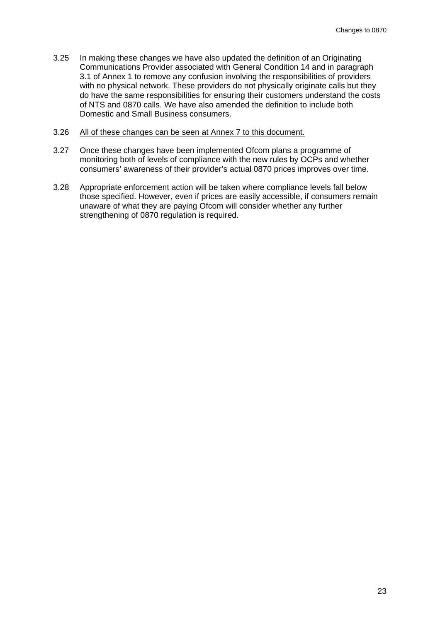- 3.25 In making these changes we have also updated the definition of an Originating Communications Provider associated with General Condition 14 and in paragraph 3.1 of Annex 1 to remove any confusion involving the responsibilities of providers with no physical network. These providers do not physically originate calls but they do have the same responsibilities for ensuring their customers understand the costs of NTS and 0870 calls. We have also amended the definition to include both Domestic and Small Business consumers.
- 3.26 All of these changes can be seen at Annex 7 to this document.
- 3.27 Once these changes have been implemented Ofcom plans a programme of monitoring both of levels of compliance with the new rules by OCPs and whether consumers' awareness of their provider's actual 0870 prices improves over time.
- 3.28 Appropriate enforcement action will be taken where compliance levels fall below those specified. However, even if prices are easily accessible, if consumers remain unaware of what they are paying Ofcom will consider whether any further strengthening of 0870 regulation is required.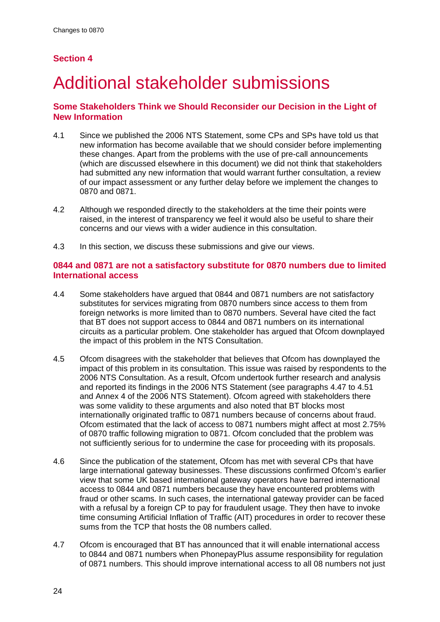# <span id="page-23-0"></span>**Section 4**

# 4 Additional stakeholder submissions

# **Some Stakeholders Think we Should Reconsider our Decision in the Light of New Information**

- 4.1 Since we published the 2006 NTS Statement, some CPs and SPs have told us that new information has become available that we should consider before implementing these changes. Apart from the problems with the use of pre-call announcements (which are discussed elsewhere in this document) we did not think that stakeholders had submitted any new information that would warrant further consultation, a review of our impact assessment or any further delay before we implement the changes to 0870 and 0871.
- 4.2 Although we responded directly to the stakeholders at the time their points were raised, in the interest of transparency we feel it would also be useful to share their concerns and our views with a wider audience in this consultation.
- 4.3 In this section, we discuss these submissions and give our views.

### **0844 and 0871 are not a satisfactory substitute for 0870 numbers due to limited International access**

- 4.4 Some stakeholders have argued that 0844 and 0871 numbers are not satisfactory substitutes for services migrating from 0870 numbers since access to them from foreign networks is more limited than to 0870 numbers. Several have cited the fact that BT does not support access to 0844 and 0871 numbers on its international circuits as a particular problem. One stakeholder has argued that Ofcom downplayed the impact of this problem in the NTS Consultation.
- 4.5 Ofcom disagrees with the stakeholder that believes that Ofcom has downplayed the impact of this problem in its consultation. This issue was raised by respondents to the 2006 NTS Consultation. As a result, Ofcom undertook further research and analysis and reported its findings in the 2006 NTS Statement (see paragraphs 4.47 to 4.51 and Annex 4 of the 2006 NTS Statement). Ofcom agreed with stakeholders there was some validity to these arguments and also noted that BT blocks most internationally originated traffic to 0871 numbers because of concerns about fraud. Ofcom estimated that the lack of access to 0871 numbers might affect at most 2.75% of 0870 traffic following migration to 0871. Ofcom concluded that the problem was not sufficiently serious for to undermine the case for proceeding with its proposals.
- 4.6 Since the publication of the statement, Ofcom has met with several CPs that have large international gateway businesses. These discussions confirmed Ofcom's earlier view that some UK based international gateway operators have barred international access to 0844 and 0871 numbers because they have encountered problems with fraud or other scams. In such cases, the international gateway provider can be faced with a refusal by a foreign CP to pay for fraudulent usage. They then have to invoke time consuming Artificial Inflation of Traffic (AIT) procedures in order to recover these sums from the TCP that hosts the 08 numbers called.
- 4.7 Ofcom is encouraged that BT has announced that it will enable international access to 0844 and 0871 numbers when PhonepayPlus assume responsibility for regulation of 0871 numbers. This should improve international access to all 08 numbers not just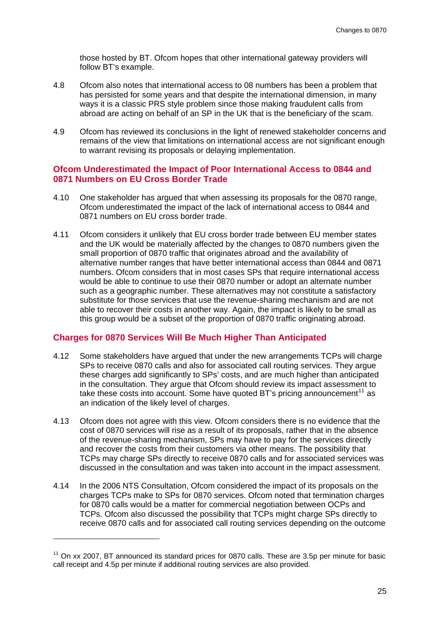those hosted by BT. Ofcom hopes that other international gateway providers will follow BT's example.

- 4.8 Ofcom also notes that international access to 08 numbers has been a problem that has persisted for some years and that despite the international dimension, in many ways it is a classic PRS style problem since those making fraudulent calls from abroad are acting on behalf of an SP in the UK that is the beneficiary of the scam.
- 4.9 Ofcom has reviewed its conclusions in the light of renewed stakeholder concerns and remains of the view that limitations on international access are not significant enough to warrant revising its proposals or delaying implementation.

#### **Ofcom Underestimated the Impact of Poor International Access to 0844 and 0871 Numbers on EU Cross Border Trade**

- 4.10 One stakeholder has argued that when assessing its proposals for the 0870 range, Ofcom underestimated the impact of the lack of international access to 0844 and 0871 numbers on EU cross border trade.
- 4.11 Ofcom considers it unlikely that EU cross border trade between EU member states and the UK would be materially affected by the changes to 0870 numbers given the small proportion of 0870 traffic that originates abroad and the availability of alternative number ranges that have better international access than 0844 and 0871 numbers. Ofcom considers that in most cases SPs that require international access would be able to continue to use their 0870 number or adopt an alternate number such as a geographic number. These alternatives may not constitute a satisfactory substitute for those services that use the revenue-sharing mechanism and are not able to recover their costs in another way. Again, the impact is likely to be small as this group would be a subset of the proportion of 0870 traffic originating abroad.

#### **Charges for 0870 Services Will Be Much Higher Than Anticipated**

- 4.12 Some stakeholders have argued that under the new arrangements TCPs will charge SPs to receive 0870 calls and also for associated call routing services. They argue these charges add significantly to SPs' costs, and are much higher than anticipated in the consultation. They argue that Ofcom should review its impact assessment to take these costs into account. Some have quoted BT's pricing announcement<sup>[11](#page-24-0)</sup> as an indication of the likely level of charges.
- 4.13 Ofcom does not agree with this view. Ofcom considers there is no evidence that the cost of 0870 services will rise as a result of its proposals, rather that in the absence of the revenue-sharing mechanism, SPs may have to pay for the services directly and recover the costs from their customers via other means. The possibility that TCPs may charge SPs directly to receive 0870 calls and for associated services was discussed in the consultation and was taken into account in the impact assessment.
- 4.14 In the 2006 NTS Consultation, Ofcom considered the impact of its proposals on the charges TCPs make to SPs for 0870 services. Ofcom noted that termination charges for 0870 calls would be a matter for commercial negotiation between OCPs and TCPs. Ofcom also discussed the possibility that TCPs might charge SPs directly to receive 0870 calls and for associated call routing services depending on the outcome

1

<span id="page-24-0"></span> $11$  On xx 2007. BT announced its standard prices for 0870 calls. These are 3.5p per minute for basic call receipt and 4.5p per minute if additional routing services are also provided.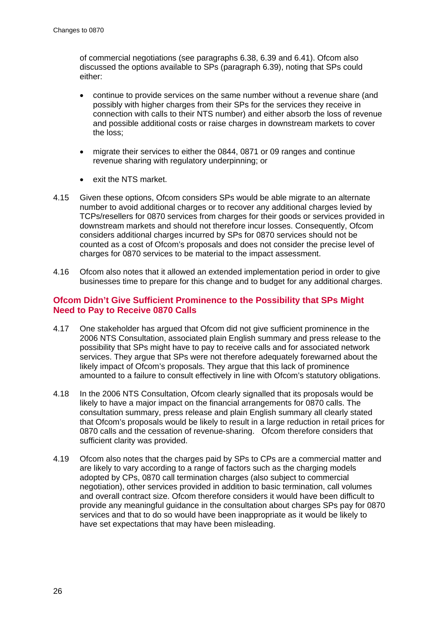of commercial negotiations (see paragraphs 6.38, 6.39 and 6.41). Ofcom also discussed the options available to SPs (paragraph 6.39), noting that SPs could either:

- continue to provide services on the same number without a revenue share (and possibly with higher charges from their SPs for the services they receive in connection with calls to their NTS number) and either absorb the loss of revenue and possible additional costs or raise charges in downstream markets to cover the loss;
- migrate their services to either the 0844, 0871 or 09 ranges and continue revenue sharing with regulatory underpinning; or
- exit the NTS market.
- <span id="page-25-0"></span>4.15 Given these options, Ofcom considers SPs would be able migrate to an alternate number to avoid additional charges or to recover any additional charges levied by TCPs/resellers for 0870 services from charges for their goods or services provided in downstream markets and should not therefore incur losses. Consequently, Ofcom considers additional charges incurred by SPs for 0870 services should not be counted as a cost of Ofcom's proposals and does not consider the precise level of charges for 0870 services to be material to the impact assessment.
- 4.16 Ofcom also notes that it allowed an extended implementation period in order to give businesses time to prepare for this change and to budget for any additional charges.

### **Ofcom Didn't Give Sufficient Prominence to the Possibility that SPs Might Need to Pay to Receive 0870 Calls**

- 4.17 One stakeholder has argued that Ofcom did not give sufficient prominence in the 2006 NTS Consultation, associated plain English summary and press release to the possibility that SPs might have to pay to receive calls and for associated network services. They argue that SPs were not therefore adequately forewarned about the likely impact of Ofcom's proposals. They argue that this lack of prominence amounted to a failure to consult effectively in line with Ofcom's statutory obligations.
- 4.18 In the 2006 NTS Consultation, Ofcom clearly signalled that its proposals would be likely to have a major impact on the financial arrangements for 0870 calls. The consultation summary, press release and plain English summary all clearly stated that Ofcom's proposals would be likely to result in a large reduction in retail prices for 0870 calls and the cessation of revenue-sharing. Ofcom therefore considers that sufficient clarity was provided.
- 4.19 Ofcom also notes that the charges paid by SPs to CPs are a commercial matter and are likely to vary according to a range of factors such as the charging models adopted by CPs, 0870 call termination charges (also subject to commercial negotiation), other services provided in addition to basic termination, call volumes and overall contract size. Ofcom therefore considers it would have been difficult to provide any meaningful guidance in the consultation about charges SPs pay for 0870 services and that to do so would have been inappropriate as it would be likely to have set expectations that may have been misleading.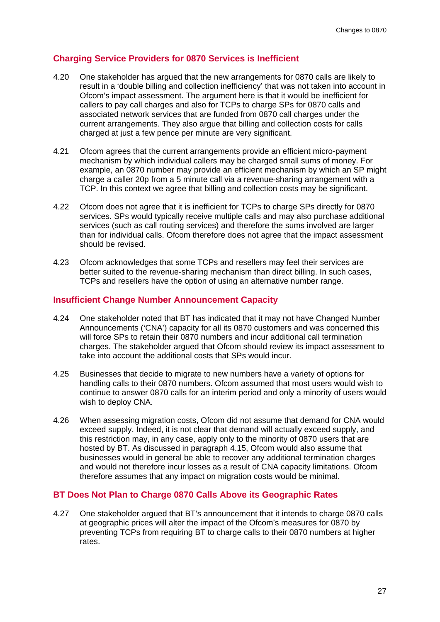### **Charging Service Providers for 0870 Services is Inefficient**

- 4.20 One stakeholder has argued that the new arrangements for 0870 calls are likely to result in a 'double billing and collection inefficiency' that was not taken into account in Ofcom's impact assessment. The argument here is that it would be inefficient for callers to pay call charges and also for TCPs to charge SPs for 0870 calls and associated network services that are funded from 0870 call charges under the current arrangements. They also argue that billing and collection costs for calls charged at just a few pence per minute are very significant.
- 4.21 Ofcom agrees that the current arrangements provide an efficient micro-payment mechanism by which individual callers may be charged small sums of money. For example, an 0870 number may provide an efficient mechanism by which an SP might charge a caller 20p from a 5 minute call via a revenue-sharing arrangement with a TCP. In this context we agree that billing and collection costs may be significant.
- 4.22 Ofcom does not agree that it is inefficient for TCPs to charge SPs directly for 0870 services. SPs would typically receive multiple calls and may also purchase additional services (such as call routing services) and therefore the sums involved are larger than for individual calls. Ofcom therefore does not agree that the impact assessment should be revised.
- 4.23 Ofcom acknowledges that some TCPs and resellers may feel their services are better suited to the revenue-sharing mechanism than direct billing. In such cases, TCPs and resellers have the option of using an alternative number range.

#### **Insufficient Change Number Announcement Capacity**

- 4.24 One stakeholder noted that BT has indicated that it may not have Changed Number Announcements ('CNA') capacity for all its 0870 customers and was concerned this will force SPs to retain their 0870 numbers and incur additional call termination charges. The stakeholder argued that Ofcom should review its impact assessment to take into account the additional costs that SPs would incur.
- 4.25 Businesses that decide to migrate to new numbers have a variety of options for handling calls to their 0870 numbers. Ofcom assumed that most users would wish to continue to answer 0870 calls for an interim period and only a minority of users would wish to deploy CNA.
- 4.26 When assessing migration costs, Ofcom did not assume that demand for CNA would exceed supply. Indeed, it is not clear that demand will actually exceed supply, and this restriction may, in any case, apply only to the minority of 0870 users that are hosted by BT. As discussed in paragraph [4.15](#page-25-0), Ofcom would also assume that businesses would in general be able to recover any additional termination charges and would not therefore incur losses as a result of CNA capacity limitations. Ofcom therefore assumes that any impact on migration costs would be minimal.

#### **BT Does Not Plan to Charge 0870 Calls Above its Geographic Rates**

4.27 One stakeholder argued that BT's announcement that it intends to charge 0870 calls at geographic prices will alter the impact of the Ofcom's measures for 0870 by preventing TCPs from requiring BT to charge calls to their 0870 numbers at higher rates.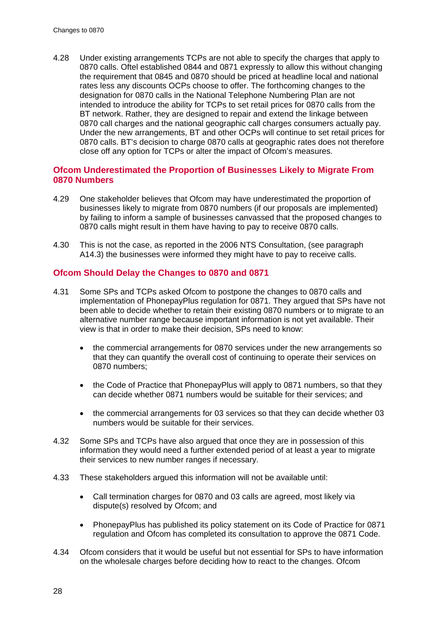4.28 Under existing arrangements TCPs are not able to specify the charges that apply to 0870 calls. Oftel established 0844 and 0871 expressly to allow this without changing the requirement that 0845 and 0870 should be priced at headline local and national rates less any discounts OCPs choose to offer. The forthcoming changes to the designation for 0870 calls in the National Telephone Numbering Plan are not intended to introduce the ability for TCPs to set retail prices for 0870 calls from the BT network. Rather, they are designed to repair and extend the linkage between 0870 call charges and the national geographic call charges consumers actually pay. Under the new arrangements, BT and other OCPs will continue to set retail prices for 0870 calls. BT's decision to charge 0870 calls at geographic rates does not therefore close off any option for TCPs or alter the impact of Ofcom's measures.

### **Ofcom Underestimated the Proportion of Businesses Likely to Migrate From 0870 Numbers**

- 4.29 One stakeholder believes that Ofcom may have underestimated the proportion of businesses likely to migrate from 0870 numbers (if our proposals are implemented) by failing to inform a sample of businesses canvassed that the proposed changes to 0870 calls might result in them have having to pay to receive 0870 calls.
- 4.30 This is not the case, as reported in the 2006 NTS Consultation, (see paragraph A14.3) the businesses were informed they might have to pay to receive calls.

#### **Ofcom Should Delay the Changes to 0870 and 0871**

- 4.31 Some SPs and TCPs asked Ofcom to postpone the changes to 0870 calls and implementation of PhonepayPlus regulation for 0871. They argued that SPs have not been able to decide whether to retain their existing 0870 numbers or to migrate to an alternative number range because important information is not yet available. Their view is that in order to make their decision, SPs need to know:
	- the commercial arrangements for 0870 services under the new arrangements so that they can quantify the overall cost of continuing to operate their services on 0870 numbers;
	- the Code of Practice that PhonepayPlus will apply to 0871 numbers, so that they can decide whether 0871 numbers would be suitable for their services; and
	- the commercial arrangements for 03 services so that they can decide whether 03 numbers would be suitable for their services.
- 4.32 Some SPs and TCPs have also argued that once they are in possession of this information they would need a further extended period of at least a year to migrate their services to new number ranges if necessary.
- 4.33 These stakeholders argued this information will not be available until:
	- Call termination charges for 0870 and 03 calls are agreed, most likely via dispute(s) resolved by Ofcom; and
	- PhonepayPlus has published its policy statement on its Code of Practice for 0871 regulation and Ofcom has completed its consultation to approve the 0871 Code.
- 4.34 Ofcom considers that it would be useful but not essential for SPs to have information on the wholesale charges before deciding how to react to the changes. Ofcom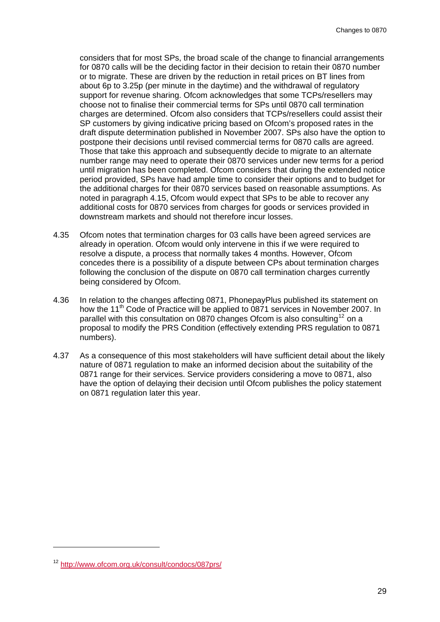considers that for most SPs, the broad scale of the change to financial arrangements for 0870 calls will be the deciding factor in their decision to retain their 0870 number or to migrate. These are driven by the reduction in retail prices on BT lines from about 6p to 3.25p (per minute in the daytime) and the withdrawal of regulatory support for revenue sharing. Ofcom acknowledges that some TCPs/resellers may choose not to finalise their commercial terms for SPs until 0870 call termination charges are determined. Ofcom also considers that TCPs/resellers could assist their SP customers by giving indicative pricing based on Ofcom's proposed rates in the draft dispute determination published in November 2007. SPs also have the option to postpone their decisions until revised commercial terms for 0870 calls are agreed. Those that take this approach and subsequently decide to migrate to an alternate number range may need to operate their 0870 services under new terms for a period until migration has been completed. Ofcom considers that during the extended notice period provided, SPs have had ample time to consider their options and to budget for the additional charges for their 0870 services based on reasonable assumptions. As noted in paragraph [4.15,](#page-25-0) Ofcom would expect that SPs to be able to recover any additional costs for 0870 services from charges for goods or services provided in downstream markets and should not therefore incur losses.

- 4.35 Ofcom notes that termination charges for 03 calls have been agreed services are already in operation. Ofcom would only intervene in this if we were required to resolve a dispute, a process that normally takes 4 months. However, Ofcom concedes there is a possibility of a dispute between CPs about termination charges following the conclusion of the dispute on 0870 call termination charges currently being considered by Ofcom.
- 4.36 In relation to the changes affecting 0871, PhonepayPlus published its statement on how the 11<sup>th</sup> Code of Practice will be applied to 0871 services in November 2007. In parallel with this consultation on 0870 changes Ofcom is also consulting<sup>[12](#page-28-0)</sup> on a proposal to modify the PRS Condition (effectively extending PRS regulation to 0871 numbers).
- 4.37 As a consequence of this most stakeholders will have sufficient detail about the likely nature of 0871 regulation to make an informed decision about the suitability of the 0871 range for their services. Service providers considering a move to 0871, also have the option of delaying their decision until Ofcom publishes the policy statement on 0871 regulation later this year.

-

<span id="page-28-0"></span><sup>12</sup> <http://www.ofcom.org.uk/consult/condocs/087prs/>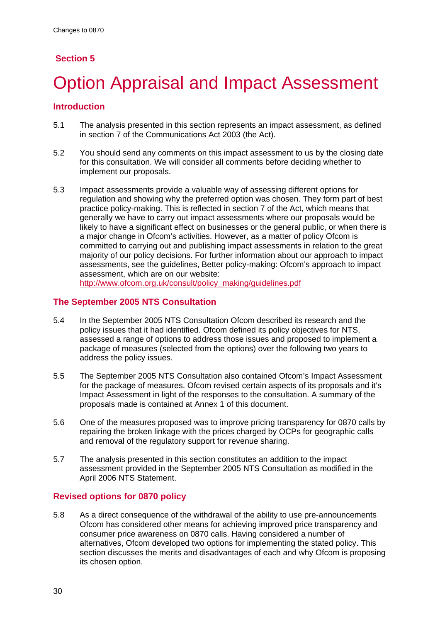# <span id="page-29-0"></span>**Section 5**

# **Option Appraisal and Impact Assessment**

# **Introduction**

- 5.1 The analysis presented in this section represents an impact assessment, as defined in section 7 of the Communications Act 2003 (the Act).
- 5.2 You should send any comments on this impact assessment to us by the closing date for this consultation. We will consider all comments before deciding whether to implement our proposals.
- 5.3 Impact assessments provide a valuable way of assessing different options for regulation and showing why the preferred option was chosen. They form part of best practice policy-making. This is reflected in section 7 of the Act, which means that generally we have to carry out impact assessments where our proposals would be likely to have a significant effect on businesses or the general public, or when there is a major change in Ofcom's activities. However, as a matter of policy Ofcom is committed to carrying out and publishing impact assessments in relation to the great majority of our policy decisions. For further information about our approach to impact assessments, see the guidelines, Better policy-making: Ofcom's approach to impact assessment, which are on our website: [http://www.ofcom.org.uk/consult/policy\\_making/guidelines.pdf](http://www.ofcom.org.uk/consult/policy_making/guidelines.pdf)

#### **The September 2005 NTS Consultation**

- 5.4 In the September 2005 NTS Consultation Ofcom described its research and the policy issues that it had identified. Ofcom defined its policy objectives for NTS, assessed a range of options to address those issues and proposed to implement a package of measures (selected from the options) over the following two years to address the policy issues.
- 5.5 The September 2005 NTS Consultation also contained Ofcom's Impact Assessment for the package of measures. Ofcom revised certain aspects of its proposals and it's Impact Assessment in light of the responses to the consultation. A summary of the proposals made is contained at Annex 1 of this document.
- 5.6 One of the measures proposed was to improve pricing transparency for 0870 calls by repairing the broken linkage with the prices charged by OCPs for geographic calls and removal of the regulatory support for revenue sharing.
- 5.7 The analysis presented in this section constitutes an addition to the impact assessment provided in the September 2005 NTS Consultation as modified in the April 2006 NTS Statement.

### **Revised options for 0870 policy**

5.8 As a direct consequence of the withdrawal of the ability to use pre-announcements Ofcom has considered other means for achieving improved price transparency and consumer price awareness on 0870 calls. Having considered a number of alternatives, Ofcom developed two options for implementing the stated policy. This section discusses the merits and disadvantages of each and why Ofcom is proposing its chosen option.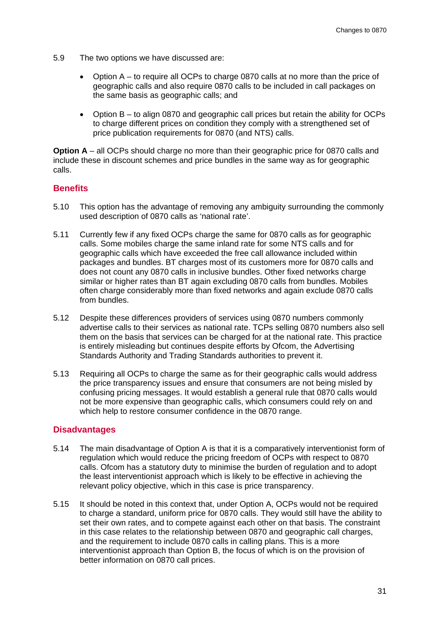- 5.9 The two options we have discussed are:
	- Option A to require all OCPs to charge 0870 calls at no more than the price of geographic calls and also require 0870 calls to be included in call packages on the same basis as geographic calls; and
	- Option B to align 0870 and geographic call prices but retain the ability for OCPs to charge different prices on condition they comply with a strengthened set of price publication requirements for 0870 (and NTS) calls.

**Option A** – all OCPs should charge no more than their geographic price for 0870 calls and include these in discount schemes and price bundles in the same way as for geographic calls.

#### **Benefits**

- 5.10 This option has the advantage of removing any ambiguity surrounding the commonly used description of 0870 calls as 'national rate'.
- 5.11 Currently few if any fixed OCPs charge the same for 0870 calls as for geographic calls. Some mobiles charge the same inland rate for some NTS calls and for geographic calls which have exceeded the free call allowance included within packages and bundles. BT charges most of its customers more for 0870 calls and does not count any 0870 calls in inclusive bundles. Other fixed networks charge similar or higher rates than BT again excluding 0870 calls from bundles. Mobiles often charge considerably more than fixed networks and again exclude 0870 calls from bundles.
- 5.12 Despite these differences providers of services using 0870 numbers commonly advertise calls to their services as national rate. TCPs selling 0870 numbers also sell them on the basis that services can be charged for at the national rate. This practice is entirely misleading but continues despite efforts by Ofcom, the Advertising Standards Authority and Trading Standards authorities to prevent it.
- 5.13 Requiring all OCPs to charge the same as for their geographic calls would address the price transparency issues and ensure that consumers are not being misled by confusing pricing messages. It would establish a general rule that 0870 calls would not be more expensive than geographic calls, which consumers could rely on and which help to restore consumer confidence in the 0870 range.

#### **Disadvantages**

- 5.14 The main disadvantage of Option A is that it is a comparatively interventionist form of regulation which would reduce the pricing freedom of OCPs with respect to 0870 calls. Ofcom has a statutory duty to minimise the burden of regulation and to adopt the least interventionist approach which is likely to be effective in achieving the relevant policy objective, which in this case is price transparency.
- 5.15 It should be noted in this context that, under Option A, OCPs would not be required to charge a standard, uniform price for 0870 calls. They would still have the ability to set their own rates, and to compete against each other on that basis. The constraint in this case relates to the relationship between 0870 and geographic call charges, and the requirement to include 0870 calls in calling plans. This is a more interventionist approach than Option B, the focus of which is on the provision of better information on 0870 call prices.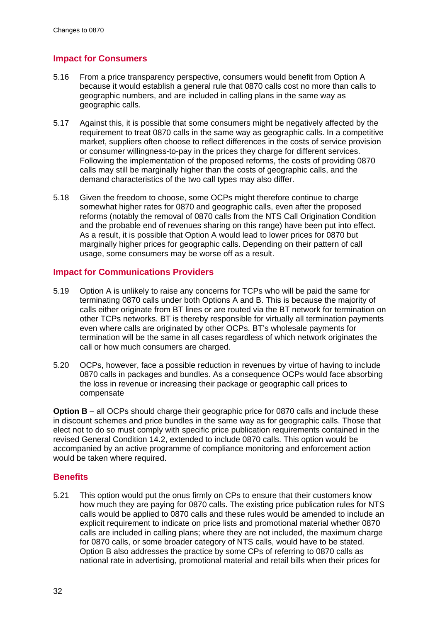# **Impact for Consumers**

- 5.16 From a price transparency perspective, consumers would benefit from Option A because it would establish a general rule that 0870 calls cost no more than calls to geographic numbers, and are included in calling plans in the same way as geographic calls.
- 5.17 Against this, it is possible that some consumers might be negatively affected by the requirement to treat 0870 calls in the same way as geographic calls. In a competitive market, suppliers often choose to reflect differences in the costs of service provision or consumer willingness-to-pay in the prices they charge for different services. Following the implementation of the proposed reforms, the costs of providing 0870 calls may still be marginally higher than the costs of geographic calls, and the demand characteristics of the two call types may also differ.
- 5.18 Given the freedom to choose, some OCPs might therefore continue to charge somewhat higher rates for 0870 and geographic calls, even after the proposed reforms (notably the removal of 0870 calls from the NTS Call Origination Condition and the probable end of revenues sharing on this range) have been put into effect. As a result, it is possible that Option A would lead to lower prices for 0870 but marginally higher prices for geographic calls. Depending on their pattern of call usage, some consumers may be worse off as a result.

#### **Impact for Communications Providers**

- 5.19 Option A is unlikely to raise any concerns for TCPs who will be paid the same for terminating 0870 calls under both Options A and B. This is because the majority of calls either originate from BT lines or are routed via the BT network for termination on other TCPs networks. BT is thereby responsible for virtually all termination payments even where calls are originated by other OCPs. BT's wholesale payments for termination will be the same in all cases regardless of which network originates the call or how much consumers are charged.
- 5.20 OCPs, however, face a possible reduction in revenues by virtue of having to include 0870 calls in packages and bundles. As a consequence OCPs would face absorbing the loss in revenue or increasing their package or geographic call prices to compensate

**Option B** – all OCPs should charge their geographic price for 0870 calls and include these in discount schemes and price bundles in the same way as for geographic calls. Those that elect not to do so must comply with specific price publication requirements contained in the revised General Condition 14.2, extended to include 0870 calls. This option would be accompanied by an active programme of compliance monitoring and enforcement action would be taken where required.

### **Benefits**

5.21 This option would put the onus firmly on CPs to ensure that their customers know how much they are paying for 0870 calls. The existing price publication rules for NTS calls would be applied to 0870 calls and these rules would be amended to include an explicit requirement to indicate on price lists and promotional material whether 0870 calls are included in calling plans; where they are not included, the maximum charge for 0870 calls, or some broader category of NTS calls, would have to be stated. Option B also addresses the practice by some CPs of referring to 0870 calls as national rate in advertising, promotional material and retail bills when their prices for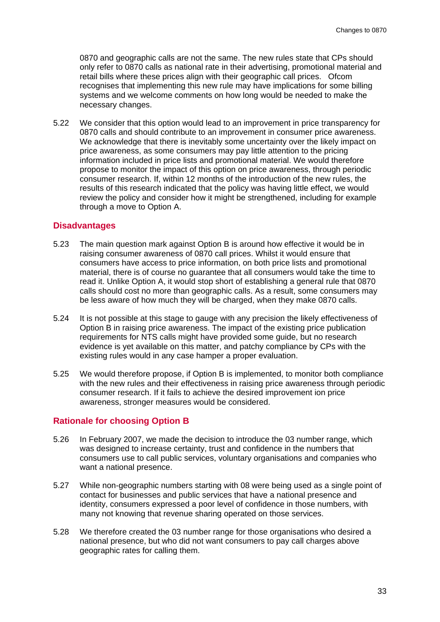0870 and geographic calls are not the same. The new rules state that CPs should only refer to 0870 calls as national rate in their advertising, promotional material and retail bills where these prices align with their geographic call prices. Ofcom recognises that implementing this new rule may have implications for some billing systems and we welcome comments on how long would be needed to make the necessary changes.

5.22 We consider that this option would lead to an improvement in price transparency for 0870 calls and should contribute to an improvement in consumer price awareness. We acknowledge that there is inevitably some uncertainty over the likely impact on price awareness, as some consumers may pay little attention to the pricing information included in price lists and promotional material. We would therefore propose to monitor the impact of this option on price awareness, through periodic consumer research. If, within 12 months of the introduction of the new rules, the results of this research indicated that the policy was having little effect, we would review the policy and consider how it might be strengthened, including for example through a move to Option A.

#### **Disadvantages**

- 5.23 The main question mark against Option B is around how effective it would be in raising consumer awareness of 0870 call prices. Whilst it would ensure that consumers have access to price information, on both price lists and promotional material, there is of course no guarantee that all consumers would take the time to read it. Unlike Option A, it would stop short of establishing a general rule that 0870 calls should cost no more than geographic calls. As a result, some consumers may be less aware of how much they will be charged, when they make 0870 calls.
- 5.24 It is not possible at this stage to gauge with any precision the likely effectiveness of Option B in raising price awareness. The impact of the existing price publication requirements for NTS calls might have provided some guide, but no research evidence is yet available on this matter, and patchy compliance by CPs with the existing rules would in any case hamper a proper evaluation.
- 5.25 We would therefore propose, if Option B is implemented, to monitor both compliance with the new rules and their effectiveness in raising price awareness through periodic consumer research. If it fails to achieve the desired improvement ion price awareness, stronger measures would be considered.

#### **Rationale for choosing Option B**

- 5.26 In February 2007, we made the decision to introduce the 03 number range, which was designed to increase certainty, trust and confidence in the numbers that consumers use to call public services, voluntary organisations and companies who want a national presence.
- 5.27 While non-geographic numbers starting with 08 were being used as a single point of contact for businesses and public services that have a national presence and identity, consumers expressed a poor level of confidence in those numbers, with many not knowing that revenue sharing operated on those services.
- 5.28 We therefore created the 03 number range for those organisations who desired a national presence, but who did not want consumers to pay call charges above geographic rates for calling them.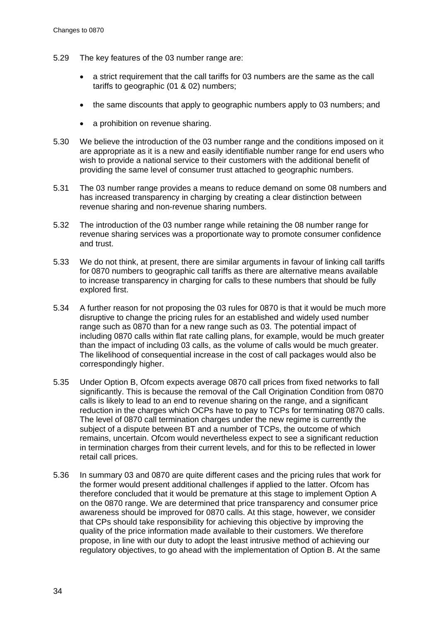- 5.29 The key features of the 03 number range are:
	- a strict requirement that the call tariffs for 03 numbers are the same as the call tariffs to geographic (01 & 02) numbers;
	- the same discounts that apply to geographic numbers apply to 03 numbers; and
	- a prohibition on revenue sharing.
- 5.30 We believe the introduction of the 03 number range and the conditions imposed on it are appropriate as it is a new and easily identifiable number range for end users who wish to provide a national service to their customers with the additional benefit of providing the same level of consumer trust attached to geographic numbers.
- 5.31 The 03 number range provides a means to reduce demand on some 08 numbers and has increased transparency in charging by creating a clear distinction between revenue sharing and non-revenue sharing numbers.
- 5.32 The introduction of the 03 number range while retaining the 08 number range for revenue sharing services was a proportionate way to promote consumer confidence and trust.
- 5.33 We do not think, at present, there are similar arguments in favour of linking call tariffs for 0870 numbers to geographic call tariffs as there are alternative means available to increase transparency in charging for calls to these numbers that should be fully explored first.
- 5.34 A further reason for not proposing the 03 rules for 0870 is that it would be much more disruptive to change the pricing rules for an established and widely used number range such as 0870 than for a new range such as 03. The potential impact of including 0870 calls within flat rate calling plans, for example, would be much greater than the impact of including 03 calls, as the volume of calls would be much greater. The likelihood of consequential increase in the cost of call packages would also be correspondingly higher.
- 5.35 Under Option B, Ofcom expects average 0870 call prices from fixed networks to fall significantly. This is because the removal of the Call Origination Condition from 0870 calls is likely to lead to an end to revenue sharing on the range, and a significant reduction in the charges which OCPs have to pay to TCPs for terminating 0870 calls. The level of 0870 call termination charges under the new regime is currently the subject of a dispute between BT and a number of TCPs, the outcome of which remains, uncertain. Ofcom would nevertheless expect to see a significant reduction in termination charges from their current levels, and for this to be reflected in lower retail call prices.
- 5.36 In summary 03 and 0870 are quite different cases and the pricing rules that work for the former would present additional challenges if applied to the latter. Ofcom has therefore concluded that it would be premature at this stage to implement Option A on the 0870 range. We are determined that price transparency and consumer price awareness should be improved for 0870 calls. At this stage, however, we consider that CPs should take responsibility for achieving this objective by improving the quality of the price information made available to their customers. We therefore propose, in line with our duty to adopt the least intrusive method of achieving our regulatory objectives, to go ahead with the implementation of Option B. At the same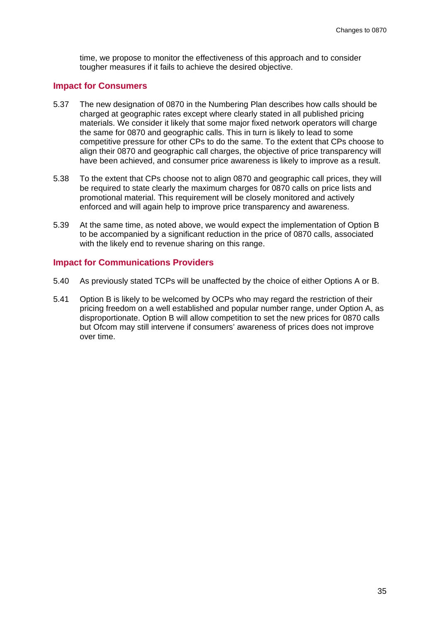time, we propose to monitor the effectiveness of this approach and to consider tougher measures if it fails to achieve the desired objective.

#### **Impact for Consumers**

- 5.37 The new designation of 0870 in the Numbering Plan describes how calls should be charged at geographic rates except where clearly stated in all published pricing materials. We consider it likely that some major fixed network operators will charge the same for 0870 and geographic calls. This in turn is likely to lead to some competitive pressure for other CPs to do the same. To the extent that CPs choose to align their 0870 and geographic call charges, the objective of price transparency will have been achieved, and consumer price awareness is likely to improve as a result.
- 5.38 To the extent that CPs choose not to align 0870 and geographic call prices, they will be required to state clearly the maximum charges for 0870 calls on price lists and promotional material. This requirement will be closely monitored and actively enforced and will again help to improve price transparency and awareness.
- 5.39 At the same time, as noted above, we would expect the implementation of Option B to be accompanied by a significant reduction in the price of 0870 calls, associated with the likely end to revenue sharing on this range.

#### **Impact for Communications Providers**

- 5.40 As previously stated TCPs will be unaffected by the choice of either Options A or B.
- 5.41 Option B is likely to be welcomed by OCPs who may regard the restriction of their pricing freedom on a well established and popular number range, under Option A, as disproportionate. Option B will allow competition to set the new prices for 0870 calls but Ofcom may still intervene if consumers' awareness of prices does not improve over time.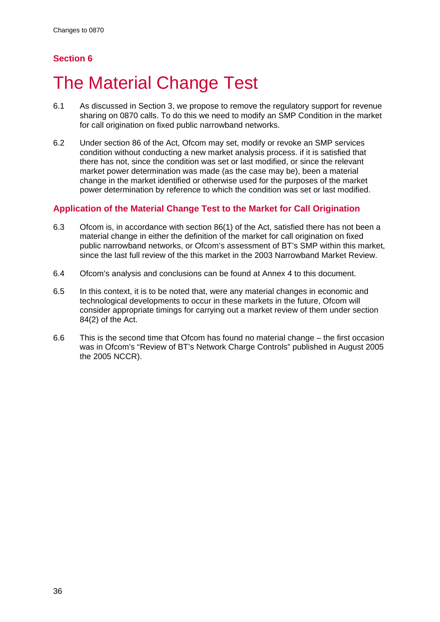# <span id="page-35-0"></span>**Section 6**

# **The Material Change Test**

- 6.1 As discussed in Section 3, we propose to remove the regulatory support for revenue sharing on 0870 calls. To do this we need to modify an SMP Condition in the market for call origination on fixed public narrowband networks.
- 6.2 Under section 86 of the Act, Ofcom may set, modify or revoke an SMP services condition without conducting a new market analysis process. if it is satisfied that there has not, since the condition was set or last modified, or since the relevant market power determination was made (as the case may be), been a material change in the market identified or otherwise used for the purposes of the market power determination by reference to which the condition was set or last modified.

### **Application of the Material Change Test to the Market for Call Origination**

- 6.3 Ofcom is, in accordance with section 86(1) of the Act, satisfied there has not been a material change in either the definition of the market for call origination on fixed public narrowband networks, or Ofcom's assessment of BT's SMP within this market, since the last full review of the this market in the 2003 Narrowband Market Review.
- 6.4 Ofcom's analysis and conclusions can be found at Annex 4 to this document.
- 6.5 In this context, it is to be noted that, were any material changes in economic and technological developments to occur in these markets in the future, Ofcom will consider appropriate timings for carrying out a market review of them under section 84(2) of the Act.
- 6.6 This is the second time that Ofcom has found no material change the first occasion was in Ofcom's "Review of BT's Network Charge Controls" published in August 2005 the 2005 NCCR).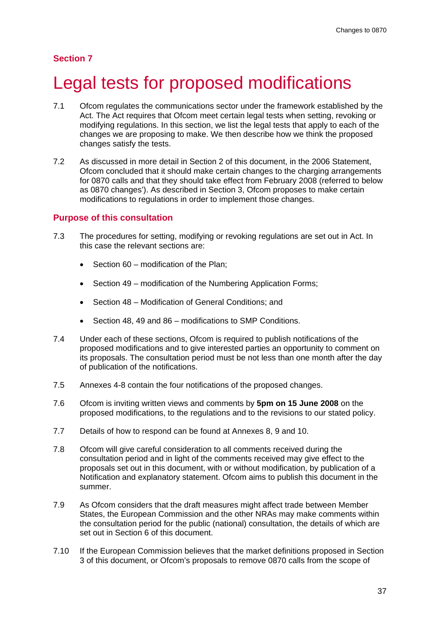### **Section 7**

# Legal tests for proposed modifications

- 7.1 Ofcom regulates the communications sector under the framework established by the Act. The Act requires that Ofcom meet certain legal tests when setting, revoking or modifying regulations. In this section, we list the legal tests that apply to each of the changes we are proposing to make. We then describe how we think the proposed changes satisfy the tests.
- 7.2 As discussed in more detail in Section 2 of this document, in the 2006 Statement, Ofcom concluded that it should make certain changes to the charging arrangements for 0870 calls and that they should take effect from February 2008 (referred to below as 0870 changes'). As described in Section 3, Ofcom proposes to make certain modifications to regulations in order to implement those changes.

#### **Purpose of this consultation**

- 7.3 The procedures for setting, modifying or revoking regulations are set out in Act. In this case the relevant sections are:
	- Section 60 modification of the Plan;
	- Section 49 modification of the Numbering Application Forms;
	- Section 48 Modification of General Conditions; and
	- Section 48, 49 and 86 modifications to SMP Conditions.
- 7.4 Under each of these sections, Ofcom is required to publish notifications of the proposed modifications and to give interested parties an opportunity to comment on its proposals. The consultation period must be not less than one month after the day of publication of the notifications.
- 7.5 Annexes 4-8 contain the four notifications of the proposed changes.
- 7.6 Ofcom is inviting written views and comments by **5pm on 15 June 2008** on the proposed modifications, to the regulations and to the revisions to our stated policy.
- 7.7 Details of how to respond can be found at Annexes 8, 9 and 10.
- 7.8 Ofcom will give careful consideration to all comments received during the consultation period and in light of the comments received may give effect to the proposals set out in this document, with or without modification, by publication of a Notification and explanatory statement. Ofcom aims to publish this document in the summer.
- 7.9 As Ofcom considers that the draft measures might affect trade between Member States, the European Commission and the other NRAs may make comments within the consultation period for the public (national) consultation, the details of which are set out in Section 6 of this document.
- 7.10 If the European Commission believes that the market definitions proposed in Section 3 of this document, or Ofcom's proposals to remove 0870 calls from the scope of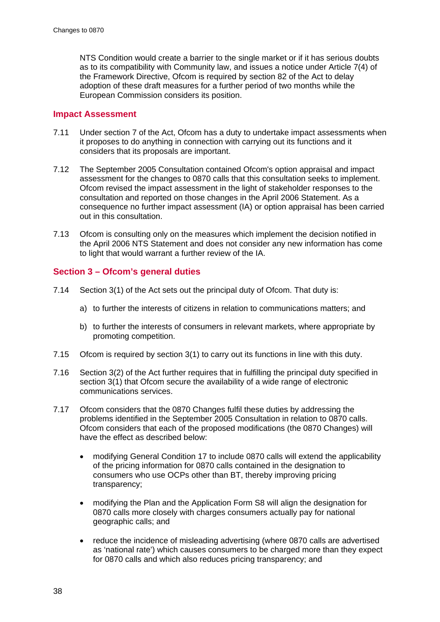NTS Condition would create a barrier to the single market or if it has serious doubts as to its compatibility with Community law, and issues a notice under Article 7(4) of the Framework Directive, Ofcom is required by section 82 of the Act to delay adoption of these draft measures for a further period of two months while the European Commission considers its position.

## **Impact Assessment**

- 7.11 Under section 7 of the Act, Ofcom has a duty to undertake impact assessments when it proposes to do anything in connection with carrying out its functions and it considers that its proposals are important.
- 7.12 The September 2005 Consultation contained Ofcom's option appraisal and impact assessment for the changes to 0870 calls that this consultation seeks to implement. Ofcom revised the impact assessment in the light of stakeholder responses to the consultation and reported on those changes in the April 2006 Statement. As a consequence no further impact assessment (IA) or option appraisal has been carried out in this consultation.
- 7.13 Ofcom is consulting only on the measures which implement the decision notified in the April 2006 NTS Statement and does not consider any new information has come to light that would warrant a further review of the IA.

# **Section 3 – Ofcom's general duties**

- 7.14 Section 3(1) of the Act sets out the principal duty of Ofcom. That duty is:
	- a) to further the interests of citizens in relation to communications matters; and
	- b) to further the interests of consumers in relevant markets, where appropriate by promoting competition.
- 7.15 Ofcom is required by section 3(1) to carry out its functions in line with this duty.
- 7.16 Section 3(2) of the Act further requires that in fulfilling the principal duty specified in section 3(1) that Ofcom secure the availability of a wide range of electronic communications services.
- 7.17 Ofcom considers that the 0870 Changes fulfil these duties by addressing the problems identified in the September 2005 Consultation in relation to 0870 calls. Ofcom considers that each of the proposed modifications (the 0870 Changes) will have the effect as described below:
	- modifying General Condition 17 to include 0870 calls will extend the applicability of the pricing information for 0870 calls contained in the designation to consumers who use OCPs other than BT, thereby improving pricing transparency;
	- modifying the Plan and the Application Form S8 will align the designation for 0870 calls more closely with charges consumers actually pay for national geographic calls; and
	- reduce the incidence of misleading advertising (where 0870 calls are advertised as 'national rate') which causes consumers to be charged more than they expect for 0870 calls and which also reduces pricing transparency; and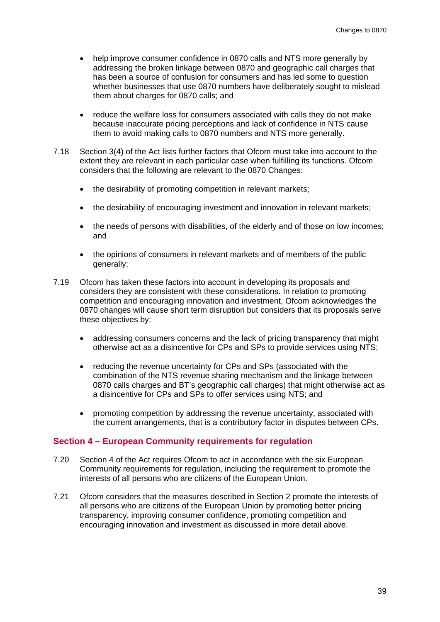- help improve consumer confidence in 0870 calls and NTS more generally by addressing the broken linkage between 0870 and geographic call charges that has been a source of confusion for consumers and has led some to question whether businesses that use 0870 numbers have deliberately sought to mislead them about charges for 0870 calls; and
- reduce the welfare loss for consumers associated with calls they do not make because inaccurate pricing perceptions and lack of confidence in NTS cause them to avoid making calls to 0870 numbers and NTS more generally.
- 7.18 Section 3(4) of the Act lists further factors that Ofcom must take into account to the extent they are relevant in each particular case when fulfilling its functions. Ofcom considers that the following are relevant to the 0870 Changes:
	- the desirability of promoting competition in relevant markets:
	- the desirability of encouraging investment and innovation in relevant markets;
	- the needs of persons with disabilities, of the elderly and of those on low incomes; and
	- the opinions of consumers in relevant markets and of members of the public generally;
- 7.19 Ofcom has taken these factors into account in developing its proposals and considers they are consistent with these considerations. In relation to promoting competition and encouraging innovation and investment, Ofcom acknowledges the 0870 changes will cause short term disruption but considers that its proposals serve these objectives by:
	- addressing consumers concerns and the lack of pricing transparency that might otherwise act as a disincentive for CPs and SPs to provide services using NTS;
	- reducing the revenue uncertainty for CPs and SPs (associated with the combination of the NTS revenue sharing mechanism and the linkage between 0870 calls charges and BT's geographic call charges) that might otherwise act as a disincentive for CPs and SPs to offer services using NTS; and
	- promoting competition by addressing the revenue uncertainty, associated with the current arrangements, that is a contributory factor in disputes between CPs.

#### **Section 4 – European Community requirements for regulation**

- 7.20 Section 4 of the Act requires Ofcom to act in accordance with the six European Community requirements for regulation, including the requirement to promote the interests of all persons who are citizens of the European Union.
- 7.21 Ofcom considers that the measures described in Section 2 promote the interests of all persons who are citizens of the European Union by promoting better pricing transparency, improving consumer confidence, promoting competition and encouraging innovation and investment as discussed in more detail above.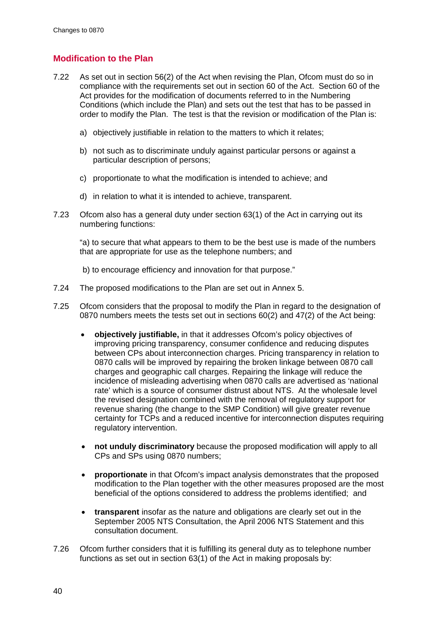# **Modification to the Plan**

- 7.22 As set out in section 56(2) of the Act when revising the Plan, Ofcom must do so in compliance with the requirements set out in section 60 of the Act. Section 60 of the Act provides for the modification of documents referred to in the Numbering Conditions (which include the Plan) and sets out the test that has to be passed in order to modify the Plan. The test is that the revision or modification of the Plan is:
	- a) objectively justifiable in relation to the matters to which it relates;
	- b) not such as to discriminate unduly against particular persons or against a particular description of persons;
	- c) proportionate to what the modification is intended to achieve; and
	- d) in relation to what it is intended to achieve, transparent.
- 7.23 Ofcom also has a general duty under section 63(1) of the Act in carrying out its numbering functions:

"a) to secure that what appears to them to be the best use is made of the numbers that are appropriate for use as the telephone numbers; and

- b) to encourage efficiency and innovation for that purpose."
- 7.24 The proposed modifications to the Plan are set out in Annex 5.
- 7.25 Ofcom considers that the proposal to modify the Plan in regard to the designation of 0870 numbers meets the tests set out in sections 60(2) and 47(2) of the Act being:
	- **objectively justifiable,** in that it addresses Ofcom's policy objectives of improving pricing transparency, consumer confidence and reducing disputes between CPs about interconnection charges. Pricing transparency in relation to 0870 calls will be improved by repairing the broken linkage between 0870 call charges and geographic call charges. Repairing the linkage will reduce the incidence of misleading advertising when 0870 calls are advertised as 'national rate' which is a source of consumer distrust about NTS. At the wholesale level the revised designation combined with the removal of regulatory support for revenue sharing (the change to the SMP Condition) will give greater revenue certainty for TCPs and a reduced incentive for interconnection disputes requiring regulatory intervention.
	- **not unduly discriminatory** because the proposed modification will apply to all CPs and SPs using 0870 numbers;
	- **proportionate** in that Ofcom's impact analysis demonstrates that the proposed modification to the Plan together with the other measures proposed are the most beneficial of the options considered to address the problems identified; and
	- **transparent** insofar as the nature and obligations are clearly set out in the September 2005 NTS Consultation, the April 2006 NTS Statement and this consultation document.
- 7.26 Ofcom further considers that it is fulfilling its general duty as to telephone number functions as set out in section 63(1) of the Act in making proposals by: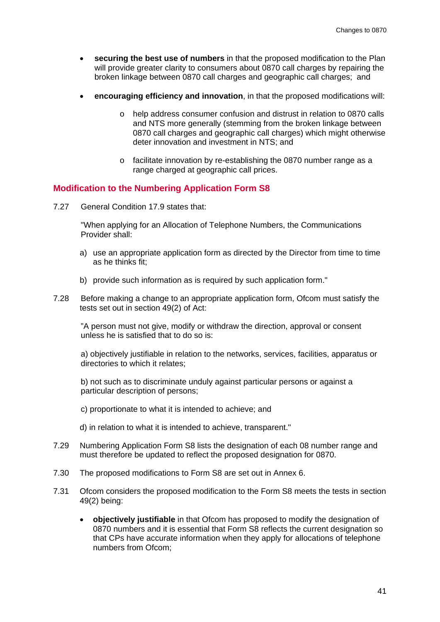- **securing the best use of numbers** in that the proposed modification to the Plan will provide greater clarity to consumers about 0870 call charges by repairing the broken linkage between 0870 call charges and geographic call charges; and
- **encouraging efficiency and innovation**, in that the proposed modifications will:
	- o help address consumer confusion and distrust in relation to 0870 calls and NTS more generally (stemming from the broken linkage between 0870 call charges and geographic call charges) which might otherwise deter innovation and investment in NTS; and
	- o facilitate innovation by re-establishing the 0870 number range as a range charged at geographic call prices.

## **Modification to the Numbering Application Form S8**

7.27 General Condition 17.9 states that:

"When applying for an Allocation of Telephone Numbers, the Communications Provider shall:

- a) use an appropriate application form as directed by the Director from time to time as he thinks fit;
- b) provide such information as is required by such application form."
- 7.28 Before making a change to an appropriate application form, Ofcom must satisfy the tests set out in section 49(2) of Act:

"A person must not give, modify or withdraw the direction, approval or consent unless he is satisfied that to do so is:

a) objectively justifiable in relation to the networks, services, facilities, apparatus or directories to which it relates;

b) not such as to discriminate unduly against particular persons or against a particular description of persons;

c) proportionate to what it is intended to achieve; and

d) in relation to what it is intended to achieve, transparent."

- 7.29 Numbering Application Form S8 lists the designation of each 08 number range and must therefore be updated to reflect the proposed designation for 0870.
- 7.30 The proposed modifications to Form S8 are set out in Annex 6.
- 7.31 Ofcom considers the proposed modification to the Form S8 meets the tests in section 49(2) being:
	- **objectively justifiable** in that Ofcom has proposed to modify the designation of 0870 numbers and it is essential that Form S8 reflects the current designation so that CPs have accurate information when they apply for allocations of telephone numbers from Ofcom;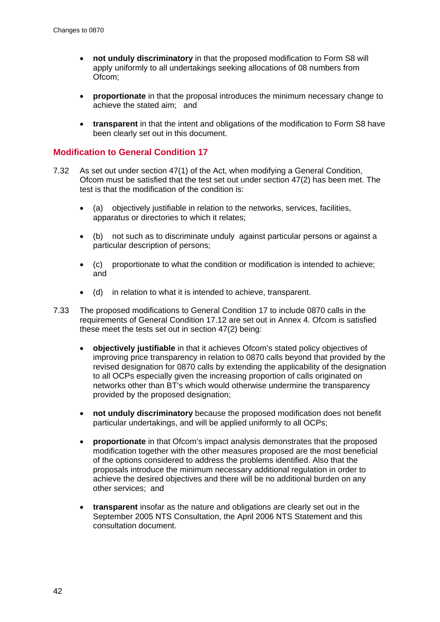- **not unduly discriminatory** in that the proposed modification to Form S8 will apply uniformly to all undertakings seeking allocations of 08 numbers from Ofcom;
- **proportionate** in that the proposal introduces the minimum necessary change to achieve the stated aim; and
- **transparent** in that the intent and obligations of the modification to Form S8 have been clearly set out in this document.

### **Modification to General Condition 17**

- 7.32 As set out under section 47(1) of the Act, when modifying a General Condition, Ofcom must be satisfied that the test set out under section 47(2) has been met. The test is that the modification of the condition is:
	- (a) objectively justifiable in relation to the networks, services, facilities, apparatus or directories to which it relates;
	- (b) not such as to discriminate unduly against particular persons or against a particular description of persons;
	- (c) proportionate to what the condition or modification is intended to achieve; and
	- (d) in relation to what it is intended to achieve, transparent.
- 7.33 The proposed modifications to General Condition 17 to include 0870 calls in the requirements of General Condition 17.12 are set out in Annex 4. Ofcom is satisfied these meet the tests set out in section 47(2) being:
	- **objectively justifiable** in that it achieves Ofcom's stated policy objectives of improving price transparency in relation to 0870 calls beyond that provided by the revised designation for 0870 calls by extending the applicability of the designation to all OCPs especially given the increasing proportion of calls originated on networks other than BT's which would otherwise undermine the transparency provided by the proposed designation;
	- **not unduly discriminatory** because the proposed modification does not benefit particular undertakings, and will be applied uniformly to all OCPs;
	- **proportionate** in that Ofcom's impact analysis demonstrates that the proposed modification together with the other measures proposed are the most beneficial of the options considered to address the problems identified. Also that the proposals introduce the minimum necessary additional regulation in order to achieve the desired objectives and there will be no additional burden on any other services; and
	- **transparent** insofar as the nature and obligations are clearly set out in the September 2005 NTS Consultation, the April 2006 NTS Statement and this consultation document.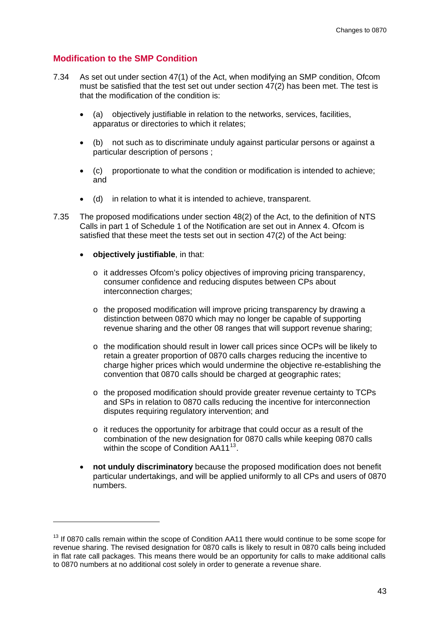## **Modification to the SMP Condition**

- 7.34 As set out under section 47(1) of the Act, when modifying an SMP condition, Ofcom must be satisfied that the test set out under section 47(2) has been met. The test is that the modification of the condition is:
	- (a) objectively justifiable in relation to the networks, services, facilities, apparatus or directories to which it relates;
	- (b) not such as to discriminate unduly against particular persons or against a particular description of persons ;
	- (c) proportionate to what the condition or modification is intended to achieve; and
	- (d) in relation to what it is intended to achieve, transparent.
- 7.35 The proposed modifications under section 48(2) of the Act, to the definition of NTS Calls in part 1 of Schedule 1 of the Notification are set out in Annex 4. Ofcom is satisfied that these meet the tests set out in section 47(2) of the Act being:
	- **objectively justifiable**, in that:

-

- o it addresses Ofcom's policy objectives of improving pricing transparency, consumer confidence and reducing disputes between CPs about interconnection charges;
- o the proposed modification will improve pricing transparency by drawing a distinction between 0870 which may no longer be capable of supporting revenue sharing and the other 08 ranges that will support revenue sharing;
- o the modification should result in lower call prices since OCPs will be likely to retain a greater proportion of 0870 calls charges reducing the incentive to charge higher prices which would undermine the objective re-establishing the convention that 0870 calls should be charged at geographic rates;
- o the proposed modification should provide greater revenue certainty to TCPs and SPs in relation to 0870 calls reducing the incentive for interconnection disputes requiring regulatory intervention; and
- o it reduces the opportunity for arbitrage that could occur as a result of the combination of the new designation for 0870 calls while keeping 0870 calls within the scope of Condition AA11<sup>[13](#page-42-0)</sup>.
- **not unduly discriminatory** because the proposed modification does not benefit particular undertakings, and will be applied uniformly to all CPs and users of 0870 numbers.

<span id="page-42-0"></span><sup>&</sup>lt;sup>13</sup> If 0870 calls remain within the scope of Condition AA11 there would continue to be some scope for revenue sharing. The revised designation for 0870 calls is likely to result in 0870 calls being included in flat rate call packages. This means there would be an opportunity for calls to make additional calls to 0870 numbers at no additional cost solely in order to generate a revenue share.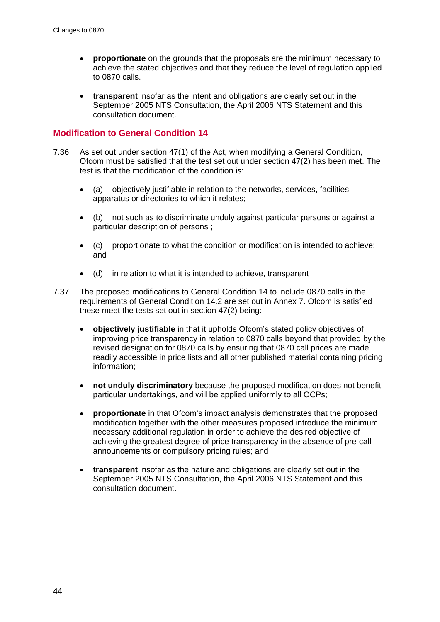- **proportionate** on the grounds that the proposals are the minimum necessary to achieve the stated objectives and that they reduce the level of regulation applied to 0870 calls.
- **transparent** insofar as the intent and obligations are clearly set out in the September 2005 NTS Consultation, the April 2006 NTS Statement and this consultation document.

### **Modification to General Condition 14**

- 7.36 As set out under section 47(1) of the Act, when modifying a General Condition, Ofcom must be satisfied that the test set out under section 47(2) has been met. The test is that the modification of the condition is:
	- (a) objectively justifiable in relation to the networks, services, facilities, apparatus or directories to which it relates;
	- (b) not such as to discriminate unduly against particular persons or against a particular description of persons ;
	- (c) proportionate to what the condition or modification is intended to achieve; and
	- (d) in relation to what it is intended to achieve, transparent
- 7.37 The proposed modifications to General Condition 14 to include 0870 calls in the requirements of General Condition 14.2 are set out in Annex 7. Ofcom is satisfied these meet the tests set out in section 47(2) being:
	- **objectively justifiable** in that it upholds Ofcom's stated policy objectives of improving price transparency in relation to 0870 calls beyond that provided by the revised designation for 0870 calls by ensuring that 0870 call prices are made readily accessible in price lists and all other published material containing pricing information;
	- **not unduly discriminatory** because the proposed modification does not benefit particular undertakings, and will be applied uniformly to all OCPs;
	- **proportionate** in that Ofcom's impact analysis demonstrates that the proposed modification together with the other measures proposed introduce the minimum necessary additional regulation in order to achieve the desired objective of achieving the greatest degree of price transparency in the absence of pre-call announcements or compulsory pricing rules; and
	- **transparent** insofar as the nature and obligations are clearly set out in the September 2005 NTS Consultation, the April 2006 NTS Statement and this consultation document.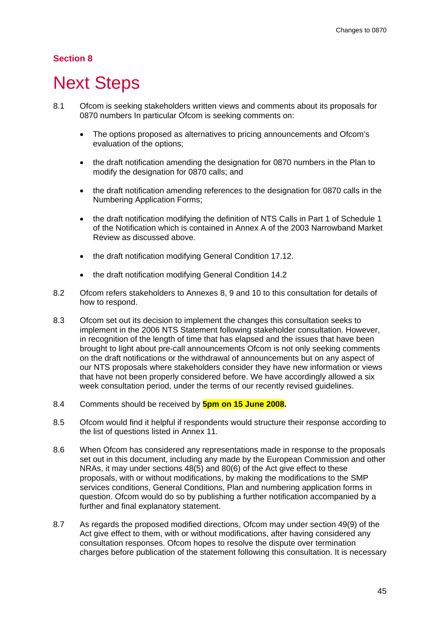# **Section 8**

# **Next Steps**

- 8.1 Ofcom is seeking stakeholders written views and comments about its proposals for 0870 numbers In particular Ofcom is seeking comments on:
	- The options proposed as alternatives to pricing announcements and Ofcom's evaluation of the options;
	- the draft notification amending the designation for 0870 numbers in the Plan to modify the designation for 0870 calls; and
	- the draft notification amending references to the designation for 0870 calls in the Numbering Application Forms;
	- the draft notification modifying the definition of NTS Calls in Part 1 of Schedule 1 of the Notification which is contained in Annex A of the 2003 Narrowband Market Review as discussed above.
	- the draft notification modifying General Condition 17.12.
	- the draft notification modifying General Condition 14.2
- 8.2 Ofcom refers stakeholders to Annexes 8, 9 and 10 to this consultation for details of how to respond.
- 8.3 Ofcom set out its decision to implement the changes this consultation seeks to implement in the 2006 NTS Statement following stakeholder consultation. However, in recognition of the length of time that has elapsed and the issues that have been brought to light about pre-call announcements Ofcom is not only seeking comments on the draft notifications or the withdrawal of announcements but on any aspect of our NTS proposals where stakeholders consider they have new information or views that have not been properly considered before. We have accordingly allowed a six week consultation period, under the terms of our recently revised guidelines.
- 8.4 Comments should be received by **5pm on 15 June 2008.**
- 8.5 Ofcom would find it helpful if respondents would structure their response according to the list of questions listed in Annex 11.
- 8.6 When Ofcom has considered any representations made in response to the proposals set out in this document, including any made by the European Commission and other NRAs, it may under sections 48(5) and 80(6) of the Act give effect to these proposals, with or without modifications, by making the modifications to the SMP services conditions, General Conditions, Plan and numbering application forms in question. Ofcom would do so by publishing a further notification accompanied by a further and final explanatory statement.
- 8.7 As regards the proposed modified directions, Ofcom may under section 49(9) of the Act give effect to them, with or without modifications, after having considered any consultation responses. Ofcom hopes to resolve the dispute over termination charges before publication of the statement following this consultation. It is necessary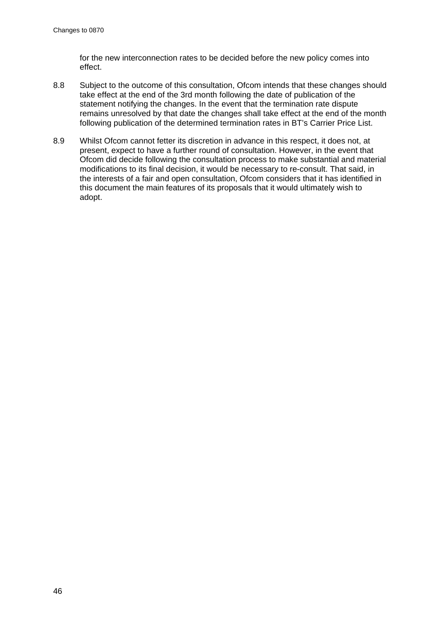for the new interconnection rates to be decided before the new policy comes into effect.

- 8.8 Subject to the outcome of this consultation, Ofcom intends that these changes should take effect at the end of the 3rd month following the date of publication of the statement notifying the changes. In the event that the termination rate dispute remains unresolved by that date the changes shall take effect at the end of the month following publication of the determined termination rates in BT's Carrier Price List.
- 8.9 Whilst Ofcom cannot fetter its discretion in advance in this respect, it does not, at present, expect to have a further round of consultation. However, in the event that Ofcom did decide following the consultation process to make substantial and material modifications to its final decision, it would be necessary to re-consult. That said, in the interests of a fair and open consultation, Ofcom considers that it has identified in this document the main features of its proposals that it would ultimately wish to adopt.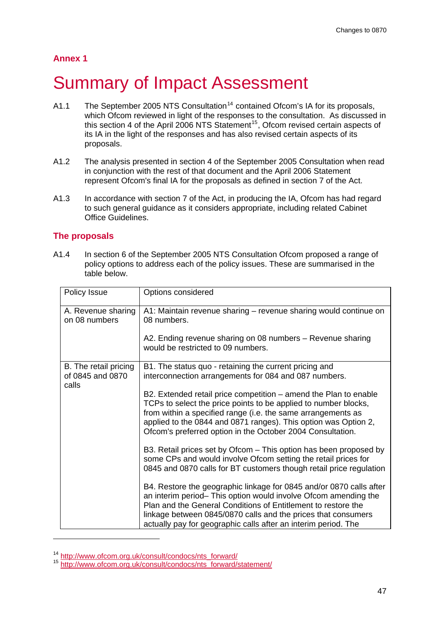# **Annex 1**

# **Summary of Impact Assessment**

- A1.1 The September 2005 NTS Consultation<sup>[14](#page-46-0)</sup> contained Ofcom's IA for its proposals, which Ofcom reviewed in light of the responses to the consultation. As discussed in this section 4 of the April 2006 NTS Statement<sup>[15](#page-46-1)</sup>, Ofcom revised certain aspects of its IA in the light of the responses and has also revised certain aspects of its proposals.
- A1.2 The analysis presented in section 4 of the September 2005 Consultation when read in conjunction with the rest of that document and the April 2006 Statement represent Ofcom's final IA for the proposals as defined in section 7 of the Act.
- A1.3 In accordance with section 7 of the Act, in producing the IA, Ofcom has had regard to such general guidance as it considers appropriate, including related Cabinet Office Guidelines.

# **The proposals**

1

A1.4 In section 6 of the September 2005 NTS Consultation Ofcom proposed a range of policy options to address each of the policy issues. These are summarised in the table below.

| Policy Issue                                       | Options considered                                                                                                                                                                                                                                                                                                                         |  |
|----------------------------------------------------|--------------------------------------------------------------------------------------------------------------------------------------------------------------------------------------------------------------------------------------------------------------------------------------------------------------------------------------------|--|
| A. Revenue sharing<br>on 08 numbers                | A1: Maintain revenue sharing – revenue sharing would continue on<br>08 numbers.                                                                                                                                                                                                                                                            |  |
|                                                    | A2. Ending revenue sharing on 08 numbers - Revenue sharing<br>would be restricted to 09 numbers.                                                                                                                                                                                                                                           |  |
| B. The retail pricing<br>of 0845 and 0870<br>calls | B1. The status quo - retaining the current pricing and<br>interconnection arrangements for 084 and 087 numbers.                                                                                                                                                                                                                            |  |
|                                                    | B2. Extended retail price competition – amend the Plan to enable<br>TCPs to select the price points to be applied to number blocks,<br>from within a specified range (i.e. the same arrangements as<br>applied to the 0844 and 0871 ranges). This option was Option 2,<br>Ofcom's preferred option in the October 2004 Consultation.       |  |
|                                                    | B3. Retail prices set by Ofcom - This option has been proposed by<br>some CPs and would involve Ofcom setting the retail prices for<br>0845 and 0870 calls for BT customers though retail price regulation                                                                                                                                 |  |
|                                                    | B4. Restore the geographic linkage for 0845 and/or 0870 calls after<br>an interim period– This option would involve Ofcom amending the<br>Plan and the General Conditions of Entitlement to restore the<br>linkage between 0845/0870 calls and the prices that consumers<br>actually pay for geographic calls after an interim period. The |  |

<span id="page-46-1"></span><span id="page-46-0"></span><sup>&</sup>lt;sup>14</sup> http://www.ofcom.org.uk/consult/condocs/nts\_forward/<br><sup>15</sup> [http://www.ofcom.org.uk/consult/condocs/nts\\_forward/statement/](http://www.ofcom.org.uk/consult/condocs/nts_forward/statement/)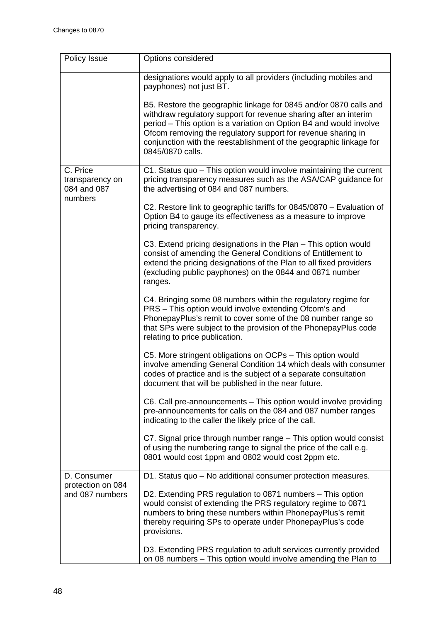| Policy Issue                                          | Options considered                                                                                                                                                                                                                                                                                                                                                    |  |  |
|-------------------------------------------------------|-----------------------------------------------------------------------------------------------------------------------------------------------------------------------------------------------------------------------------------------------------------------------------------------------------------------------------------------------------------------------|--|--|
|                                                       | designations would apply to all providers (including mobiles and<br>payphones) not just BT.                                                                                                                                                                                                                                                                           |  |  |
|                                                       | B5. Restore the geographic linkage for 0845 and/or 0870 calls and<br>withdraw regulatory support for revenue sharing after an interim<br>period – This option is a variation on Option B4 and would involve<br>Ofcom removing the regulatory support for revenue sharing in<br>conjunction with the reestablishment of the geographic linkage for<br>0845/0870 calls. |  |  |
| C. Price<br>transparency on<br>084 and 087<br>numbers | C1. Status quo - This option would involve maintaining the current<br>pricing transparency measures such as the ASA/CAP guidance for<br>the advertising of 084 and 087 numbers.                                                                                                                                                                                       |  |  |
|                                                       | C2. Restore link to geographic tariffs for 0845/0870 - Evaluation of<br>Option B4 to gauge its effectiveness as a measure to improve<br>pricing transparency.                                                                                                                                                                                                         |  |  |
|                                                       | C3. Extend pricing designations in the Plan – This option would<br>consist of amending the General Conditions of Entitlement to<br>extend the pricing designations of the Plan to all fixed providers<br>(excluding public payphones) on the 0844 and 0871 number<br>ranges.                                                                                          |  |  |
|                                                       | C4. Bringing some 08 numbers within the regulatory regime for<br>PRS - This option would involve extending Ofcom's and<br>PhonepayPlus's remit to cover some of the 08 number range so<br>that SPs were subject to the provision of the PhonepayPlus code<br>relating to price publication.                                                                           |  |  |
|                                                       | C5. More stringent obligations on OCPs - This option would<br>involve amending General Condition 14 which deals with consumer<br>codes of practice and is the subject of a separate consultation<br>document that will be published in the near future.                                                                                                               |  |  |
|                                                       | C6. Call pre-announcements - This option would involve providing<br>pre-announcements for calls on the 084 and 087 number ranges<br>indicating to the caller the likely price of the call.                                                                                                                                                                            |  |  |
|                                                       | C7. Signal price through number range - This option would consist<br>of using the numbering range to signal the price of the call e.g.<br>0801 would cost 1ppm and 0802 would cost 2ppm etc.                                                                                                                                                                          |  |  |
| D. Consumer<br>protection on 084<br>and 087 numbers   | D1. Status quo - No additional consumer protection measures.                                                                                                                                                                                                                                                                                                          |  |  |
|                                                       | D2. Extending PRS regulation to 0871 numbers - This option<br>would consist of extending the PRS regulatory regime to 0871<br>numbers to bring these numbers within PhonepayPlus's remit<br>thereby requiring SPs to operate under PhonepayPlus's code<br>provisions.                                                                                                 |  |  |
|                                                       | D3. Extending PRS regulation to adult services currently provided<br>on 08 numbers - This option would involve amending the Plan to                                                                                                                                                                                                                                   |  |  |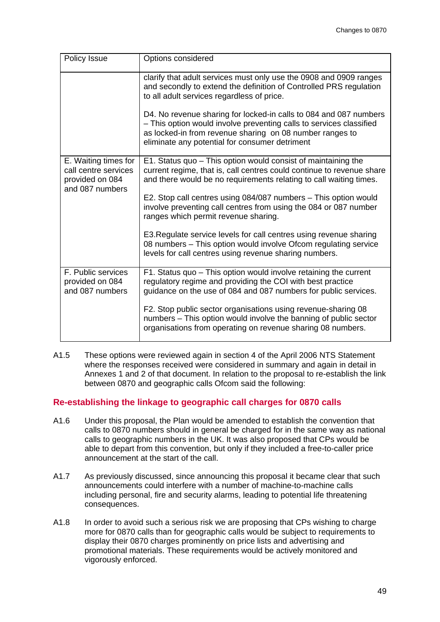| Policy Issue                                                                       | Options considered                                                                                                                                                                                                                                     |  |
|------------------------------------------------------------------------------------|--------------------------------------------------------------------------------------------------------------------------------------------------------------------------------------------------------------------------------------------------------|--|
|                                                                                    | clarify that adult services must only use the 0908 and 0909 ranges<br>and secondly to extend the definition of Controlled PRS regulation<br>to all adult services regardless of price.                                                                 |  |
|                                                                                    | D4. No revenue sharing for locked-in calls to 084 and 087 numbers<br>- This option would involve preventing calls to services classified<br>as locked-in from revenue sharing on 08 number ranges to<br>eliminate any potential for consumer detriment |  |
| E. Waiting times for<br>call centre services<br>provided on 084<br>and 087 numbers | E1. Status quo - This option would consist of maintaining the<br>current regime, that is, call centres could continue to revenue share<br>and there would be no requirements relating to call waiting times.                                           |  |
|                                                                                    | E2. Stop call centres using 084/087 numbers - This option would<br>involve preventing call centres from using the 084 or 087 number<br>ranges which permit revenue sharing.                                                                            |  |
|                                                                                    | E3. Regulate service levels for call centres using revenue sharing<br>08 numbers - This option would involve Ofcom regulating service<br>levels for call centres using revenue sharing numbers.                                                        |  |
| F. Public services<br>provided on 084<br>and 087 numbers                           | F1. Status quo - This option would involve retaining the current<br>regulatory regime and providing the COI with best practice<br>guidance on the use of 084 and 087 numbers for public services.                                                      |  |
|                                                                                    | F2. Stop public sector organisations using revenue-sharing 08<br>numbers - This option would involve the banning of public sector<br>organisations from operating on revenue sharing 08 numbers.                                                       |  |

A1.5 These options were reviewed again in section 4 of the April 2006 NTS Statement where the responses received were considered in summary and again in detail in Annexes 1 and 2 of that document. In relation to the proposal to re-establish the link between 0870 and geographic calls Ofcom said the following:

# **Re-establishing the linkage to geographic call charges for 0870 calls**

- A1.6 Under this proposal, the Plan would be amended to establish the convention that calls to 0870 numbers should in general be charged for in the same way as national calls to geographic numbers in the UK. It was also proposed that CPs would be able to depart from this convention, but only if they included a free-to-caller price announcement at the start of the call.
- A1.7 As previously discussed, since announcing this proposal it became clear that such announcements could interfere with a number of machine-to-machine calls including personal, fire and security alarms, leading to potential life threatening consequences.
- A1.8 In order to avoid such a serious risk we are proposing that CPs wishing to charge more for 0870 calls than for geographic calls would be subject to requirements to display their 0870 charges prominently on price lists and advertising and promotional materials. These requirements would be actively monitored and vigorously enforced.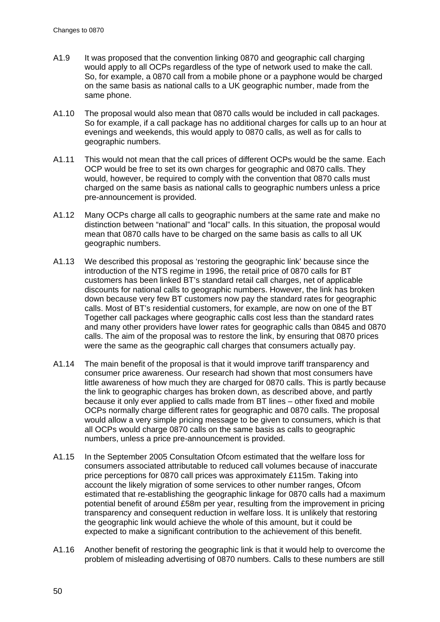- A1.9 It was proposed that the convention linking 0870 and geographic call charging would apply to all OCPs regardless of the type of network used to make the call. So, for example, a 0870 call from a mobile phone or a payphone would be charged on the same basis as national calls to a UK geographic number, made from the same phone.
- A1.10 The proposal would also mean that 0870 calls would be included in call packages. So for example, if a call package has no additional charges for calls up to an hour at evenings and weekends, this would apply to 0870 calls, as well as for calls to geographic numbers.
- A1.11 This would not mean that the call prices of different OCPs would be the same. Each OCP would be free to set its own charges for geographic and 0870 calls. They would, however, be required to comply with the convention that 0870 calls must charged on the same basis as national calls to geographic numbers unless a price pre-announcement is provided.
- A1.12 Many OCPs charge all calls to geographic numbers at the same rate and make no distinction between "national" and "local" calls. In this situation, the proposal would mean that 0870 calls have to be charged on the same basis as calls to all UK geographic numbers.
- A1.13 We described this proposal as 'restoring the geographic link' because since the introduction of the NTS regime in 1996, the retail price of 0870 calls for BT customers has been linked BT's standard retail call charges, net of applicable discounts for national calls to geographic numbers. However, the link has broken down because very few BT customers now pay the standard rates for geographic calls. Most of BT's residential customers, for example, are now on one of the BT Together call packages where geographic calls cost less than the standard rates and many other providers have lower rates for geographic calls than 0845 and 0870 calls. The aim of the proposal was to restore the link, by ensuring that 0870 prices were the same as the geographic call charges that consumers actually pay.
- A1.14 The main benefit of the proposal is that it would improve tariff transparency and consumer price awareness. Our research had shown that most consumers have little awareness of how much they are charged for 0870 calls. This is partly because the link to geographic charges has broken down, as described above, and partly because it only ever applied to calls made from BT lines – other fixed and mobile OCPs normally charge different rates for geographic and 0870 calls. The proposal would allow a very simple pricing message to be given to consumers, which is that all OCPs would charge 0870 calls on the same basis as calls to geographic numbers, unless a price pre-announcement is provided.
- A1.15 In the September 2005 Consultation Ofcom estimated that the welfare loss for consumers associated attributable to reduced call volumes because of inaccurate price perceptions for 0870 call prices was approximately £115m. Taking into account the likely migration of some services to other number ranges, Ofcom estimated that re-establishing the geographic linkage for 0870 calls had a maximum potential benefit of around £58m per year, resulting from the improvement in pricing transparency and consequent reduction in welfare loss. It is unlikely that restoring the geographic link would achieve the whole of this amount, but it could be expected to make a significant contribution to the achievement of this benefit.
- A1.16 Another benefit of restoring the geographic link is that it would help to overcome the problem of misleading advertising of 0870 numbers. Calls to these numbers are still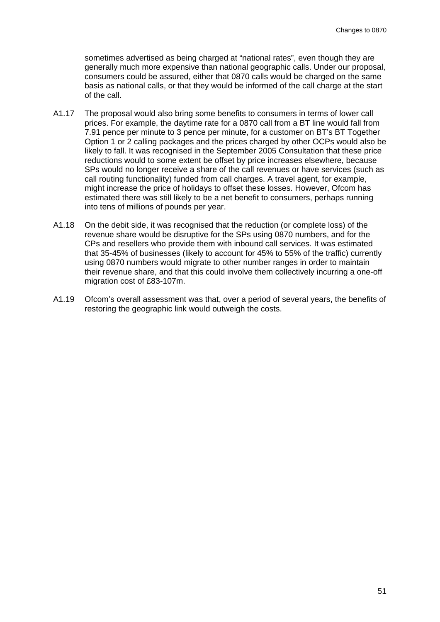sometimes advertised as being charged at "national rates", even though they are generally much more expensive than national geographic calls. Under our proposal, consumers could be assured, either that 0870 calls would be charged on the same basis as national calls, or that they would be informed of the call charge at the start of the call.

- A1.17 The proposal would also bring some benefits to consumers in terms of lower call prices. For example, the daytime rate for a 0870 call from a BT line would fall from 7.91 pence per minute to 3 pence per minute, for a customer on BT's BT Together Option 1 or 2 calling packages and the prices charged by other OCPs would also be likely to fall. It was recognised in the September 2005 Consultation that these price reductions would to some extent be offset by price increases elsewhere, because SPs would no longer receive a share of the call revenues or have services (such as call routing functionality) funded from call charges. A travel agent, for example, might increase the price of holidays to offset these losses. However, Ofcom has estimated there was still likely to be a net benefit to consumers, perhaps running into tens of millions of pounds per year.
- A1.18 On the debit side, it was recognised that the reduction (or complete loss) of the revenue share would be disruptive for the SPs using 0870 numbers, and for the CPs and resellers who provide them with inbound call services. It was estimated that 35-45% of businesses (likely to account for 45% to 55% of the traffic) currently using 0870 numbers would migrate to other number ranges in order to maintain their revenue share, and that this could involve them collectively incurring a one-off migration cost of £83-107m.
- A1.19 Ofcom's overall assessment was that, over a period of several years, the benefits of restoring the geographic link would outweigh the costs.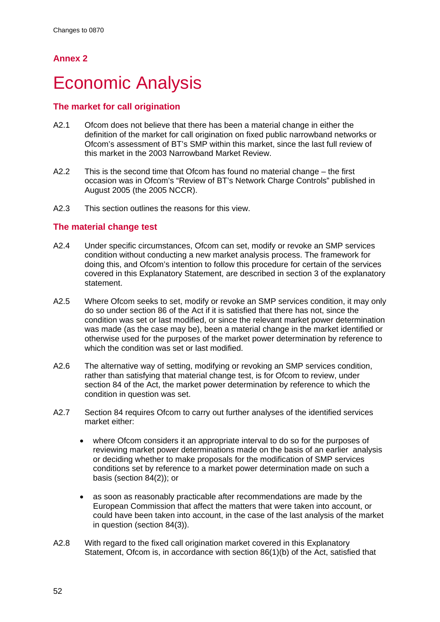# **Annex 2**

# **Economic Analysis**

# **The market for call origination**

- A2.1 Ofcom does not believe that there has been a material change in either the definition of the market for call origination on fixed public narrowband networks or Ofcom's assessment of BT's SMP within this market, since the last full review of this market in the 2003 Narrowband Market Review.
- A2.2 This is the second time that Ofcom has found no material change the first occasion was in Ofcom's "Review of BT's Network Charge Controls" published in August 2005 (the 2005 NCCR).
- A2.3 This section outlines the reasons for this view.

# **The material change test**

- A2.4 Under specific circumstances, Ofcom can set, modify or revoke an SMP services condition without conducting a new market analysis process. The framework for doing this, and Ofcom's intention to follow this procedure for certain of the services covered in this Explanatory Statement, are described in section 3 of the explanatory statement.
- A2.5 Where Ofcom seeks to set, modify or revoke an SMP services condition, it may only do so under section 86 of the Act if it is satisfied that there has not, since the condition was set or last modified, or since the relevant market power determination was made (as the case may be), been a material change in the market identified or otherwise used for the purposes of the market power determination by reference to which the condition was set or last modified.
- A2.6 The alternative way of setting, modifying or revoking an SMP services condition, rather than satisfying that material change test, is for Ofcom to review, under section 84 of the Act, the market power determination by reference to which the condition in question was set.
- A2.7 Section 84 requires Ofcom to carry out further analyses of the identified services market either:
	- where Ofcom considers it an appropriate interval to do so for the purposes of reviewing market power determinations made on the basis of an earlier analysis or deciding whether to make proposals for the modification of SMP services conditions set by reference to a market power determination made on such a basis (section 84(2)); or
	- as soon as reasonably practicable after recommendations are made by the European Commission that affect the matters that were taken into account, or could have been taken into account, in the case of the last analysis of the market in question (section 84(3)).
- A2.8 With regard to the fixed call origination market covered in this Explanatory Statement, Ofcom is, in accordance with section 86(1)(b) of the Act, satisfied that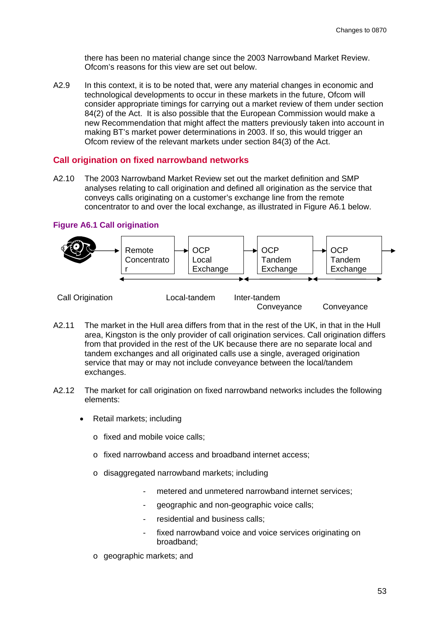there has been no material change since the 2003 Narrowband Market Review. Ofcom's reasons for this view are set out below.

A2.9 In this context, it is to be noted that, were any material changes in economic and technological developments to occur in these markets in the future, Ofcom will consider appropriate timings for carrying out a market review of them under section 84(2) of the Act. It is also possible that the European Commission would make a new Recommendation that might affect the matters previously taken into account in making BT's market power determinations in 2003. If so, this would trigger an Ofcom review of the relevant markets under section 84(3) of the Act.

#### **Call origination on fixed narrowband networks**

A2.10 The 2003 Narrowband Market Review set out the market definition and SMP analyses relating to call origination and defined all origination as the service that conveys calls originating on a customer's exchange line from the remote concentrator to and over the local exchange, as illustrated in Figure A6.1 below.

#### **Figure A6.1 Call origination**



- A2.11 The market in the Hull area differs from that in the rest of the UK, in that in the Hull area, Kingston is the only provider of call origination services. Call origination differs from that provided in the rest of the UK because there are no separate local and tandem exchanges and all originated calls use a single, averaged origination service that may or may not include conveyance between the local/tandem exchanges.
- A2.12 The market for call origination on fixed narrowband networks includes the following elements:
	- Retail markets; including
		- o fixed and mobile voice calls;
		- o fixed narrowband access and broadband internet access;
		- o disaggregated narrowband markets; including
			- metered and unmetered narrowband internet services:
			- geographic and non-geographic voice calls;
			- residential and business calls;
			- fixed narrowband voice and voice services originating on broadband;
		- o geographic markets; and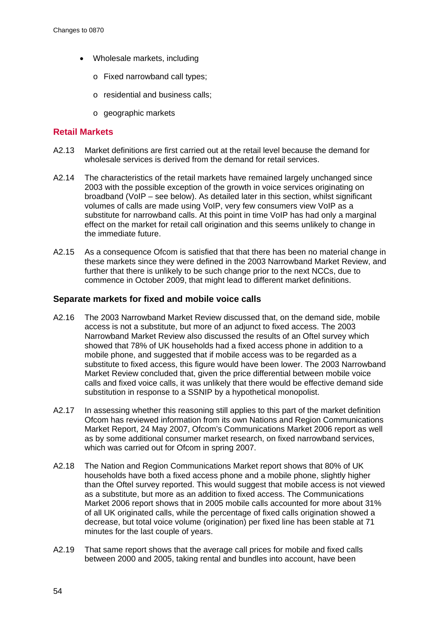- Wholesale markets, including
	- o Fixed narrowband call types;
	- o residential and business calls;
	- o geographic markets

#### **Retail Markets**

- A2.13 Market definitions are first carried out at the retail level because the demand for wholesale services is derived from the demand for retail services.
- A2.14 The characteristics of the retail markets have remained largely unchanged since 2003 with the possible exception of the growth in voice services originating on broadband (VoIP – see below). As detailed later in this section, whilst significant volumes of calls are made using VoIP, very few consumers view VoIP as a substitute for narrowband calls. At this point in time VoIP has had only a marginal effect on the market for retail call origination and this seems unlikely to change in the immediate future.
- A2.15 As a consequence Ofcom is satisfied that that there has been no material change in these markets since they were defined in the 2003 Narrowband Market Review, and further that there is unlikely to be such change prior to the next NCCs, due to commence in October 2009, that might lead to different market definitions.

### **Separate markets for fixed and mobile voice calls**

- A2.16 The 2003 Narrowband Market Review discussed that, on the demand side, mobile access is not a substitute, but more of an adjunct to fixed access. The 2003 Narrowband Market Review also discussed the results of an Oftel survey which showed that 78% of UK households had a fixed access phone in addition to a mobile phone, and suggested that if mobile access was to be regarded as a substitute to fixed access, this figure would have been lower. The 2003 Narrowband Market Review concluded that, given the price differential between mobile voice calls and fixed voice calls, it was unlikely that there would be effective demand side substitution in response to a SSNIP by a hypothetical monopolist.
- A2.17 In assessing whether this reasoning still applies to this part of the market definition Ofcom has reviewed information from its own Nations and Region Communications Market Report, 24 May 2007, Ofcom's Communications Market 2006 report as well as by some additional consumer market research, on fixed narrowband services, which was carried out for Ofcom in spring 2007.
- A2.18 The Nation and Region Communications Market report shows that 80% of UK households have both a fixed access phone and a mobile phone, slightly higher than the Oftel survey reported. This would suggest that mobile access is not viewed as a substitute, but more as an addition to fixed access. The Communications Market 2006 report shows that in 2005 mobile calls accounted for more about 31% of all UK originated calls, while the percentage of fixed calls origination showed a decrease, but total voice volume (origination) per fixed line has been stable at 71 minutes for the last couple of years.
- A2.19 That same report shows that the average call prices for mobile and fixed calls between 2000 and 2005, taking rental and bundles into account, have been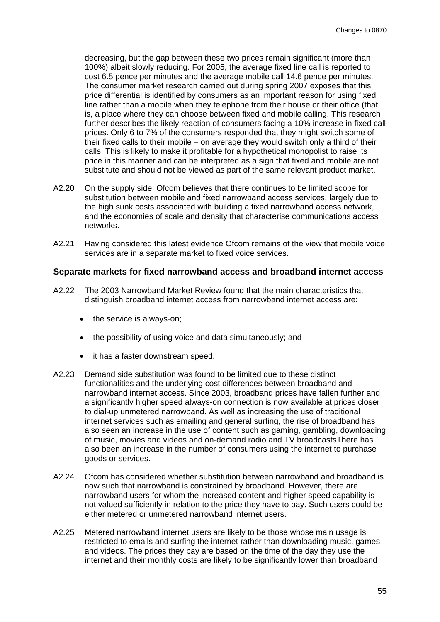decreasing, but the gap between these two prices remain significant (more than 100%) albeit slowly reducing. For 2005, the average fixed line call is reported to cost 6.5 pence per minutes and the average mobile call 14.6 pence per minutes. The consumer market research carried out during spring 2007 exposes that this price differential is identified by consumers as an important reason for using fixed line rather than a mobile when they telephone from their house or their office (that is, a place where they can choose between fixed and mobile calling. This research further describes the likely reaction of consumers facing a 10% increase in fixed call prices. Only 6 to 7% of the consumers responded that they might switch some of their fixed calls to their mobile – on average they would switch only a third of their calls. This is likely to make it profitable for a hypothetical monopolist to raise its price in this manner and can be interpreted as a sign that fixed and mobile are not substitute and should not be viewed as part of the same relevant product market.

- A2.20 On the supply side, Ofcom believes that there continues to be limited scope for substitution between mobile and fixed narrowband access services, largely due to the high sunk costs associated with building a fixed narrowband access network, and the economies of scale and density that characterise communications access networks.
- A2.21 Having considered this latest evidence Ofcom remains of the view that mobile voice services are in a separate market to fixed voice services.

#### **Separate markets for fixed narrowband access and broadband internet access**

- A2.22 The 2003 Narrowband Market Review found that the main characteristics that distinguish broadband internet access from narrowband internet access are:
	- the service is always-on;
	- the possibility of using voice and data simultaneously; and
	- it has a faster downstream speed.
- A2.23 Demand side substitution was found to be limited due to these distinct functionalities and the underlying cost differences between broadband and narrowband internet access. Since 2003, broadband prices have fallen further and a significantly higher speed always-on connection is now available at prices closer to dial-up unmetered narrowband. As well as increasing the use of traditional internet services such as emailing and general surfing, the rise of broadband has also seen an increase in the use of content such as gaming, gambling, downloading of music, movies and videos and on-demand radio and TV broadcastsThere has also been an increase in the number of consumers using the internet to purchase goods or services.
- A2.24 Ofcom has considered whether substitution between narrowband and broadband is now such that narrowband is constrained by broadband. However, there are narrowband users for whom the increased content and higher speed capability is not valued sufficiently in relation to the price they have to pay. Such users could be either metered or unmetered narrowband internet users.
- A2.25 Metered narrowband internet users are likely to be those whose main usage is restricted to emails and surfing the internet rather than downloading music, games and videos. The prices they pay are based on the time of the day they use the internet and their monthly costs are likely to be significantly lower than broadband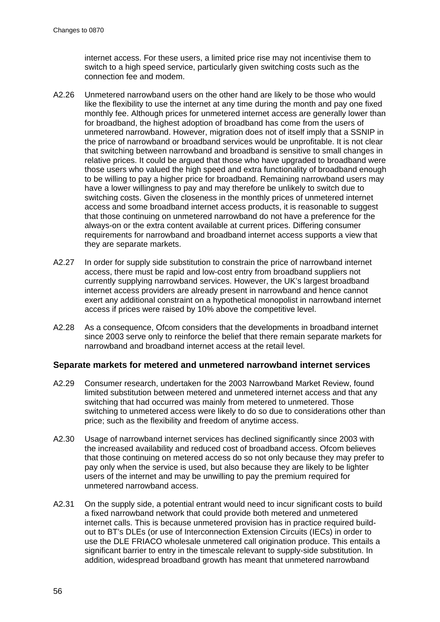internet access. For these users, a limited price rise may not incentivise them to switch to a high speed service, particularly given switching costs such as the connection fee and modem.

- A2.26 Unmetered narrowband users on the other hand are likely to be those who would like the flexibility to use the internet at any time during the month and pay one fixed monthly fee. Although prices for unmetered internet access are generally lower than for broadband, the highest adoption of broadband has come from the users of unmetered narrowband. However, migration does not of itself imply that a SSNIP in the price of narrowband or broadband services would be unprofitable. It is not clear that switching between narrowband and broadband is sensitive to small changes in relative prices. It could be argued that those who have upgraded to broadband were those users who valued the high speed and extra functionality of broadband enough to be willing to pay a higher price for broadband. Remaining narrowband users may have a lower willingness to pay and may therefore be unlikely to switch due to switching costs. Given the closeness in the monthly prices of unmetered internet access and some broadband internet access products, it is reasonable to suggest that those continuing on unmetered narrowband do not have a preference for the always-on or the extra content available at current prices. Differing consumer requirements for narrowband and broadband internet access supports a view that they are separate markets.
- A2.27 In order for supply side substitution to constrain the price of narrowband internet access, there must be rapid and low-cost entry from broadband suppliers not currently supplying narrowband services. However, the UK's largest broadband internet access providers are already present in narrowband and hence cannot exert any additional constraint on a hypothetical monopolist in narrowband internet access if prices were raised by 10% above the competitive level.
- A2.28 As a consequence, Ofcom considers that the developments in broadband internet since 2003 serve only to reinforce the belief that there remain separate markets for narrowband and broadband internet access at the retail level.

#### **Separate markets for metered and unmetered narrowband internet services**

- A2.29 Consumer research, undertaken for the 2003 Narrowband Market Review, found limited substitution between metered and unmetered internet access and that any switching that had occurred was mainly from metered to unmetered. Those switching to unmetered access were likely to do so due to considerations other than price; such as the flexibility and freedom of anytime access.
- A2.30 Usage of narrowband internet services has declined significantly since 2003 with the increased availability and reduced cost of broadband access. Ofcom believes that those continuing on metered access do so not only because they may prefer to pay only when the service is used, but also because they are likely to be lighter users of the internet and may be unwilling to pay the premium required for unmetered narrowband access.
- A2.31 On the supply side, a potential entrant would need to incur significant costs to build a fixed narrowband network that could provide both metered and unmetered internet calls. This is because unmetered provision has in practice required buildout to BT's DLEs (or use of Interconnection Extension Circuits (IECs) in order to use the DLE FRIACO wholesale unmetered call origination produce. This entails a significant barrier to entry in the timescale relevant to supply-side substitution. In addition, widespread broadband growth has meant that unmetered narrowband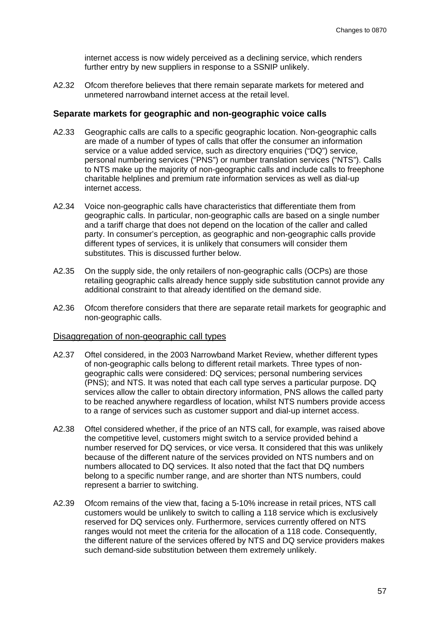internet access is now widely perceived as a declining service, which renders further entry by new suppliers in response to a SSNIP unlikely.

A2.32 Ofcom therefore believes that there remain separate markets for metered and unmetered narrowband internet access at the retail level.

### **Separate markets for geographic and non-geographic voice calls**

- A2.33 Geographic calls are calls to a specific geographic location. Non-geographic calls are made of a number of types of calls that offer the consumer an information service or a value added service, such as directory enquiries ("DQ") service, personal numbering services ("PNS") or number translation services ("NTS"). Calls to NTS make up the majority of non-geographic calls and include calls to freephone charitable helplines and premium rate information services as well as dial-up internet access.
- A2.34 Voice non-geographic calls have characteristics that differentiate them from geographic calls. In particular, non-geographic calls are based on a single number and a tariff charge that does not depend on the location of the caller and called party. In consumer's perception, as geographic and non-geographic calls provide different types of services, it is unlikely that consumers will consider them substitutes. This is discussed further below.
- A2.35 On the supply side, the only retailers of non-geographic calls (OCPs) are those retailing geographic calls already hence supply side substitution cannot provide any additional constraint to that already identified on the demand side.
- A2.36 Ofcom therefore considers that there are separate retail markets for geographic and non-geographic calls.

#### Disaggregation of non-geographic call types

- A2.37 Oftel considered, in the 2003 Narrowband Market Review, whether different types of non-geographic calls belong to different retail markets. Three types of nongeographic calls were considered: DQ services; personal numbering services (PNS); and NTS. It was noted that each call type serves a particular purpose. DQ services allow the caller to obtain directory information, PNS allows the called party to be reached anywhere regardless of location, whilst NTS numbers provide access to a range of services such as customer support and dial-up internet access.
- A2.38 Oftel considered whether, if the price of an NTS call, for example, was raised above the competitive level, customers might switch to a service provided behind a number reserved for DQ services, or vice versa. It considered that this was unlikely because of the different nature of the services provided on NTS numbers and on numbers allocated to DQ services. It also noted that the fact that DQ numbers belong to a specific number range, and are shorter than NTS numbers, could represent a barrier to switching.
- A2.39 Ofcom remains of the view that, facing a 5-10% increase in retail prices, NTS call customers would be unlikely to switch to calling a 118 service which is exclusively reserved for DQ services only. Furthermore, services currently offered on NTS ranges would not meet the criteria for the allocation of a 118 code. Consequently, the different nature of the services offered by NTS and DQ service providers makes such demand-side substitution between them extremely unlikely.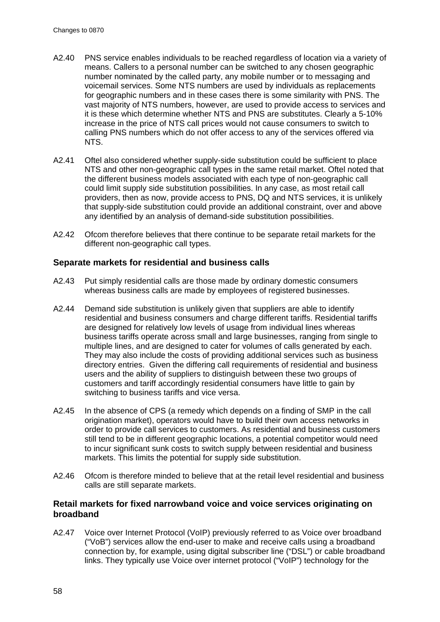- A2.40 PNS service enables individuals to be reached regardless of location via a variety of means. Callers to a personal number can be switched to any chosen geographic number nominated by the called party, any mobile number or to messaging and voicemail services. Some NTS numbers are used by individuals as replacements for geographic numbers and in these cases there is some similarity with PNS. The vast majority of NTS numbers, however, are used to provide access to services and it is these which determine whether NTS and PNS are substitutes. Clearly a 5-10% increase in the price of NTS call prices would not cause consumers to switch to calling PNS numbers which do not offer access to any of the services offered via NTS.
- A2.41 Oftel also considered whether supply-side substitution could be sufficient to place NTS and other non-geographic call types in the same retail market. Oftel noted that the different business models associated with each type of non-geographic call could limit supply side substitution possibilities. In any case, as most retail call providers, then as now, provide access to PNS, DQ and NTS services, it is unlikely that supply-side substitution could provide an additional constraint, over and above any identified by an analysis of demand-side substitution possibilities.
- A2.42 Ofcom therefore believes that there continue to be separate retail markets for the different non-geographic call types.

## **Separate markets for residential and business calls**

- A2.43 Put simply residential calls are those made by ordinary domestic consumers whereas business calls are made by employees of registered businesses.
- A2.44 Demand side substitution is unlikely given that suppliers are able to identify residential and business consumers and charge different tariffs. Residential tariffs are designed for relatively low levels of usage from individual lines whereas business tariffs operate across small and large businesses, ranging from single to multiple lines, and are designed to cater for volumes of calls generated by each. They may also include the costs of providing additional services such as business directory entries. Given the differing call requirements of residential and business users and the ability of suppliers to distinguish between these two groups of customers and tariff accordingly residential consumers have little to gain by switching to business tariffs and vice versa.
- A2.45 In the absence of CPS (a remedy which depends on a finding of SMP in the call origination market), operators would have to build their own access networks in order to provide call services to customers. As residential and business customers still tend to be in different geographic locations, a potential competitor would need to incur significant sunk costs to switch supply between residential and business markets. This limits the potential for supply side substitution.
- A2.46 Ofcom is therefore minded to believe that at the retail level residential and business calls are still separate markets.

## **Retail markets for fixed narrowband voice and voice services originating on broadband**

A2.47 Voice over Internet Protocol (VoIP) previously referred to as Voice over broadband ("VoB") services allow the end-user to make and receive calls using a broadband connection by, for example, using digital subscriber line ("DSL") or cable broadband links. They typically use Voice over internet protocol ("VoIP") technology for the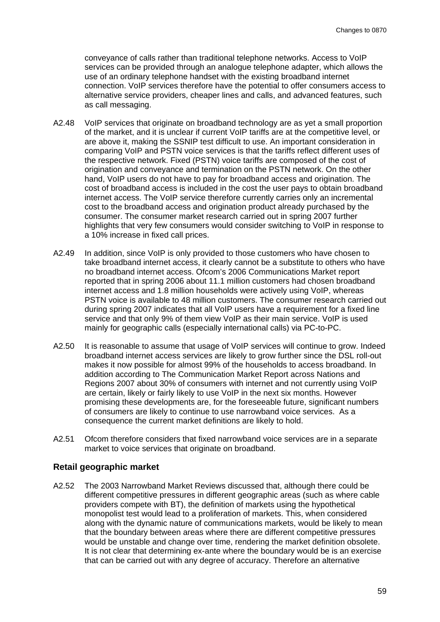conveyance of calls rather than traditional telephone networks. Access to VoIP services can be provided through an analogue telephone adapter, which allows the use of an ordinary telephone handset with the existing broadband internet connection. VoIP services therefore have the potential to offer consumers access to alternative service providers, cheaper lines and calls, and advanced features, such as call messaging.

- A2.48 VoIP services that originate on broadband technology are as yet a small proportion of the market, and it is unclear if current VoIP tariffs are at the competitive level, or are above it, making the SSNIP test difficult to use. An important consideration in comparing VoIP and PSTN voice services is that the tariffs reflect different uses of the respective network. Fixed (PSTN) voice tariffs are composed of the cost of origination and conveyance and termination on the PSTN network. On the other hand, VoIP users do not have to pay for broadband access and origination. The cost of broadband access is included in the cost the user pays to obtain broadband internet access. The VoIP service therefore currently carries only an incremental cost to the broadband access and origination product already purchased by the consumer. The consumer market research carried out in spring 2007 further highlights that very few consumers would consider switching to VoIP in response to a 10% increase in fixed call prices.
- A2.49 In addition, since VoIP is only provided to those customers who have chosen to take broadband internet access, it clearly cannot be a substitute to others who have no broadband internet access. Ofcom's 2006 Communications Market report reported that in spring 2006 about 11.1 million customers had chosen broadband internet access and 1.8 million households were actively using VoIP, whereas PSTN voice is available to 48 million customers. The consumer research carried out during spring 2007 indicates that all VoIP users have a requirement for a fixed line service and that only 9% of them view VoIP as their main service. VoIP is used mainly for geographic calls (especially international calls) via PC-to-PC.
- A2.50 It is reasonable to assume that usage of VoIP services will continue to grow. Indeed broadband internet access services are likely to grow further since the DSL roll-out makes it now possible for almost 99% of the households to access broadband. In addition according to The Communication Market Report across Nations and Regions 2007 about 30% of consumers with internet and not currently using VoIP are certain, likely or fairly likely to use VoIP in the next six months. However promising these developments are, for the foreseeable future, significant numbers of consumers are likely to continue to use narrowband voice services. As a consequence the current market definitions are likely to hold.
- A2.51 Ofcom therefore considers that fixed narrowband voice services are in a separate market to voice services that originate on broadband.

#### **Retail geographic market**

A2.52 The 2003 Narrowband Market Reviews discussed that, although there could be different competitive pressures in different geographic areas (such as where cable providers compete with BT), the definition of markets using the hypothetical monopolist test would lead to a proliferation of markets. This, when considered along with the dynamic nature of communications markets, would be likely to mean that the boundary between areas where there are different competitive pressures would be unstable and change over time, rendering the market definition obsolete. It is not clear that determining ex-ante where the boundary would be is an exercise that can be carried out with any degree of accuracy. Therefore an alternative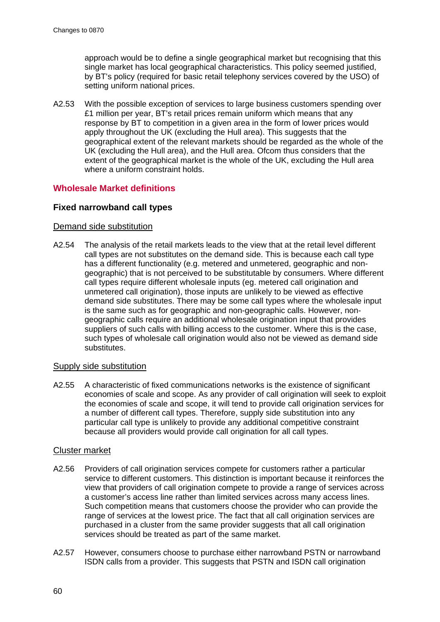approach would be to define a single geographical market but recognising that this single market has local geographical characteristics. This policy seemed justified, by BT's policy (required for basic retail telephony services covered by the USO) of setting uniform national prices.

A2.53 With the possible exception of services to large business customers spending over £1 million per year, BT's retail prices remain uniform which means that any response by BT to competition in a given area in the form of lower prices would apply throughout the UK (excluding the Hull area). This suggests that the geographical extent of the relevant markets should be regarded as the whole of the UK (excluding the Hull area), and the Hull area. Ofcom thus considers that the extent of the geographical market is the whole of the UK, excluding the Hull area where a uniform constraint holds.

# **Wholesale Market definitions**

## **Fixed narrowband call types**

### Demand side substitution

A2.54 The analysis of the retail markets leads to the view that at the retail level different call types are not substitutes on the demand side. This is because each call type has a different functionality (e.g. metered and unmetered, geographic and nongeographic) that is not perceived to be substitutable by consumers. Where different call types require different wholesale inputs (eg. metered call origination and unmetered call origination), those inputs are unlikely to be viewed as effective demand side substitutes. There may be some call types where the wholesale input is the same such as for geographic and non-geographic calls. However, nongeographic calls require an additional wholesale origination input that provides suppliers of such calls with billing access to the customer. Where this is the case, such types of wholesale call origination would also not be viewed as demand side substitutes.

### Supply side substitution

A2.55 A characteristic of fixed communications networks is the existence of significant economies of scale and scope. As any provider of call origination will seek to exploit the economies of scale and scope, it will tend to provide call origination services for a number of different call types. Therefore, supply side substitution into any particular call type is unlikely to provide any additional competitive constraint because all providers would provide call origination for all call types.

### Cluster market

- A2.56 Providers of call origination services compete for customers rather a particular service to different customers. This distinction is important because it reinforces the view that providers of call origination compete to provide a range of services across a customer's access line rather than limited services across many access lines. Such competition means that customers choose the provider who can provide the range of services at the lowest price. The fact that all call origination services are purchased in a cluster from the same provider suggests that all call origination services should be treated as part of the same market.
- A2.57 However, consumers choose to purchase either narrowband PSTN or narrowband ISDN calls from a provider. This suggests that PSTN and ISDN call origination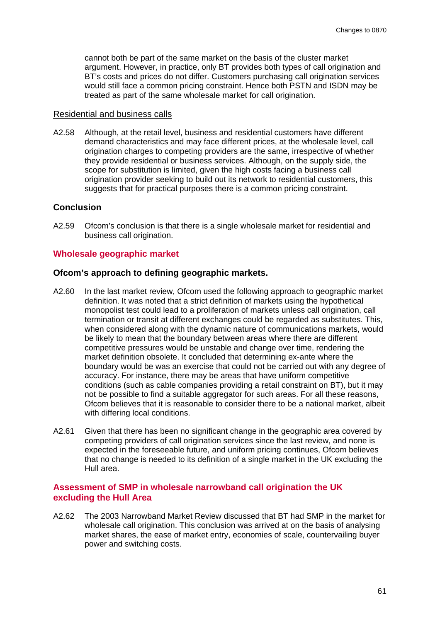cannot both be part of the same market on the basis of the cluster market argument. However, in practice, only BT provides both types of call origination and BT's costs and prices do not differ. Customers purchasing call origination services would still face a common pricing constraint. Hence both PSTN and ISDN may be treated as part of the same wholesale market for call origination.

#### Residential and business calls

A2.58 Although, at the retail level, business and residential customers have different demand characteristics and may face different prices, at the wholesale level, call origination charges to competing providers are the same, irrespective of whether they provide residential or business services. Although, on the supply side, the scope for substitution is limited, given the high costs facing a business call origination provider seeking to build out its network to residential customers, this suggests that for practical purposes there is a common pricing constraint.

# **Conclusion**

A2.59 Ofcom's conclusion is that there is a single wholesale market for residential and business call origination.

#### **Wholesale geographic market**

### **Ofcom's approach to defining geographic markets.**

- A2.60 In the last market review, Ofcom used the following approach to geographic market definition. It was noted that a strict definition of markets using the hypothetical monopolist test could lead to a proliferation of markets unless call origination, call termination or transit at different exchanges could be regarded as substitutes. This, when considered along with the dynamic nature of communications markets, would be likely to mean that the boundary between areas where there are different competitive pressures would be unstable and change over time, rendering the market definition obsolete. It concluded that determining ex-ante where the boundary would be was an exercise that could not be carried out with any degree of accuracy. For instance, there may be areas that have uniform competitive conditions (such as cable companies providing a retail constraint on BT), but it may not be possible to find a suitable aggregator for such areas. For all these reasons, Ofcom believes that it is reasonable to consider there to be a national market, albeit with differing local conditions.
- A2.61 Given that there has been no significant change in the geographic area covered by competing providers of call origination services since the last review, and none is expected in the foreseeable future, and uniform pricing continues, Ofcom believes that no change is needed to its definition of a single market in the UK excluding the Hull area.

#### **Assessment of SMP in wholesale narrowband call origination the UK excluding the Hull Area**

A2.62 The 2003 Narrowband Market Review discussed that BT had SMP in the market for wholesale call origination. This conclusion was arrived at on the basis of analysing market shares, the ease of market entry, economies of scale, countervailing buyer power and switching costs.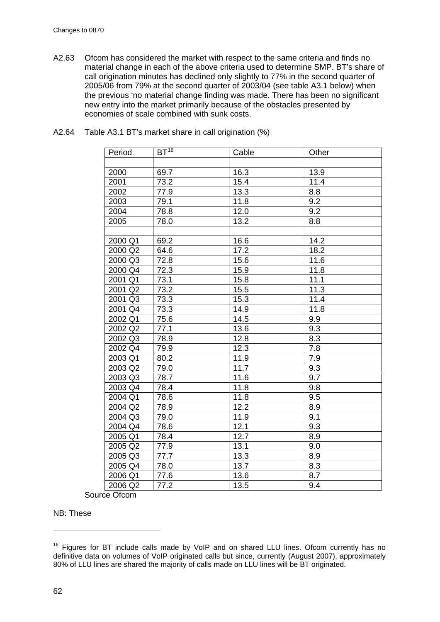A2.63 Ofcom has considered the market with respect to the same criteria and finds no material change in each of the above criteria used to determine SMP. BT's share of call origination minutes has declined only slightly to 77% in the second quarter of 2005/06 from 79% at the second quarter of 2003/04 (see table A3.1 below) when the previous 'no material change finding was made. There has been no significant new entry into the market primarily because of the obstacles presented by economies of scale combined with sunk costs.

| Period  | $BT^{16}$ | Cable | Other |
|---------|-----------|-------|-------|
|         |           |       |       |
| 2000    | 69.7      | 16.3  | 13.9  |
| 2001    | 73.2      | 15.4  | 11.4  |
| 2002    | 77.9      | 13.3  | 8.8   |
| 2003    | 79.1      | 11.8  | 9.2   |
| 2004    | 78.8      | 12.0  | 9.2   |
| 2005    | 78.0      | 13.2  | 8.8   |
|         |           |       |       |
| 2000 Q1 | 69.2      | 16.6  | 14.2  |
| 2000 Q2 | 64.6      | 17.2  | 18.2  |
| 2000 Q3 | 72.8      | 15.6  | 11.6  |
| 2000 Q4 | 72.3      | 15.9  | 11.8  |
| 2001 Q1 | 73.1      | 15.8  | 11.1  |
| 2001 Q2 | 73.2      | 15.5  | 11.3  |
| 2001 Q3 | 73.3      | 15.3  | 11.4  |
| 2001 Q4 | 73.3      | 14.9  | 11.8  |
| 2002 Q1 | 75.6      | 14.5  | 9.9   |
| 2002 Q2 | 77.1      | 13.6  | 9.3   |
| 2002 Q3 | 78.9      | 12.8  | 8.3   |
| 2002 Q4 | 79.9      | 12.3  | 7.8   |
| 2003 Q1 | 80.2      | 11.9  | 7.9   |
| 2003 Q2 | 79.0      | 11.7  | 9.3   |
| 2003 Q3 | 78.7      | 11.6  | 9.7   |
| 2003 Q4 | 78.4      | 11.8  | 9.8   |
| 2004 Q1 | 78.6      | 11.8  | 9.5   |
| 2004 Q2 | 78.9      | 12.2  | 8.9   |
| 2004 Q3 | 79.0      | 11.9  | 9.1   |
| 2004 Q4 | 78.6      | 12.1  | 9.3   |
| 2005 Q1 | 78.4      | 12.7  | 8.9   |
| 2005 Q2 | 77.9      | 13.1  | 9.0   |
| 2005 Q3 | 77.7      | 13.3  | 8.9   |
| 2005 Q4 | 78.0      | 13.7  | 8.3   |
| 2006 Q1 | 77.6      | 13.6  | 8.7   |
| 2006 Q2 | 77.2      | 13.5  | 9.4   |

A2.64 Table A3.1 BT's market share in call origination (%)

Source Ofcom

NB: These

 $\overline{a}$ 

<span id="page-61-0"></span> $16$  Figures for BT include calls made by VoIP and on shared LLU lines. Ofcom currently has no definitive data on volumes of VoIP originated calls but since, currently (August 2007), approximately 80% of LLU lines are shared the majority of calls made on LLU lines will be BT originated.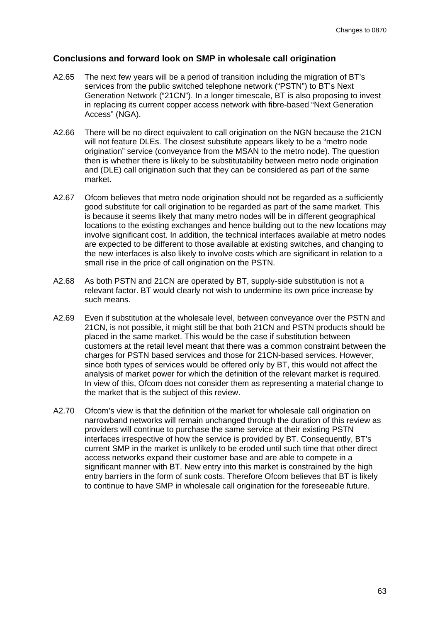# **Conclusions and forward look on SMP in wholesale call origination**

- A2.65 The next few years will be a period of transition including the migration of BT's services from the public switched telephone network ("PSTN") to BT's Next Generation Network ("21CN"). In a longer timescale, BT is also proposing to invest in replacing its current copper access network with fibre-based "Next Generation Access" (NGA).
- A2.66 There will be no direct equivalent to call origination on the NGN because the 21CN will not feature DLEs. The closest substitute appears likely to be a "metro node origination" service (conveyance from the MSAN to the metro node). The question then is whether there is likely to be substitutability between metro node origination and (DLE) call origination such that they can be considered as part of the same market.
- A2.67 Ofcom believes that metro node origination should not be regarded as a sufficiently good substitute for call origination to be regarded as part of the same market. This is because it seems likely that many metro nodes will be in different geographical locations to the existing exchanges and hence building out to the new locations may involve significant cost. In addition, the technical interfaces available at metro nodes are expected to be different to those available at existing switches, and changing to the new interfaces is also likely to involve costs which are significant in relation to a small rise in the price of call origination on the PSTN.
- A2.68 As both PSTN and 21CN are operated by BT, supply-side substitution is not a relevant factor. BT would clearly not wish to undermine its own price increase by such means.
- A2.69 Even if substitution at the wholesale level, between conveyance over the PSTN and 21CN, is not possible, it might still be that both 21CN and PSTN products should be placed in the same market. This would be the case if substitution between customers at the retail level meant that there was a common constraint between the charges for PSTN based services and those for 21CN-based services. However, since both types of services would be offered only by BT, this would not affect the analysis of market power for which the definition of the relevant market is required. In view of this, Ofcom does not consider them as representing a material change to the market that is the subject of this review.
- A2.70 Ofcom's view is that the definition of the market for wholesale call origination on narrowband networks will remain unchanged through the duration of this review as providers will continue to purchase the same service at their existing PSTN interfaces irrespective of how the service is provided by BT. Consequently, BT's current SMP in the market is unlikely to be eroded until such time that other direct access networks expand their customer base and are able to compete in a significant manner with BT. New entry into this market is constrained by the high entry barriers in the form of sunk costs. Therefore Ofcom believes that BT is likely to continue to have SMP in wholesale call origination for the foreseeable future.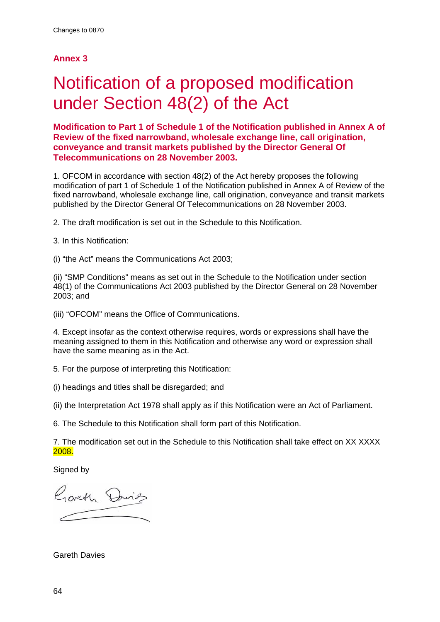# **Annex 3**

# Notification of a proposed modification under Section 48(2) of the Act

**Modification to Part 1 of Schedule 1 of the Notification published in Annex A of Review of the fixed narrowband, wholesale exchange line, call origination, conveyance and transit markets published by the Director General Of Telecommunications on 28 November 2003.** 

1. OFCOM in accordance with section 48(2) of the Act hereby proposes the following modification of part 1 of Schedule 1 of the Notification published in Annex A of Review of the fixed narrowband, wholesale exchange line, call origination, conveyance and transit markets published by the Director General Of Telecommunications on 28 November 2003.

2. The draft modification is set out in the Schedule to this Notification.

3. In this Notification:

(i) "the Act" means the Communications Act 2003;

(ii) "SMP Conditions" means as set out in the Schedule to the Notification under section 48(1) of the Communications Act 2003 published by the Director General on 28 November 2003; and

(iii) "OFCOM" means the Office of Communications.

4. Except insofar as the context otherwise requires, words or expressions shall have the meaning assigned to them in this Notification and otherwise any word or expression shall have the same meaning as in the Act.

5. For the purpose of interpreting this Notification:

(i) headings and titles shall be disregarded; and

(ii) the Interpretation Act 1978 shall apply as if this Notification were an Act of Parliament.

6. The Schedule to this Notification shall form part of this Notification.

7. The modification set out in the Schedule to this Notification shall take effect on XX XXXX 2008.

Signed by

Goveth Davids

Gareth Davies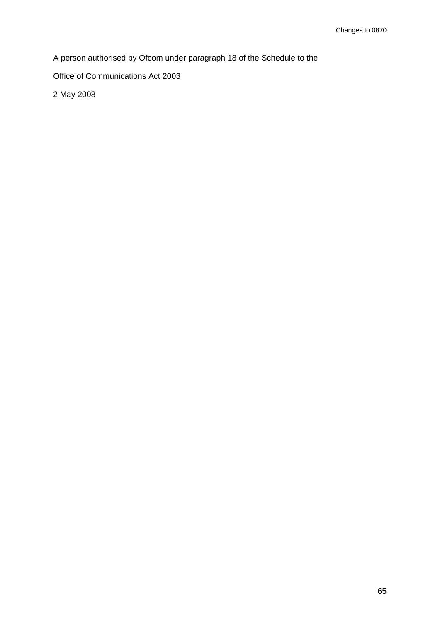A person authorised by Ofcom under paragraph 18 of the Schedule to the

Office of Communications Act 2003

2 May 2008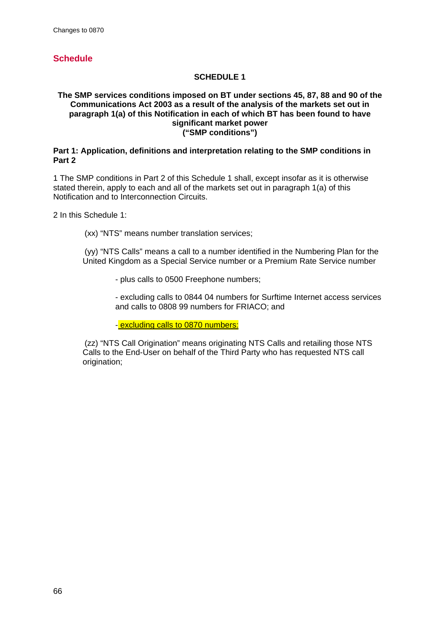# **Schedule**

## **SCHEDULE 1**

#### **The SMP services conditions imposed on BT under sections 45, 87, 88 and 90 of the Communications Act 2003 as a result of the analysis of the markets set out in paragraph 1(a) of this Notification in each of which BT has been found to have significant market power ("SMP conditions")**

#### **Part 1: Application, definitions and interpretation relating to the SMP conditions in Part 2**

1 The SMP conditions in Part 2 of this Schedule 1 shall, except insofar as it is otherwise stated therein, apply to each and all of the markets set out in paragraph 1(a) of this Notification and to Interconnection Circuits.

2 In this Schedule 1:

(xx) "NTS" means number translation services;

 (yy) "NTS Calls" means a call to a number identified in the Numbering Plan for the United Kingdom as a Special Service number or a Premium Rate Service number

- plus calls to 0500 Freephone numbers;

- excluding calls to 0844 04 numbers for Surftime Internet access services and calls to 0808 99 numbers for FRIACO; and

- excluding calls to 0870 numbers:

 (zz) "NTS Call Origination" means originating NTS Calls and retailing those NTS Calls to the End-User on behalf of the Third Party who has requested NTS call origination: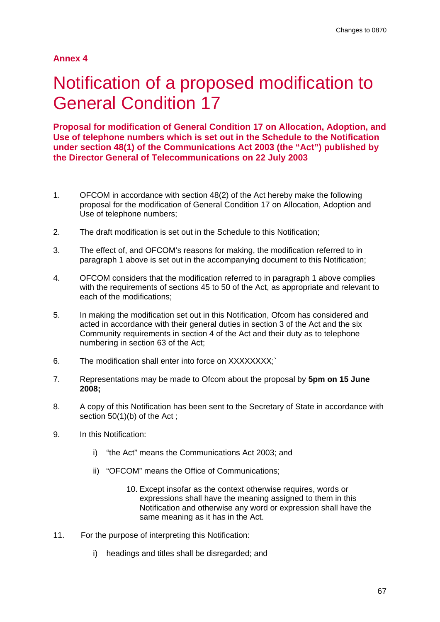# **Annex 4**

# Notification of a proposed modification to General Condition 17

**Proposal for modification of General Condition 17 on Allocation, Adoption, and Use of telephone numbers which is set out in the Schedule to the Notification under section 48(1) of the Communications Act 2003 (the "Act") published by the Director General of Telecommunications on 22 July 2003** 

- 1. OFCOM in accordance with section 48(2) of the Act hereby make the following proposal for the modification of General Condition 17 on Allocation, Adoption and Use of telephone numbers;
- 2. The draft modification is set out in the Schedule to this Notification;
- 3. The effect of, and OFCOM's reasons for making, the modification referred to in paragraph 1 above is set out in the accompanying document to this Notification;
- 4. OFCOM considers that the modification referred to in paragraph 1 above complies with the requirements of sections 45 to 50 of the Act, as appropriate and relevant to each of the modifications;
- 5. In making the modification set out in this Notification, Ofcom has considered and acted in accordance with their general duties in section 3 of the Act and the six Community requirements in section 4 of the Act and their duty as to telephone numbering in section 63 of the Act;
- 6. The modification shall enter into force on XXXXXXXX;`
- 7. Representations may be made to Ofcom about the proposal by **5pm on 15 June 2008;**
- 8. A copy of this Notification has been sent to the Secretary of State in accordance with section 50(1)(b) of the Act;
- 9. In this Notification:
	- i) "the Act" means the Communications Act 2003; and
	- ii) "OFCOM" means the Office of Communications;
		- 10. Except insofar as the context otherwise requires, words or expressions shall have the meaning assigned to them in this Notification and otherwise any word or expression shall have the same meaning as it has in the Act.
- 11. For the purpose of interpreting this Notification:
	- i) headings and titles shall be disregarded; and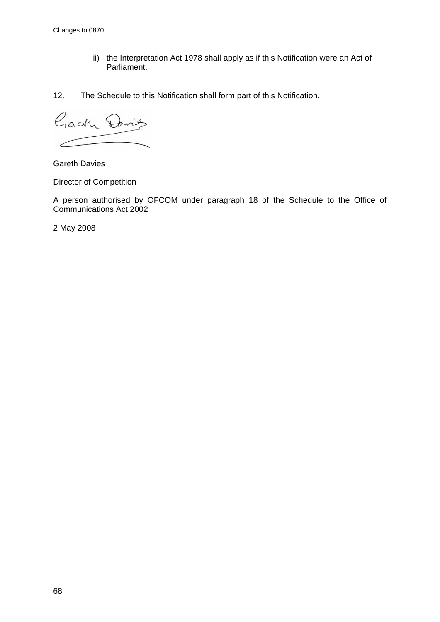- ii) the Interpretation Act 1978 shall apply as if this Notification were an Act of Parliament.
- 12. The Schedule to this Notification shall form part of this Notification.

Garth David ╱

Gareth Davies

Director of Competition

A person authorised by OFCOM under paragraph 18 of the Schedule to the Office of Communications Act 2002

2 May 2008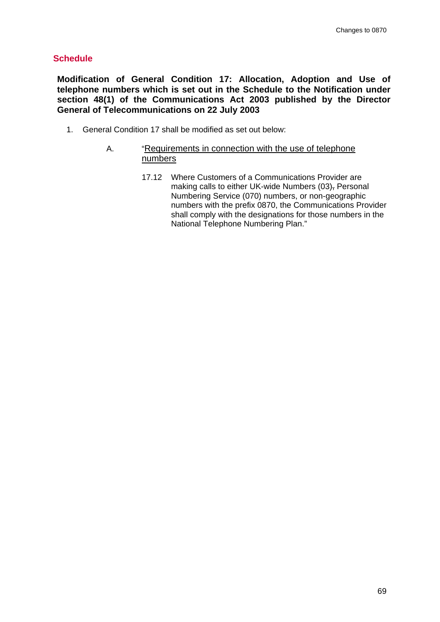# **Schedule**

**Modification of General Condition 17: Allocation, Adoption and Use of telephone numbers which is set out in the Schedule to the Notification under section 48(1) of the Communications Act 2003 published by the Director General of Telecommunications on 22 July 2003** 

- 1. General Condition 17 shall be modified as set out below:
	- A. "Requirements in connection with the use of telephone numbers
		- 17.12 Where Customers of a Communications Provider are making calls to either UK-wide Numbers (03), Personal Numbering Service (070) numbers, or non-geographic numbers with the prefix 0870, the Communications Provider shall comply with the designations for those numbers in the National Telephone Numbering Plan."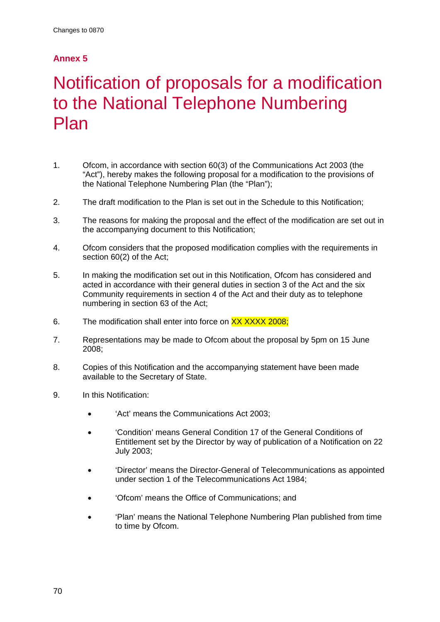# **Annex 5**

# Notification of proposals for a modification to the National Telephone Numbering Plan

- 1. Ofcom, in accordance with section 60(3) of the Communications Act 2003 (the "Act"), hereby makes the following proposal for a modification to the provisions of the National Telephone Numbering Plan (the "Plan");
- 2. The draft modification to the Plan is set out in the Schedule to this Notification;
- 3. The reasons for making the proposal and the effect of the modification are set out in the accompanying document to this Notification;
- 4. Ofcom considers that the proposed modification complies with the requirements in section 60(2) of the Act;
- 5. In making the modification set out in this Notification, Ofcom has considered and acted in accordance with their general duties in section 3 of the Act and the six Community requirements in section 4 of the Act and their duty as to telephone numbering in section 63 of the Act;
- 6. The modification shall enter into force on XX XXXX 2008;
- 7. Representations may be made to Ofcom about the proposal by 5pm on 15 June 2008;
- 8. Copies of this Notification and the accompanying statement have been made available to the Secretary of State.
- 9. In this Notification:
	- 'Act' means the Communications Act 2003;
	- 'Condition' means General Condition 17 of the General Conditions of Entitlement set by the Director by way of publication of a Notification on 22 July 2003;
	- 'Director' means the Director-General of Telecommunications as appointed under section 1 of the Telecommunications Act 1984;
	- 'Ofcom' means the Office of Communications; and
	- 'Plan' means the National Telephone Numbering Plan published from time to time by Ofcom.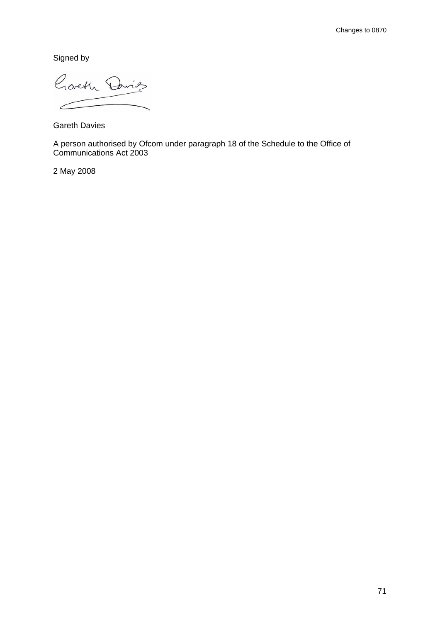Signed by

Goveth Davids  $\epsilon$ 

Gareth Davies

A person authorised by Ofcom under paragraph 18 of the Schedule to the Office of Communications Act 2003

2 May 2008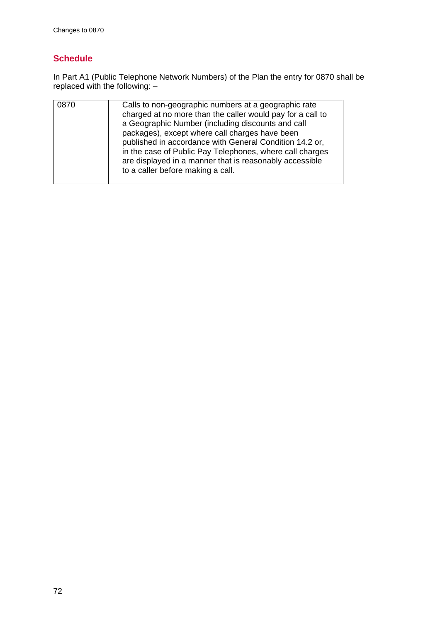# **Schedule**

In Part A1 (Public Telephone Network Numbers) of the Plan the entry for 0870 shall be replaced with the following: –

| 0870 | Calls to non-geographic numbers at a geographic rate<br>charged at no more than the caller would pay for a call to<br>a Geographic Number (including discounts and call<br>packages), except where call charges have been<br>published in accordance with General Condition 14.2 or,<br>in the case of Public Pay Telephones, where call charges<br>are displayed in a manner that is reasonably accessible<br>to a caller before making a call. |
|------|--------------------------------------------------------------------------------------------------------------------------------------------------------------------------------------------------------------------------------------------------------------------------------------------------------------------------------------------------------------------------------------------------------------------------------------------------|
|      |                                                                                                                                                                                                                                                                                                                                                                                                                                                  |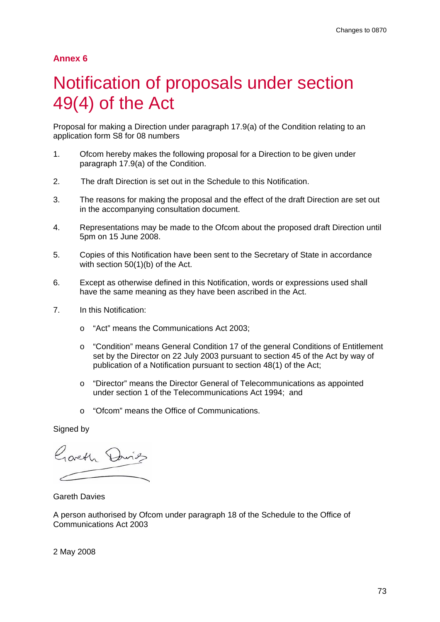## Notification of proposals under section 49(4) of the Act

Proposal for making a Direction under paragraph 17.9(a) of the Condition relating to an application form S8 for 08 numbers

- 1. Ofcom hereby makes the following proposal for a Direction to be given under paragraph 17.9(a) of the Condition.
- 2. The draft Direction is set out in the Schedule to this Notification.
- 3. The reasons for making the proposal and the effect of the draft Direction are set out in the accompanying consultation document.
- 4. Representations may be made to the Ofcom about the proposed draft Direction until 5pm on 15 June 2008.
- 5. Copies of this Notification have been sent to the Secretary of State in accordance with section 50(1)(b) of the Act.
- 6. Except as otherwise defined in this Notification, words or expressions used shall have the same meaning as they have been ascribed in the Act.
- 7. In this Notification:
	- o "Act" means the Communications Act 2003;
	- o "Condition" means General Condition 17 of the general Conditions of Entitlement set by the Director on 22 July 2003 pursuant to section 45 of the Act by way of publication of a Notification pursuant to section 48(1) of the Act;
	- o "Director" means the Director General of Telecommunications as appointed under section 1 of the Telecommunications Act 1994; and
	- o "Ofcom" means the Office of Communications.

Signed by

Gorth Dring

Gareth Davies

A person authorised by Ofcom under paragraph 18 of the Schedule to the Office of Communications Act 2003

2 May 2008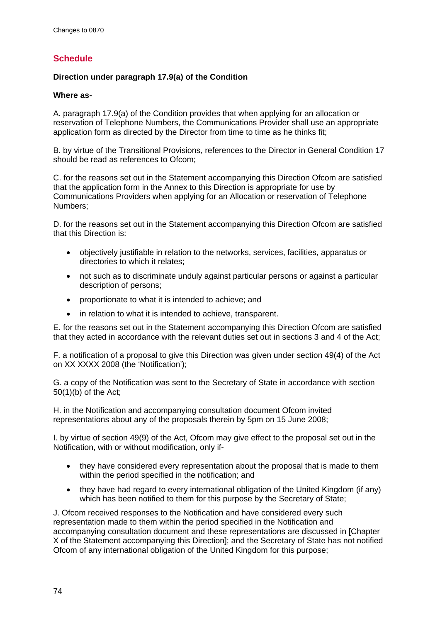### **Schedule**

#### **Direction under paragraph 17.9(a) of the Condition**

#### **Where as-**

A. paragraph 17.9(a) of the Condition provides that when applying for an allocation or reservation of Telephone Numbers, the Communications Provider shall use an appropriate application form as directed by the Director from time to time as he thinks fit;

B. by virtue of the Transitional Provisions, references to the Director in General Condition 17 should be read as references to Ofcom:

C. for the reasons set out in the Statement accompanying this Direction Ofcom are satisfied that the application form in the Annex to this Direction is appropriate for use by Communications Providers when applying for an Allocation or reservation of Telephone Numbers;

D. for the reasons set out in the Statement accompanying this Direction Ofcom are satisfied that this Direction is:

- objectively justifiable in relation to the networks, services, facilities, apparatus or directories to which it relates;
- not such as to discriminate unduly against particular persons or against a particular description of persons;
- proportionate to what it is intended to achieve; and
- in relation to what it is intended to achieve, transparent.

E. for the reasons set out in the Statement accompanying this Direction Ofcom are satisfied that they acted in accordance with the relevant duties set out in sections 3 and 4 of the Act;

F. a notification of a proposal to give this Direction was given under section 49(4) of the Act on XX XXXX 2008 (the 'Notification');

G. a copy of the Notification was sent to the Secretary of State in accordance with section 50(1)(b) of the Act;

H. in the Notification and accompanying consultation document Ofcom invited representations about any of the proposals therein by 5pm on 15 June 2008;

I. by virtue of section 49(9) of the Act, Ofcom may give effect to the proposal set out in the Notification, with or without modification, only if-

- they have considered every representation about the proposal that is made to them within the period specified in the notification; and
- they have had regard to every international obligation of the United Kingdom (if any) which has been notified to them for this purpose by the Secretary of State;

J. Ofcom received responses to the Notification and have considered every such representation made to them within the period specified in the Notification and accompanying consultation document and these representations are discussed in [Chapter X of the Statement accompanying this Direction]; and the Secretary of State has not notified Ofcom of any international obligation of the United Kingdom for this purpose;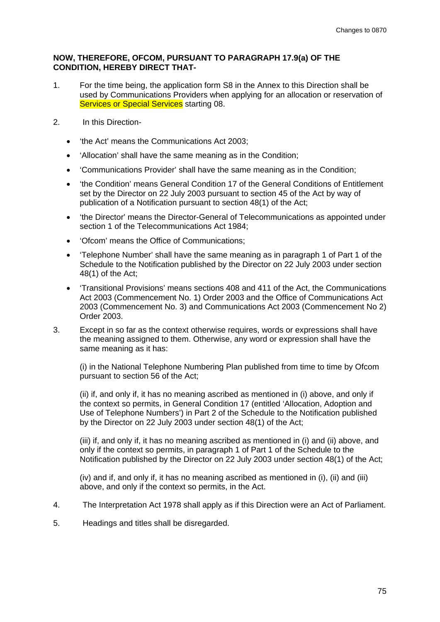#### **NOW, THEREFORE, OFCOM, PURSUANT TO PARAGRAPH 17.9(a) OF THE CONDITION, HEREBY DIRECT THAT-**

- 1. For the time being, the application form S8 in the Annex to this Direction shall be used by Communications Providers when applying for an allocation or reservation of **Services or Special Services** starting 08.
- 2. In this Direction-
	- 'the Act' means the Communications Act 2003;
	- 'Allocation' shall have the same meaning as in the Condition;
	- 'Communications Provider' shall have the same meaning as in the Condition;
	- 'the Condition' means General Condition 17 of the General Conditions of Entitlement set by the Director on 22 July 2003 pursuant to section 45 of the Act by way of publication of a Notification pursuant to section 48(1) of the Act;
	- 'the Director' means the Director-General of Telecommunications as appointed under section 1 of the Telecommunications Act 1984;
	- 'Ofcom' means the Office of Communications;
	- 'Telephone Number' shall have the same meaning as in paragraph 1 of Part 1 of the Schedule to the Notification published by the Director on 22 July 2003 under section 48(1) of the Act;
	- 'Transitional Provisions' means sections 408 and 411 of the Act, the Communications Act 2003 (Commencement No. 1) Order 2003 and the Office of Communications Act 2003 (Commencement No. 3) and Communications Act 2003 (Commencement No 2) Order 2003.
- 3. Except in so far as the context otherwise requires, words or expressions shall have the meaning assigned to them. Otherwise, any word or expression shall have the same meaning as it has:

(i) in the National Telephone Numbering Plan published from time to time by Ofcom pursuant to section 56 of the Act;

(ii) if, and only if, it has no meaning ascribed as mentioned in (i) above, and only if the context so permits, in General Condition 17 (entitled 'Allocation, Adoption and Use of Telephone Numbers') in Part 2 of the Schedule to the Notification published by the Director on 22 July 2003 under section 48(1) of the Act;

(iii) if, and only if, it has no meaning ascribed as mentioned in (i) and (ii) above, and only if the context so permits, in paragraph 1 of Part 1 of the Schedule to the Notification published by the Director on 22 July 2003 under section 48(1) of the Act;

(iv) and if, and only if, it has no meaning ascribed as mentioned in (i), (ii) and (iii) above, and only if the context so permits, in the Act.

- 4. The Interpretation Act 1978 shall apply as if this Direction were an Act of Parliament.
- 5. Headings and titles shall be disregarded.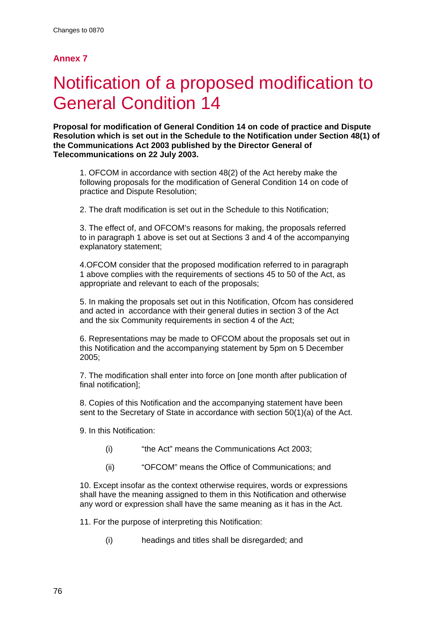# Notification of a proposed modification to General Condition 14

**Proposal for modification of General Condition 14 on code of practice and Dispute Resolution which is set out in the Schedule to the Notification under Section 48(1) of the Communications Act 2003 published by the Director General of Telecommunications on 22 July 2003.** 

1. OFCOM in accordance with section 48(2) of the Act hereby make the following proposals for the modification of General Condition 14 on code of practice and Dispute Resolution;

2. The draft modification is set out in the Schedule to this Notification;

3. The effect of, and OFCOM's reasons for making, the proposals referred to in paragraph 1 above is set out at Sections 3 and 4 of the accompanying explanatory statement;

4.OFCOM consider that the proposed modification referred to in paragraph 1 above complies with the requirements of sections 45 to 50 of the Act, as appropriate and relevant to each of the proposals;

5. In making the proposals set out in this Notification, Ofcom has considered and acted in accordance with their general duties in section 3 of the Act and the six Community requirements in section 4 of the Act;

6. Representations may be made to OFCOM about the proposals set out in this Notification and the accompanying statement by 5pm on 5 December 2005;

7. The modification shall enter into force on [one month after publication of final notification];

8. Copies of this Notification and the accompanying statement have been sent to the Secretary of State in accordance with section 50(1)(a) of the Act.

9. In this Notification:

- (i) "the Act" means the Communications Act 2003;
- (ii) "OFCOM" means the Office of Communications; and

10. Except insofar as the context otherwise requires, words or expressions shall have the meaning assigned to them in this Notification and otherwise any word or expression shall have the same meaning as it has in the Act.

11. For the purpose of interpreting this Notification:

(i) headings and titles shall be disregarded; and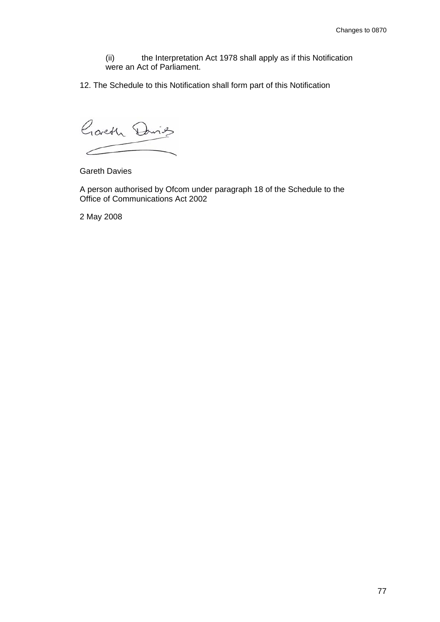(ii) the Interpretation Act 1978 shall apply as if this Notification were an Act of Parliament.

12. The Schedule to this Notification shall form part of this Notification

Garth David ╱

Gareth Davies

A person authorised by Ofcom under paragraph 18 of the Schedule to the Office of Communications Act 2002

2 May 2008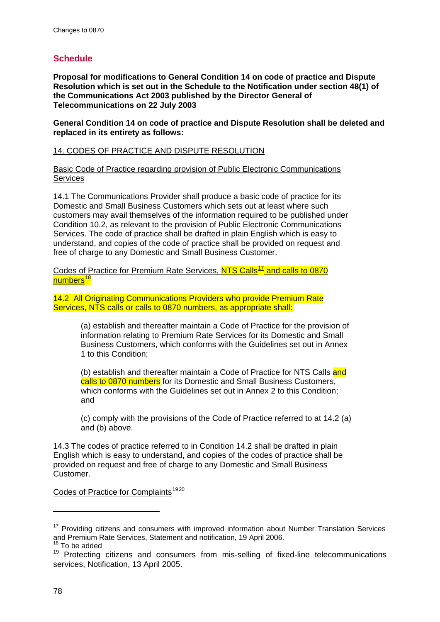### **Schedule**

**Proposal for modifications to General Condition 14 on code of practice and Dispute Resolution which is set out in the Schedule to the Notification under section 48(1) of the Communications Act 2003 published by the Director General of Telecommunications on 22 July 2003** 

**General Condition 14 on code of practice and Dispute Resolution shall be deleted and replaced in its entirety as follows:** 

#### 14. CODES OF PRACTICE AND DISPUTE RESOLUTION

Basic Code of Practice regarding provision of Public Electronic Communications **Services** 

14.1 The Communications Provider shall produce a basic code of practice for its Domestic and Small Business Customers which sets out at least where such customers may avail themselves of the information required to be published under Condition 10.2, as relevant to the provision of Public Electronic Communications Services. The code of practice shall be drafted in plain English which is easy to understand, and copies of the code of practice shall be provided on request and free of charge to any Domestic and Small Business Customer.

Codes of Practice for Premium Rate Services, NTS Calls<sup>[17](#page-77-0)</sup> and calls to 0870 numbers<sup>[18](#page-77-1)</sup>

14.2 All Originating Communications Providers who provide Premium Rate Services, NTS calls or calls to 0870 numbers, as appropriate shall:

> (a) establish and thereafter maintain a Code of Practice for the provision of information relating to Premium Rate Services for its Domestic and Small Business Customers, which conforms with the Guidelines set out in Annex 1 to this Condition;

(b) establish and thereafter maintain a Code of Practice for NTS Calls and calls to 0870 numbers for its Domestic and Small Business Customers, which conforms with the Guidelines set out in Annex 2 to this Condition; and

(c) comply with the provisions of the Code of Practice referred to at 14.2 (a) and (b) above.

14.3 The codes of practice referred to in Condition 14.2 shall be drafted in plain English which is easy to understand, and copies of the codes of practice shall be provided on request and free of charge to any Domestic and Small Business Customer.

<span id="page-77-3"></span>Codes of Practice for Complaints<sup>[19](#page-77-2)[20](#page-77-3)</sup>

1

<span id="page-77-0"></span><sup>&</sup>lt;sup>17</sup> Providing citizens and consumers with improved information about Number Translation Services and Premium Rate Services, Statement and notification, 19 April 2006.

To be added

<span id="page-77-2"></span><span id="page-77-1"></span><sup>&</sup>lt;sup>19</sup> Protecting citizens and consumers from mis-selling of fixed-line telecommunications services, Notification, 13 April 2005.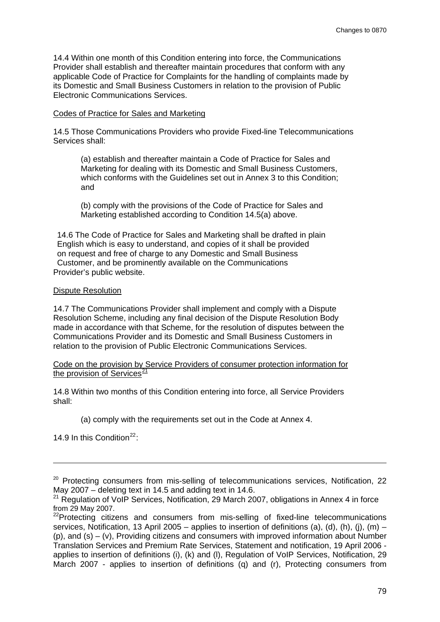14.4 Within one month of this Condition entering into force, the Communications Provider shall establish and thereafter maintain procedures that conform with any applicable Code of Practice for Complaints for the handling of complaints made by its Domestic and Small Business Customers in relation to the provision of Public Electronic Communications Services.

#### Codes of Practice for Sales and Marketing

14.5 Those Communications Providers who provide Fixed-line Telecommunications Services shall:

(a) establish and thereafter maintain a Code of Practice for Sales and Marketing for dealing with its Domestic and Small Business Customers, which conforms with the Guidelines set out in Annex 3 to this Condition; and

(b) comply with the provisions of the Code of Practice for Sales and Marketing established according to Condition 14.5(a) above.

Provider's public website. 14.6 The Code of Practice for Sales and Marketing shall be drafted in plain English which is easy to understand, and copies of it shall be provided on request and free of charge to any Domestic and Small Business Customer, and be prominently available on the Communications

#### Dispute Resolution

14.7 The Communications Provider shall implement and comply with a Dispute Resolution Scheme, including any final decision of the Dispute Resolution Body made in accordance with that Scheme, for the resolution of disputes between the Communications Provider and its Domestic and Small Business Customers in relation to the provision of Public Electronic Communications Services.

#### Code on the provision by Service Providers of consumer protection information for the provision of Services $\frac{21}{2}$  $\frac{21}{2}$  $\frac{21}{2}$

14.8 Within two months of this Condition entering into force, all Service Providers shall:

(a) comply with the requirements set out in the Code at Annex 4.

14.9 In this Condition<sup>[22](#page-78-1).</sup>

1

<sup>&</sup>lt;sup>20</sup> Protecting consumers from mis-selling of telecommunications services, Notification, 22 May 2007 – deleting text in 14.5 and adding text in 14.6.

<span id="page-78-0"></span> $21$  Regulation of VoIP Services, Notification, 29 March 2007, obligations in Annex 4 in force from 29 May 2007.

<span id="page-78-1"></span> $22$ Protecting citizens and consumers from mis-selling of fixed-line telecommunications services, Notification, 13 April 2005 – applies to insertion of definitions (a), (d), (h), (j), (m) – (p), and (s) – (v), Providing citizens and consumers with improved information about Number Translation Services and Premium Rate Services, Statement and notification, 19 April 2006 applies to insertion of definitions (i), (k) and (l), Regulation of VoIP Services, Notification, 29 March 2007 - applies to insertion of definitions (q) and (r), Protecting consumers from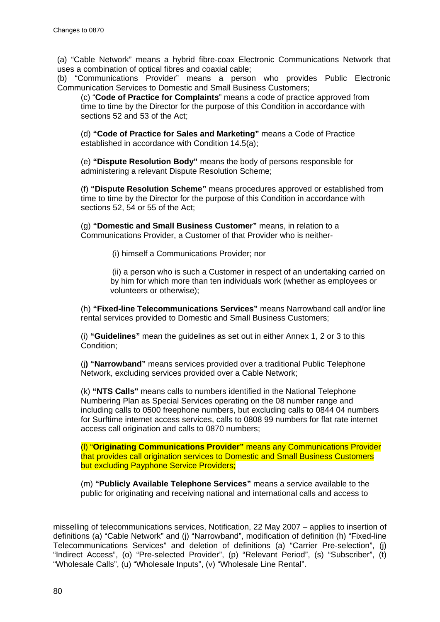(a) "Cable Network" means a hybrid fibre-coax Electronic Communications Network that uses a combination of optical fibres and coaxial cable;

(b) "Communications Provider" means a person who provides Public Electronic Communication Services to Domestic and Small Business Customers;

(c) "**Code of Practice for Complaints**" means a code of practice approved from time to time by the Director for the purpose of this Condition in accordance with sections 52 and 53 of the Act;

(d) **"Code of Practice for Sales and Marketing"** means a Code of Practice established in accordance with Condition 14.5(a);

(e) **"Dispute Resolution Body"** means the body of persons responsible for administering a relevant Dispute Resolution Scheme;

(f) **"Dispute Resolution Scheme"** means procedures approved or established from time to time by the Director for the purpose of this Condition in accordance with sections 52, 54 or 55 of the Act;

(g) **"Domestic and Small Business Customer"** means, in relation to a Communications Provider, a Customer of that Provider who is neither-

(i) himself a Communications Provider; nor

(ii) a person who is such a Customer in respect of an undertaking carried on by him for which more than ten individuals work (whether as employees or volunteers or otherwise);

(h) **"Fixed-line Telecommunications Services"** means Narrowband call and/or line rental services provided to Domestic and Small Business Customers;

(i) **"Guidelines"** mean the guidelines as set out in either Annex 1, 2 or 3 to this Condition;

(j**) "Narrowband"** means services provided over a traditional Public Telephone Network, excluding services provided over a Cable Network;

(k) **"NTS Calls"** means calls to numbers identified in the National Telephone Numbering Plan as Special Services operating on the 08 number range and including calls to 0500 freephone numbers, but excluding calls to 0844 04 numbers for Surftime internet access services, calls to 0808 99 numbers for flat rate internet access call origination and calls to 0870 numbers;

(l) "**Originating Communications Provider"** means any Communications Provider that provides call origination services to Domestic and Small Business Customers but excluding Payphone Service Providers;

(m) **"Publicly Available Telephone Services"** means a service available to the public for originating and receiving national and international calls and access to

misselling of telecommunications services, Notification, 22 May 2007 – applies to insertion of definitions (a) "Cable Network" and (j) "Narrowband", modification of definition (h) "Fixed-line Telecommunications Services" and deletion of definitions (a) "Carrier Pre-selection", (j) "Indirect Access", (o) "Pre-selected Provider", (p) "Relevant Period", (s) "Subscriber", (t) "Wholesale Calls", (u) "Wholesale Inputs", (v) "Wholesale Line Rental".

-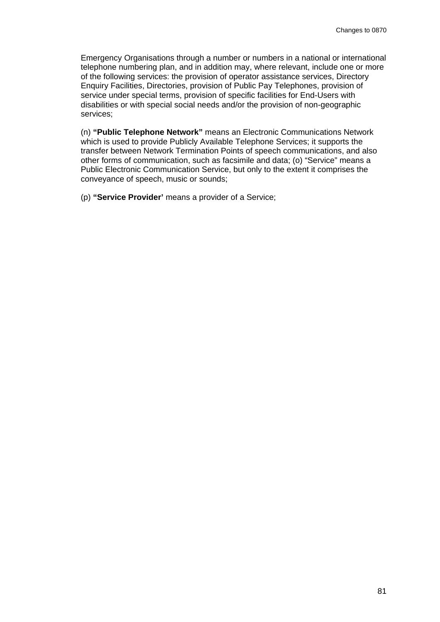Emergency Organisations through a number or numbers in a national or international telephone numbering plan, and in addition may, where relevant, include one or more of the following services: the provision of operator assistance services, Directory Enquiry Facilities, Directories, provision of Public Pay Telephones, provision of service under special terms, provision of specific facilities for End-Users with disabilities or with special social needs and/or the provision of non-geographic services;

(n) **"Public Telephone Network"** means an Electronic Communications Network which is used to provide Publicly Available Telephone Services; it supports the transfer between Network Termination Points of speech communications, and also other forms of communication, such as facsimile and data; (o) "Service" means a Public Electronic Communication Service, but only to the extent it comprises the conveyance of speech, music or sounds;

(p) **"Service Provider'** means a provider of a Service;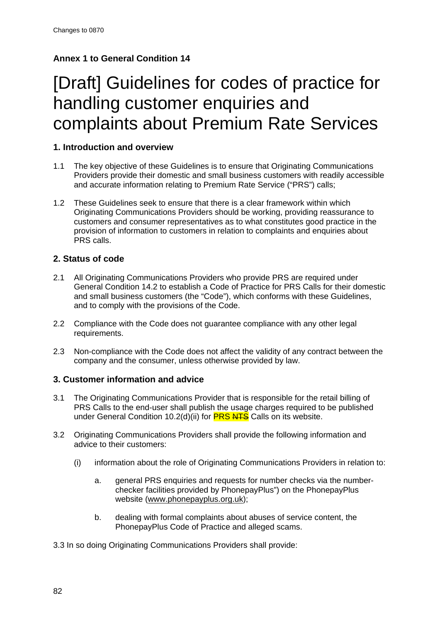### **Annex 1 to General Condition 14**

## [Draft] Guidelines for codes of practice for handling customer enquiries and complaints about Premium Rate Services

#### **1. Introduction and overview**

- 1.1 The key objective of these Guidelines is to ensure that Originating Communications Providers provide their domestic and small business customers with readily accessible and accurate information relating to Premium Rate Service ("PRS") calls;
- 1.2 These Guidelines seek to ensure that there is a clear framework within which Originating Communications Providers should be working, providing reassurance to customers and consumer representatives as to what constitutes good practice in the provision of information to customers in relation to complaints and enquiries about PRS calls.

#### **2. Status of code**

- 2.1 All Originating Communications Providers who provide PRS are required under General Condition 14.2 to establish a Code of Practice for PRS Calls for their domestic and small business customers (the "Code"), which conforms with these Guidelines, and to comply with the provisions of the Code.
- 2.2 Compliance with the Code does not guarantee compliance with any other legal requirements.
- 2.3 Non-compliance with the Code does not affect the validity of any contract between the company and the consumer, unless otherwise provided by law.

#### **3. Customer information and advice**

- 3.1 The Originating Communications Provider that is responsible for the retail billing of PRS Calls to the end-user shall publish the usage charges required to be published under General Condition 10.2(d)(ii) for **PRS NTS** Calls on its website.
- 3.2 Originating Communications Providers shall provide the following information and advice to their customers:
	- (i) information about the role of Originating Communications Providers in relation to:
		- a. general PRS enquiries and requests for number checks via the numberchecker facilities provided by PhonepayPlus") on the PhonepayPlus website [\(www.phonepayplus.org.uk](http://www.phonepayplus.org.uk/));
		- b. dealing with formal complaints about abuses of service content, the PhonepayPlus Code of Practice and alleged scams.

3.3 In so doing Originating Communications Providers shall provide: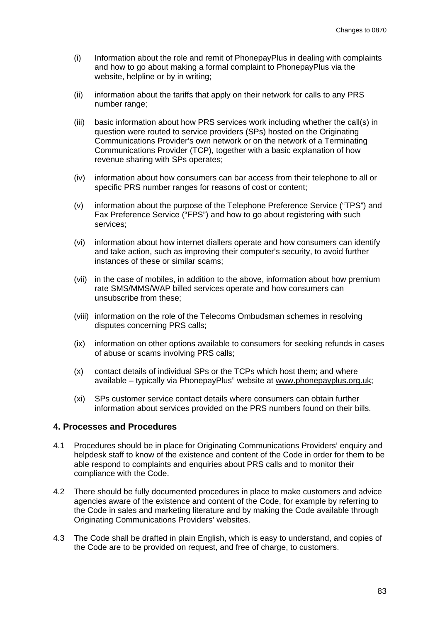- (i) Information about the role and remit of PhonepayPlus in dealing with complaints and how to go about making a formal complaint to PhonepayPlus via the website, helpline or by in writing;
- (ii) information about the tariffs that apply on their network for calls to any PRS number range;
- (iii) basic information about how PRS services work including whether the call(s) in question were routed to service providers (SPs) hosted on the Originating Communications Provider's own network or on the network of a Terminating Communications Provider (TCP), together with a basic explanation of how revenue sharing with SPs operates;
- (iv) information about how consumers can bar access from their telephone to all or specific PRS number ranges for reasons of cost or content;
- (v) information about the purpose of the Telephone Preference Service ("TPS") and Fax Preference Service ("FPS") and how to go about registering with such services;
- (vi) information about how internet diallers operate and how consumers can identify and take action, such as improving their computer's security, to avoid further instances of these or similar scams;
- (vii) in the case of mobiles, in addition to the above, information about how premium rate SMS/MMS/WAP billed services operate and how consumers can unsubscribe from these;
- (viii) information on the role of the Telecoms Ombudsman schemes in resolving disputes concerning PRS calls;
- (ix) information on other options available to consumers for seeking refunds in cases of abuse or scams involving PRS calls;
- (x) contact details of individual SPs or the TCPs which host them; and where available – typically via PhonepayPlus" website at [www.phonepayplus.org.uk](http://www.phonepayplus.org.uk/);
- (xi) SPs customer service contact details where consumers can obtain further information about services provided on the PRS numbers found on their bills.

#### **4. Processes and Procedures**

- 4.1 Procedures should be in place for Originating Communications Providers' enquiry and helpdesk staff to know of the existence and content of the Code in order for them to be able respond to complaints and enquiries about PRS calls and to monitor their compliance with the Code.
- 4.2 There should be fully documented procedures in place to make customers and advice agencies aware of the existence and content of the Code, for example by referring to the Code in sales and marketing literature and by making the Code available through Originating Communications Providers' websites.
- 4.3 The Code shall be drafted in plain English, which is easy to understand, and copies of the Code are to be provided on request, and free of charge, to customers.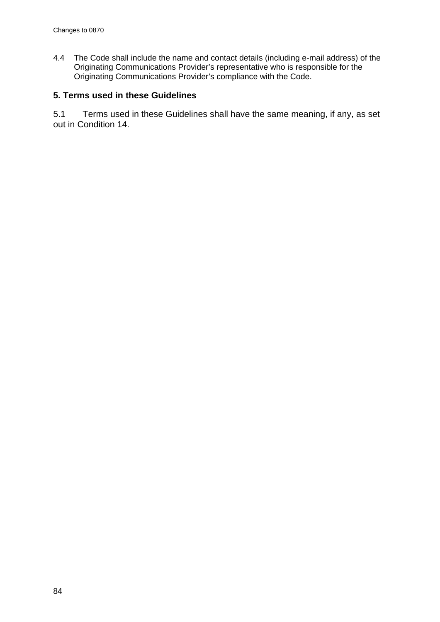4.4 The Code shall include the name and contact details (including e-mail address) of the Originating Communications Provider's representative who is responsible for the Originating Communications Provider's compliance with the Code.

### **5. Terms used in these Guidelines**

5.1 Terms used in these Guidelines shall have the same meaning, if any, as set out in Condition 14.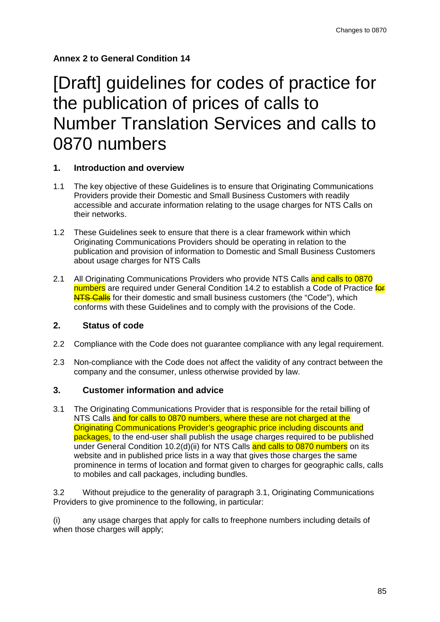## [Draft] guidelines for codes of practice for the publication of prices of calls to Number Translation Services and calls to 0870 numbers

#### **1. Introduction and overview**

- 1.1 The key objective of these Guidelines is to ensure that Originating Communications Providers provide their Domestic and Small Business Customers with readily accessible and accurate information relating to the usage charges for NTS Calls on their networks.
- 1.2 These Guidelines seek to ensure that there is a clear framework within which Originating Communications Providers should be operating in relation to the publication and provision of information to Domestic and Small Business Customers about usage charges for NTS Calls
- 2.1 All Originating Communications Providers who provide NTS Calls and calls to 0870 numbers are required under General Condition 14.2 to establish a Code of Practice for NTS Calls for their domestic and small business customers (the "Code"), which conforms with these Guidelines and to comply with the provisions of the Code.

#### **2. Status of code**

- 2.2 Compliance with the Code does not guarantee compliance with any legal requirement.
- 2.3 Non-compliance with the Code does not affect the validity of any contract between the company and the consumer, unless otherwise provided by law.

#### **3. Customer information and advice**

3.1 The Originating Communications Provider that is responsible for the retail billing of NTS Calls and for calls to 0870 numbers, where these are not charged at the Originating Communications Provider's geographic price including discounts and packages, to the end-user shall publish the usage charges required to be published under General Condition 10.2(d)(ii) for NTS Calls and calls to 0870 numbers on its website and in published price lists in a way that gives those charges the same prominence in terms of location and format given to charges for geographic calls, calls to mobiles and call packages, including bundles.

3.2 Without prejudice to the generality of paragraph 3.1, Originating Communications Providers to give prominence to the following, in particular:

(i) any usage charges that apply for calls to freephone numbers including details of when those charges will apply;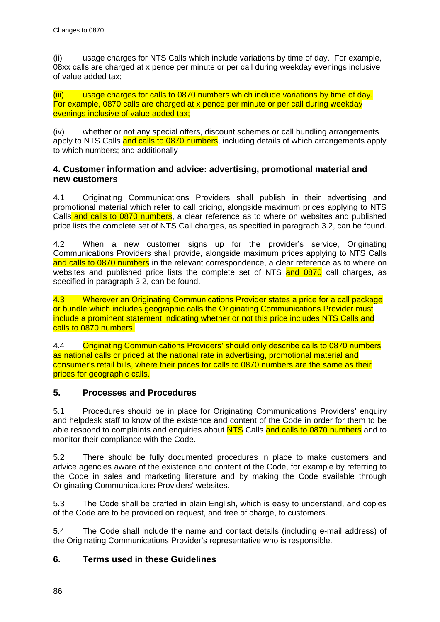(ii) usage charges for NTS Calls which include variations by time of day. For example, 08xx calls are charged at x pence per minute or per call during weekday evenings inclusive of value added tax;

(iii) usage charges for calls to 0870 numbers which include variations by time of day. For example, 0870 calls are charged at x pence per minute or per call during weekday evenings inclusive of value added tax;

(iv) whether or not any special offers, discount schemes or call bundling arrangements apply to NTS Calls and calls to 0870 numbers, including details of which arrangements apply to which numbers; and additionally

#### **4. Customer information and advice: advertising, promotional material and new customers**

4.1 Originating Communications Providers shall publish in their advertising and promotional material which refer to call pricing, alongside maximum prices applying to NTS Calls and calls to 0870 numbers, a clear reference as to where on websites and published price lists the complete set of NTS Call charges, as specified in paragraph 3.2, can be found.

4.2 When a new customer signs up for the provider's service, Originating Communications Providers shall provide, alongside maximum prices applying to NTS Calls and calls to 0870 numbers in the relevant correspondence, a clear reference as to where on websites and published price lists the complete set of NTS and 0870 call charges, as specified in paragraph 3.2, can be found.

4.3 Wherever an Originating Communications Provider states a price for a call package or bundle which includes geographic calls the Originating Communications Provider must include a prominent statement indicating whether or not this price includes NTS Calls and calls to 0870 numbers.

4.4 Originating Communications Providers' should only describe calls to 0870 numbers as national calls or priced at the national rate in advertising, promotional material and consumer's retail bills, where their prices for calls to 0870 numbers are the same as their prices for geographic calls.

#### **5. Processes and Procedures**

5.1 Procedures should be in place for Originating Communications Providers' enquiry and helpdesk staff to know of the existence and content of the Code in order for them to be able respond to complaints and enquiries about NTS Calls and calls to 0870 numbers and to monitor their compliance with the Code.

5.2 There should be fully documented procedures in place to make customers and advice agencies aware of the existence and content of the Code, for example by referring to the Code in sales and marketing literature and by making the Code available through Originating Communications Providers' websites.

5.3 The Code shall be drafted in plain English, which is easy to understand, and copies of the Code are to be provided on request, and free of charge, to customers.

5.4 The Code shall include the name and contact details (including e-mail address) of the Originating Communications Provider's representative who is responsible.

#### **6. Terms used in these Guidelines**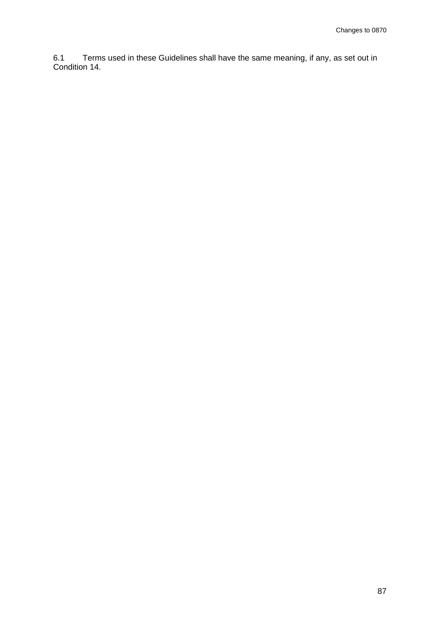6.1 Terms used in these Guidelines shall have the same meaning, if any, as set out in Condition 14.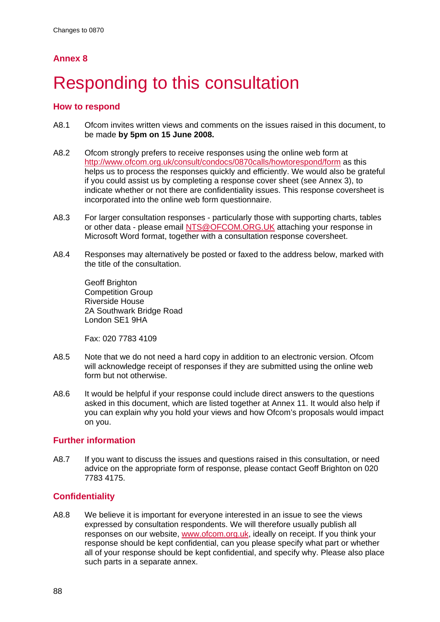# Responding to this consultation

#### **How to respond**

- A8.1 Ofcom invites written views and comments on the issues raised in this document, to be made **by 5pm on 15 June 2008.**
- A8.2 Ofcom strongly prefers to receive responses using the online web form at <http://www.ofcom.org.uk/consult/condocs/0870calls/howtorespond/form> as this helps us to process the responses quickly and efficiently. We would also be grateful if you could assist us by completing a response cover sheet (see Annex 3), to indicate whether or not there are confidentiality issues. This response coversheet is incorporated into the online web form questionnaire.
- A8.3 For larger consultation responses particularly those with supporting charts, tables or other data - please email [NTS@OFCOM.ORG.UK](mailto:NTS@OFCOM.ORG.UK) attaching your response in Microsoft Word format, together with a consultation response coversheet.
- A8.4 Responses may alternatively be posted or faxed to the address below, marked with the title of the consultation.

Geoff Brighton Competition Group Riverside House 2A Southwark Bridge Road London SE1 9HA

Fax: 020 7783 4109

- A8.5 Note that we do not need a hard copy in addition to an electronic version. Ofcom will acknowledge receipt of responses if they are submitted using the online web form but not otherwise.
- A8.6 It would be helpful if your response could include direct answers to the questions asked in this document, which are listed together at Annex 11. It would also help if you can explain why you hold your views and how Ofcom's proposals would impact on you.

#### **Further information**

A8.7 If you want to discuss the issues and questions raised in this consultation, or need advice on the appropriate form of response, please contact Geoff Brighton on 020 7783 4175.

#### **Confidentiality**

A8.8 We believe it is important for everyone interested in an issue to see the views expressed by consultation respondents. We will therefore usually publish all responses on our website, [www.ofcom.org.uk](http://www.ofcom.org.uk/), ideally on receipt. If you think your response should be kept confidential, can you please specify what part or whether all of your response should be kept confidential, and specify why. Please also place such parts in a separate annex.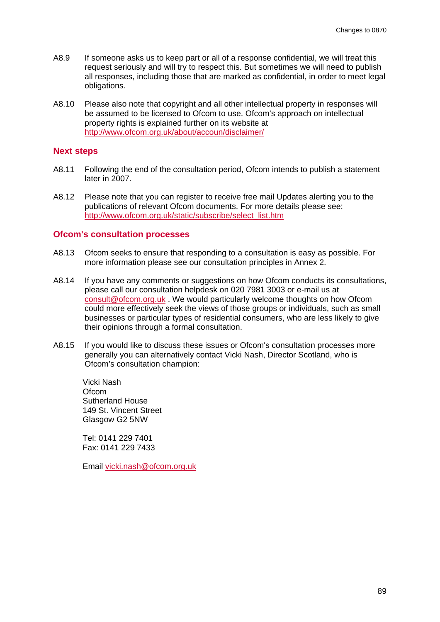- A8.9 If someone asks us to keep part or all of a response confidential, we will treat this request seriously and will try to respect this. But sometimes we will need to publish all responses, including those that are marked as confidential, in order to meet legal obligations.
- A8.10 Please also note that copyright and all other intellectual property in responses will be assumed to be licensed to Ofcom to use. Ofcom's approach on intellectual property rights is explained further on its website at <http://www.ofcom.org.uk/about/accoun/disclaimer/>

#### **Next steps**

- A8.11 Following the end of the consultation period, Ofcom intends to publish a statement later in 2007.
- A8.12 Please note that you can register to receive free mail Updates alerting you to the publications of relevant Ofcom documents. For more details please see: [http://www.ofcom.org.uk/static/subscribe/select\\_list.htm](http://www.ofcom.org.uk/static/subscribe/select_list.htm)

#### **Ofcom's consultation processes**

- A8.13 Ofcom seeks to ensure that responding to a consultation is easy as possible. For more information please see our consultation principles in Annex 2.
- A8.14 If you have any comments or suggestions on how Ofcom conducts its consultations, please call our consultation helpdesk on 020 7981 3003 or e-mail us at [consult@ofcom.org.uk](mailto:consult@ofcom.org.uk) . We would particularly welcome thoughts on how Ofcom could more effectively seek the views of those groups or individuals, such as small businesses or particular types of residential consumers, who are less likely to give their opinions through a formal consultation.
- A8.15 If you would like to discuss these issues or Ofcom's consultation processes more generally you can alternatively contact Vicki Nash, Director Scotland, who is Ofcom's consultation champion:

Vicki Nash **Ofcom** Sutherland House 149 St. Vincent Street Glasgow G2 5NW

Tel: 0141 229 7401 Fax: 0141 229 7433

Email [vicki.nash@ofcom.org.uk](mailto:vicki.nash@ofcom.org.uk)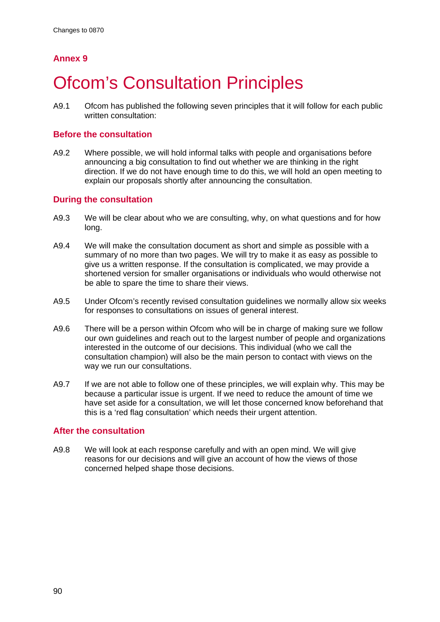# **Ofcom's Consultation Principles**

A9.1 Ofcom has published the following seven principles that it will follow for each public written consultation:

#### **Before the consultation**

A9.2 Where possible, we will hold informal talks with people and organisations before announcing a big consultation to find out whether we are thinking in the right direction. If we do not have enough time to do this, we will hold an open meeting to explain our proposals shortly after announcing the consultation.

#### **During the consultation**

- A9.3 We will be clear about who we are consulting, why, on what questions and for how long.
- A9.4 We will make the consultation document as short and simple as possible with a summary of no more than two pages. We will try to make it as easy as possible to give us a written response. If the consultation is complicated, we may provide a shortened version for smaller organisations or individuals who would otherwise not be able to spare the time to share their views.
- A9.5 Under Ofcom's recently revised consultation guidelines we normally allow six weeks for responses to consultations on issues of general interest.
- A9.6 There will be a person within Ofcom who will be in charge of making sure we follow our own guidelines and reach out to the largest number of people and organizations interested in the outcome of our decisions. This individual (who we call the consultation champion) will also be the main person to contact with views on the way we run our consultations.
- A9.7 If we are not able to follow one of these principles, we will explain why. This may be because a particular issue is urgent. If we need to reduce the amount of time we have set aside for a consultation, we will let those concerned know beforehand that this is a 'red flag consultation' which needs their urgent attention.

#### **After the consultation**

A9.8 We will look at each response carefully and with an open mind. We will give reasons for our decisions and will give an account of how the views of those concerned helped shape those decisions.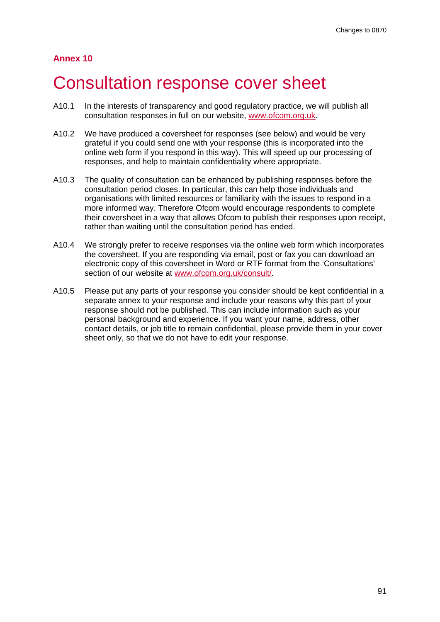## Consultation response cover sheet

- A10.1 In the interests of transparency and good regulatory practice, we will publish all consultation responses in full on our website, [www.ofcom.org.uk.](http://www.ofcom.org.uk/)
- A10.2 We have produced a coversheet for responses (see below) and would be very grateful if you could send one with your response (this is incorporated into the online web form if you respond in this way). This will speed up our processing of responses, and help to maintain confidentiality where appropriate.
- A10.3 The quality of consultation can be enhanced by publishing responses before the consultation period closes. In particular, this can help those individuals and organisations with limited resources or familiarity with the issues to respond in a more informed way. Therefore Ofcom would encourage respondents to complete their coversheet in a way that allows Ofcom to publish their responses upon receipt, rather than waiting until the consultation period has ended.
- A10.4 We strongly prefer to receive responses via the online web form which incorporates the coversheet. If you are responding via email, post or fax you can download an electronic copy of this coversheet in Word or RTF format from the 'Consultations' section of our website at [www.ofcom.org.uk/consult/.](http://www.ofcom.org.uk/consult/)
- A10.5 Please put any parts of your response you consider should be kept confidential in a separate annex to your response and include your reasons why this part of your response should not be published. This can include information such as your personal background and experience. If you want your name, address, other contact details, or job title to remain confidential, please provide them in your cover sheet only, so that we do not have to edit your response.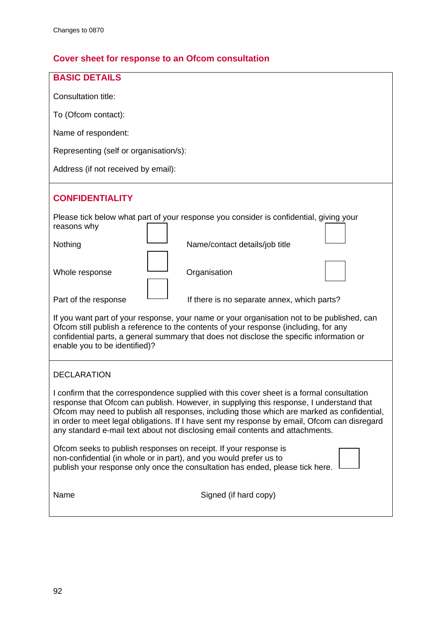## **Cover sheet for response to an Ofcom consultation**

| <b>BASIC DETAILS</b>                                                                                                                                                                                                                                                                                                                                                                                                                                                |
|---------------------------------------------------------------------------------------------------------------------------------------------------------------------------------------------------------------------------------------------------------------------------------------------------------------------------------------------------------------------------------------------------------------------------------------------------------------------|
| Consultation title:                                                                                                                                                                                                                                                                                                                                                                                                                                                 |
| To (Ofcom contact):                                                                                                                                                                                                                                                                                                                                                                                                                                                 |
| Name of respondent:                                                                                                                                                                                                                                                                                                                                                                                                                                                 |
| Representing (self or organisation/s):                                                                                                                                                                                                                                                                                                                                                                                                                              |
| Address (if not received by email):                                                                                                                                                                                                                                                                                                                                                                                                                                 |
| <b>CONFIDENTIALITY</b>                                                                                                                                                                                                                                                                                                                                                                                                                                              |
| Please tick below what part of your response you consider is confidential, giving your<br>reasons why                                                                                                                                                                                                                                                                                                                                                               |
| Name/contact details/job title<br>Nothing                                                                                                                                                                                                                                                                                                                                                                                                                           |
| Whole response<br>Organisation                                                                                                                                                                                                                                                                                                                                                                                                                                      |
| Part of the response<br>If there is no separate annex, which parts?                                                                                                                                                                                                                                                                                                                                                                                                 |
| If you want part of your response, your name or your organisation not to be published, can<br>Ofcom still publish a reference to the contents of your response (including, for any<br>confidential parts, a general summary that does not disclose the specific information or<br>enable you to be identified)?                                                                                                                                                     |
| <b>DECLARATION</b>                                                                                                                                                                                                                                                                                                                                                                                                                                                  |
| I confirm that the correspondence supplied with this cover sheet is a formal consultation<br>response that Ofcom can publish. However, in supplying this response, I understand that<br>Ofcom may need to publish all responses, including those which are marked as confidential,<br>in order to meet legal obligations. If I have sent my response by email, Ofcom can disregard<br>any standard e-mail text about not disclosing email contents and attachments. |
| Ofcom seeks to publish responses on receipt. If your response is<br>non-confidential (in whole or in part), and you would prefer us to<br>publish your response only once the consultation has ended, please tick here.                                                                                                                                                                                                                                             |
| Signed (if hard copy)<br>Name                                                                                                                                                                                                                                                                                                                                                                                                                                       |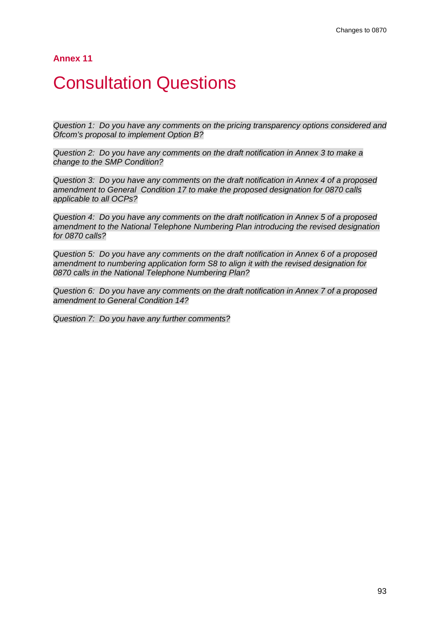## **Consultation Questions**

*Question 1: Do you have any comments on the pricing transparency options considered and Ofcom's proposal to implement Option B?*

*Question 2: Do you have any comments on the draft notification in Annex 3 to make a change to the SMP Condition?*

*Question 3: Do you have any comments on the draft notification in Annex 4 of a proposed amendment to General Condition 17 to make the proposed designation for 0870 calls applicable to all OCPs?*

*Question 4: Do you have any comments on the draft notification in Annex 5 of a proposed amendment to the National Telephone Numbering Plan introducing the revised designation for 0870 calls?*

*Question 5: Do you have any comments on the draft notification in Annex 6 of a proposed amendment to numbering application form S8 to align it with the revised designation for 0870 calls in the National Telephone Numbering Plan?*

*Question 6: Do you have any comments on the draft notification in Annex 7 of a proposed amendment to General Condition 14?*

*Question 7: Do you have any further comments?*